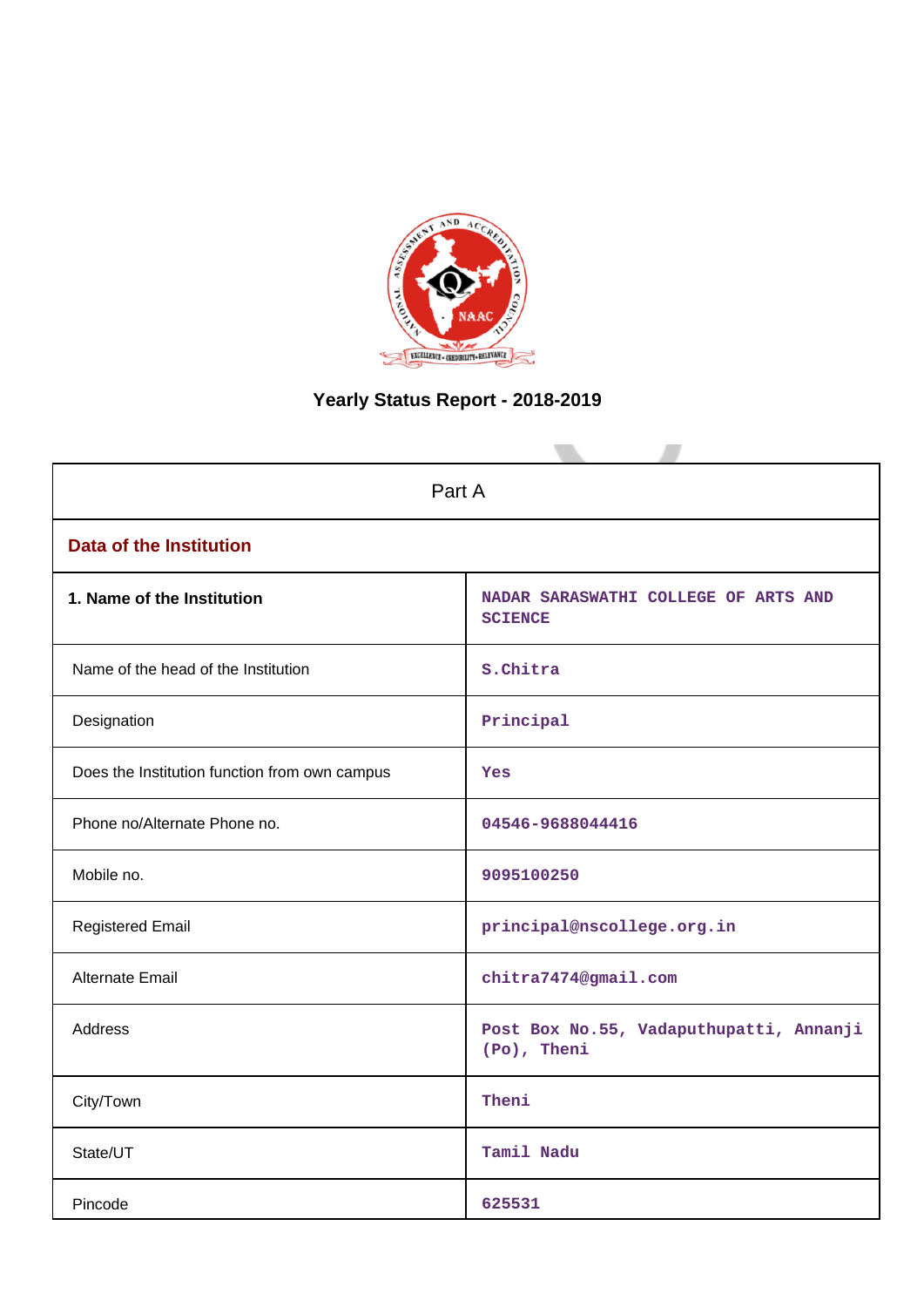

# **Yearly Status Report - 2018-2019**

| Part A                                        |                                                        |  |  |
|-----------------------------------------------|--------------------------------------------------------|--|--|
| <b>Data of the Institution</b>                |                                                        |  |  |
| 1. Name of the Institution                    | NADAR SARASWATHI COLLEGE OF ARTS AND<br><b>SCIENCE</b> |  |  |
| Name of the head of the Institution           | s.Chitra                                               |  |  |
| Designation                                   | Principal                                              |  |  |
| Does the Institution function from own campus | Yes                                                    |  |  |
| Phone no/Alternate Phone no.                  | 04546-9688044416                                       |  |  |
| Mobile no.                                    | 9095100250                                             |  |  |
| <b>Registered Email</b>                       | principal@nscollege.org.in                             |  |  |
| Alternate Email                               | chitra7474@gmail.com                                   |  |  |
| <b>Address</b>                                | Post Box No.55, Vadaputhupatti, Annanji<br>(Po), Theni |  |  |
| City/Town                                     | Theni                                                  |  |  |
| State/UT                                      | Tamil Nadu                                             |  |  |
| Pincode                                       | 625531                                                 |  |  |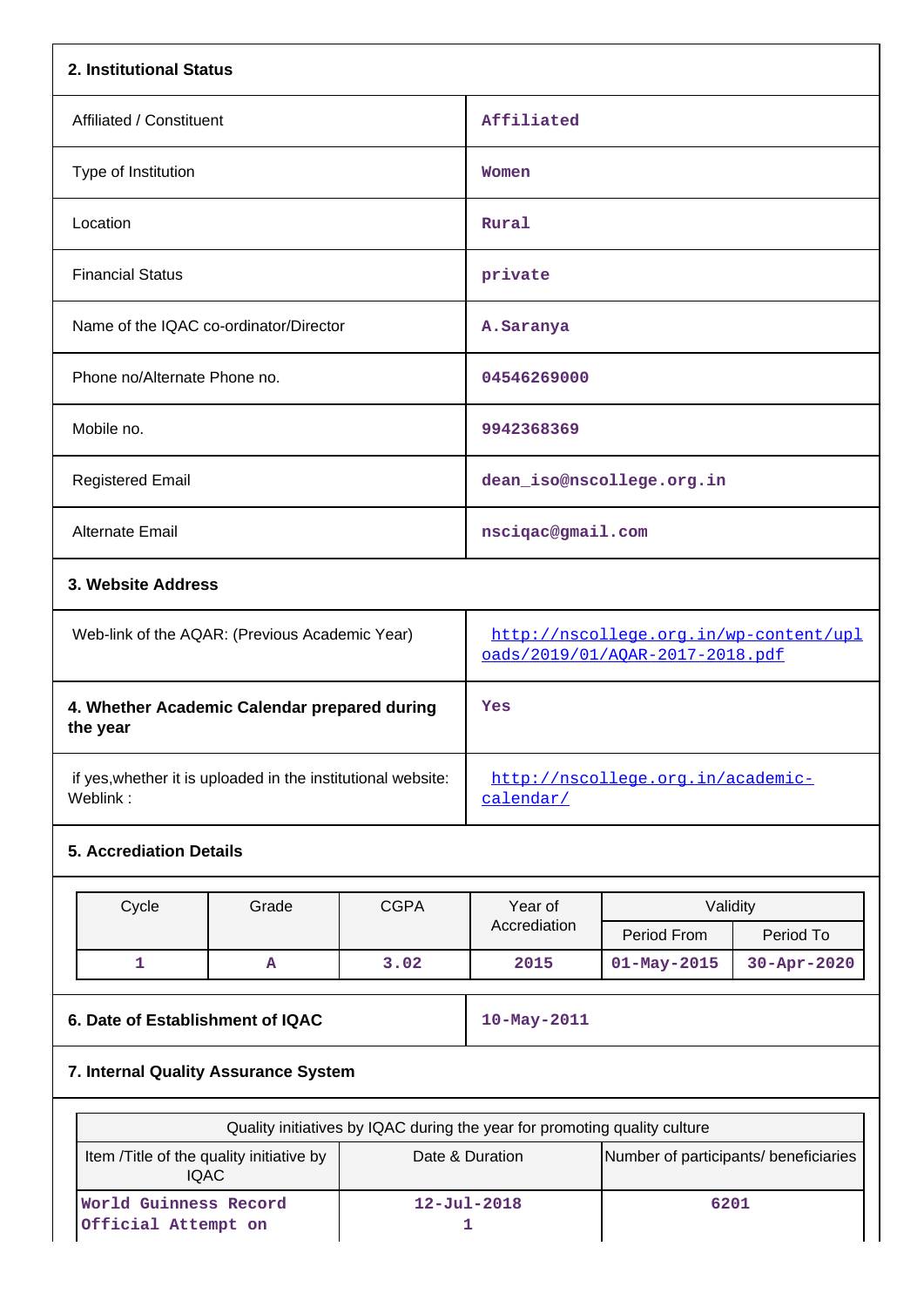| 2. Institutional Status                                                  |             |                                                                           |                         |           |  |  |
|--------------------------------------------------------------------------|-------------|---------------------------------------------------------------------------|-------------------------|-----------|--|--|
| Affiliated / Constituent                                                 | Affiliated  |                                                                           |                         |           |  |  |
| Type of Institution                                                      |             | Women                                                                     |                         |           |  |  |
| Location                                                                 |             | Rural                                                                     |                         |           |  |  |
| <b>Financial Status</b>                                                  |             | private                                                                   |                         |           |  |  |
| Name of the IQAC co-ordinator/Director                                   |             | A. Saranya                                                                |                         |           |  |  |
| Phone no/Alternate Phone no.                                             |             | 04546269000                                                               |                         |           |  |  |
| Mobile no.                                                               | 9942368369  |                                                                           |                         |           |  |  |
| <b>Registered Email</b>                                                  |             | dean_iso@nscollege.org.in                                                 |                         |           |  |  |
| Alternate Email                                                          |             | nsciqac@gmail.com                                                         |                         |           |  |  |
| 3. Website Address                                                       |             |                                                                           |                         |           |  |  |
| Web-link of the AQAR: (Previous Academic Year)                           |             | http://nscollege.org.in/wp-content/upl<br>oads/2019/01/AQAR-2017-2018.pdf |                         |           |  |  |
| 4. Whether Academic Calendar prepared during<br>the year                 |             | Yes                                                                       |                         |           |  |  |
| if yes, whether it is uploaded in the institutional website:<br>Weblink: |             | http://nscollege.org.in/academic-<br>calendar/                            |                         |           |  |  |
| <b>5. Accrediation Details</b>                                           |             |                                                                           |                         |           |  |  |
| Cycle<br>Grade                                                           | <b>CGPA</b> | Year of<br>Accrediation                                                   | Validity<br>Period From | Period To |  |  |

## **6. Date of Establishment of IQAC** 10-May-2011

**1 A 3.02 2015 01-May-2015 30-Apr-2020**

## **7. Internal Quality Assurance System**

| Quality initiatives by IQAC during the year for promoting quality culture                                            |                   |      |  |  |
|----------------------------------------------------------------------------------------------------------------------|-------------------|------|--|--|
| Number of participants/ beneficiaries<br>Item / Title of the quality initiative by<br>Date & Duration<br><b>IQAC</b> |                   |      |  |  |
| <b>World Guinness Record</b><br>Official Attempt on                                                                  | $12 - Ju1 - 2018$ | 6201 |  |  |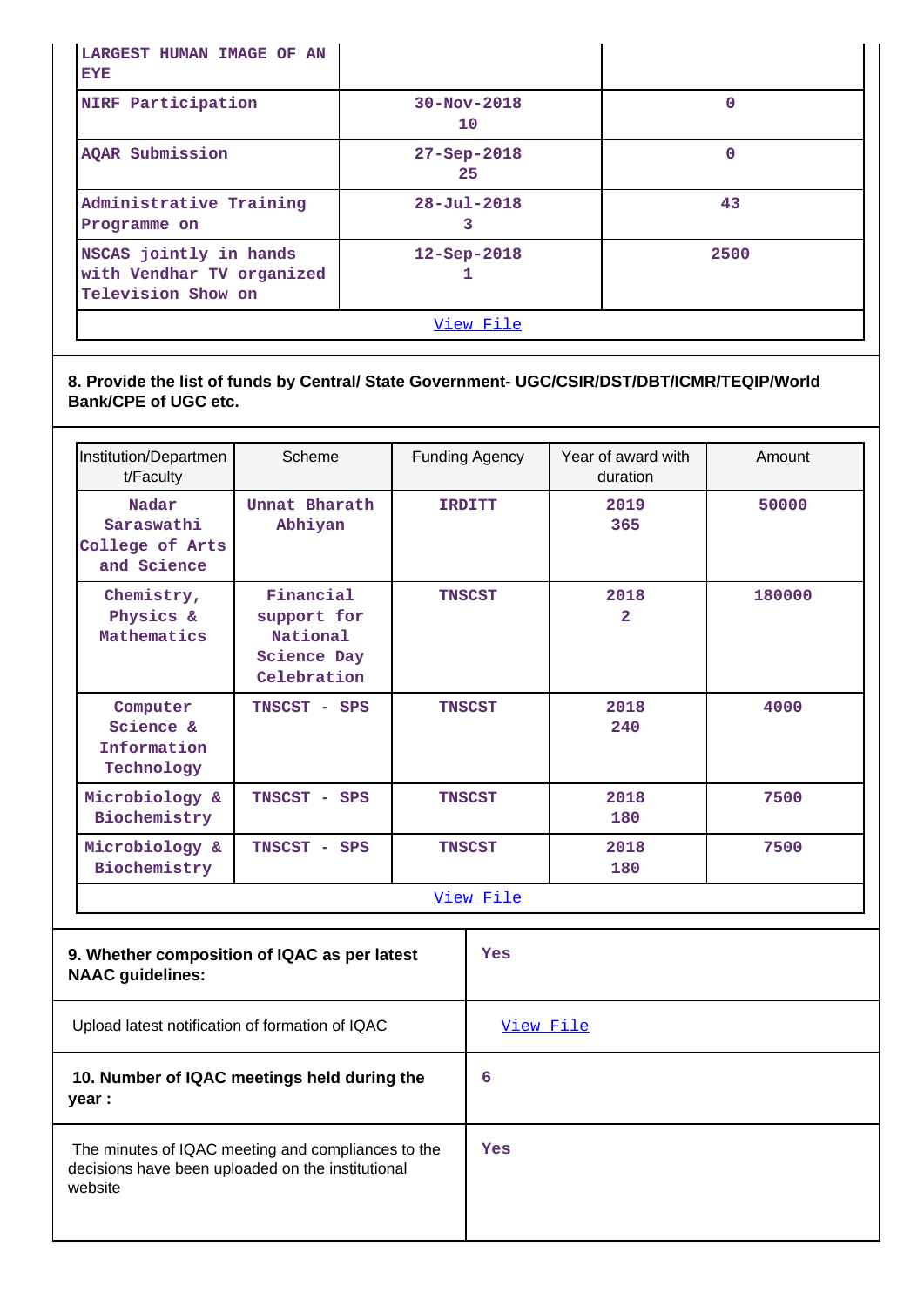| LARGEST HUMAN IMAGE OF AN<br><b>EYE</b>                                   |                         |      |
|---------------------------------------------------------------------------|-------------------------|------|
| NIRF Participation                                                        | $30 - Nov - 2018$<br>10 | 0    |
| AQAR Submission                                                           | $27 - Sep - 2018$<br>25 | 0    |
| Administrative Training<br>Programme on                                   | $28 - Ju1 - 2018$<br>3  | 43   |
| NSCAS jointly in hands<br>with Vendhar TV organized<br>Television Show on | $12 -$ Sep-2018         | 2500 |
|                                                                           | View File               |      |

**8. Provide the list of funds by Central/ State Government- UGC/CSIR/DST/DBT/ICMR/TEQIP/World Bank/CPE of UGC etc.**

| Institution/Departmen<br>t/Faculty                                                                                                                                                                    | Scheme                                                                    | <b>Funding Agency</b> | Year of award with<br>duration | Amount |
|-------------------------------------------------------------------------------------------------------------------------------------------------------------------------------------------------------|---------------------------------------------------------------------------|-----------------------|--------------------------------|--------|
| Nadar<br>Saraswathi<br>College of Arts<br>and Science                                                                                                                                                 | Unnat Bharath<br>Abhiyan                                                  | <b>IRDITT</b>         | 2019<br>365                    | 50000  |
| Chemistry,<br>Physics &<br>Mathematics                                                                                                                                                                | Financial<br>support for<br>National<br><b>Science Day</b><br>Celebration | <b>TNSCST</b>         | 2018<br>$\overline{2}$         | 180000 |
| Computer<br>Science &<br>Information<br>Technology                                                                                                                                                    | TNSCST - SPS                                                              | <b>TNSCST</b>         | 2018<br>240                    | 4000   |
| Microbiology &<br>Biochemistry                                                                                                                                                                        | TNSCST - SPS                                                              | <b>TNSCST</b>         | 2018<br>180                    | 7500   |
| Microbiology &<br>Biochemistry                                                                                                                                                                        | TNSCST - SPS                                                              | <b>TNSCST</b>         | 2018<br>180                    | 7500   |
|                                                                                                                                                                                                       |                                                                           | View File             |                                |        |
| 9. Whether composition of IQAC as per latest<br>Yes<br>$\mathbf{N}$ $\mathbf{A}$ $\mathbf{A}$ $\mathbf{A}$ $\mathbf{A}$ $\mathbf{A}$ $\mathbf{A}$ $\mathbf{A}$ $\mathbf{A}$ $\mathbf{A}$ $\mathbf{A}$ |                                                                           |                       |                                |        |

| <b>NAAC guidelines:</b>                                                                                            |           |
|--------------------------------------------------------------------------------------------------------------------|-----------|
| Upload latest notification of formation of IQAC                                                                    | View File |
| 10. Number of IQAC meetings held during the<br>year :                                                              | 6         |
| The minutes of IQAC meeting and compliances to the<br>decisions have been uploaded on the institutional<br>website | Yes       |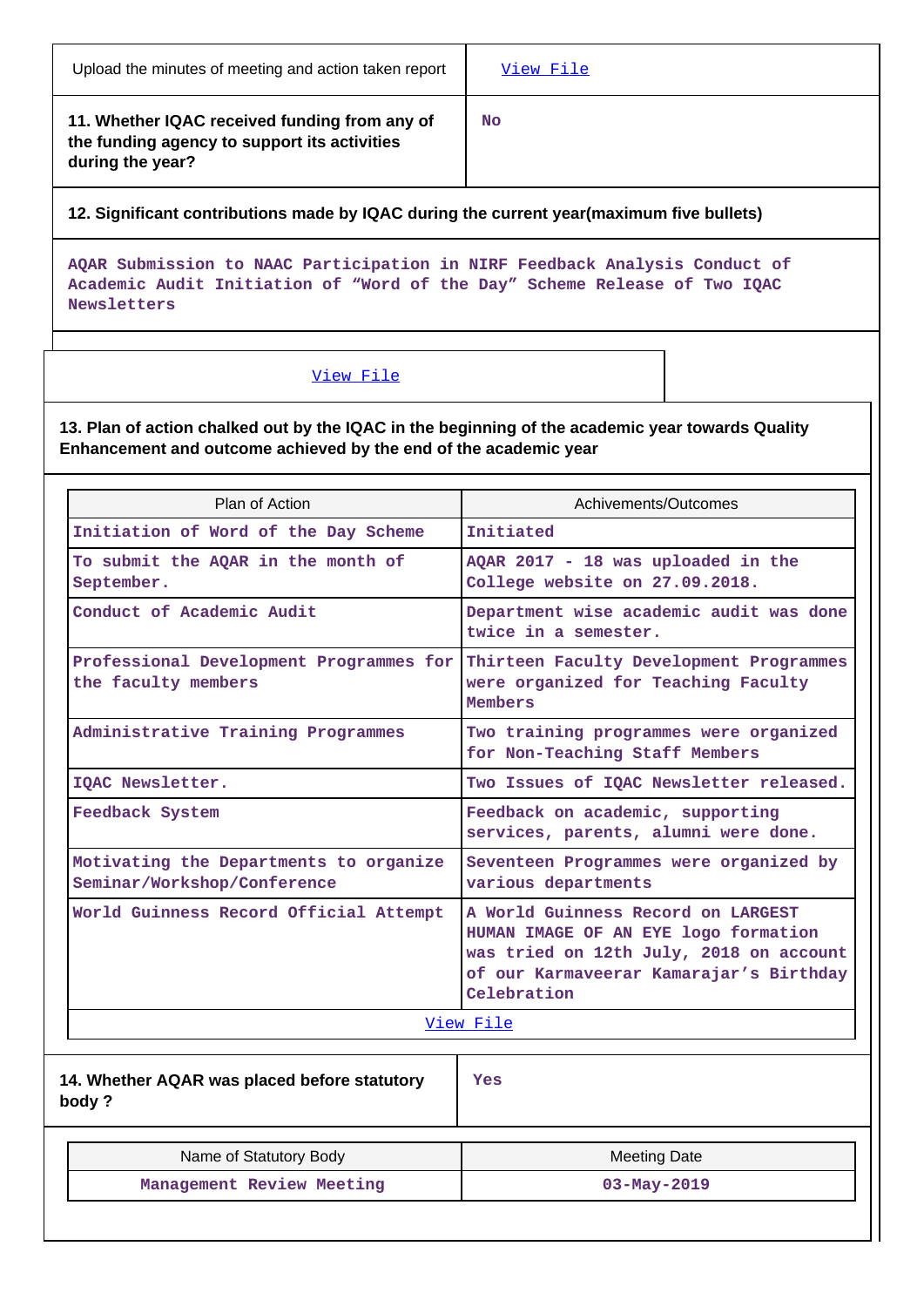| Upload the minutes of meeting and action taken report                                                             | View File |
|-------------------------------------------------------------------------------------------------------------------|-----------|
| 11. Whether IQAC received funding from any of<br>the funding agency to support its activities<br>during the year? | <b>No</b> |

**12. Significant contributions made by IQAC during the current year(maximum five bullets)**

**AQAR Submission to NAAC Participation in NIRF Feedback Analysis Conduct of Academic Audit Initiation of "Word of the Day" Scheme Release of Two IQAC Newsletters**

### [View File](https://assessmentonline.naac.gov.in/public/Postacc/Contribution/4019_Contribution.xlsx)

**13. Plan of action chalked out by the IQAC in the beginning of the academic year towards Quality Enhancement and outcome achieved by the end of the academic year**

| Plan of Action                                                        | Achivements/Outcomes                                                                                                                                                            |  |  |
|-----------------------------------------------------------------------|---------------------------------------------------------------------------------------------------------------------------------------------------------------------------------|--|--|
| Initiation of Word of the Day Scheme                                  | Initiated                                                                                                                                                                       |  |  |
| To submit the AQAR in the month of<br>September.                      | AQAR 2017 - 18 was uploaded in the<br>College website on 27.09.2018.                                                                                                            |  |  |
| Conduct of Academic Audit                                             | Department wise academic audit was done<br>twice in a semester.                                                                                                                 |  |  |
| Professional Development Programmes for<br>the faculty members        | Thirteen Faculty Development Programmes<br>were organized for Teaching Faculty<br><b>Members</b>                                                                                |  |  |
| Administrative Training Programmes                                    | Two training programmes were organized<br>for Non-Teaching Staff Members                                                                                                        |  |  |
| IQAC Newsletter.                                                      | Two Issues of IQAC Newsletter released.                                                                                                                                         |  |  |
| Feedback System                                                       | Feedback on academic, supporting<br>services, parents, alumni were done.                                                                                                        |  |  |
| Motivating the Departments to organize<br>Seminar/Workshop/Conference | Seventeen Programmes were organized by<br>various departments                                                                                                                   |  |  |
| World Guinness Record Official Attempt                                | A World Guinness Record on LARGEST<br>HUMAN IMAGE OF AN EYE logo formation<br>was tried on 12th July, 2018 on account<br>of our Karmaveerar Kamarajar's Birthday<br>Celebration |  |  |
|                                                                       | View File                                                                                                                                                                       |  |  |
| 14. Whether AQAR was placed before statutory<br>body?                 | Yes                                                                                                                                                                             |  |  |
| Name of Statutory Body                                                | <b>Meeting Date</b>                                                                                                                                                             |  |  |
| Management Review Meeting                                             | $03 - May - 2019$                                                                                                                                                               |  |  |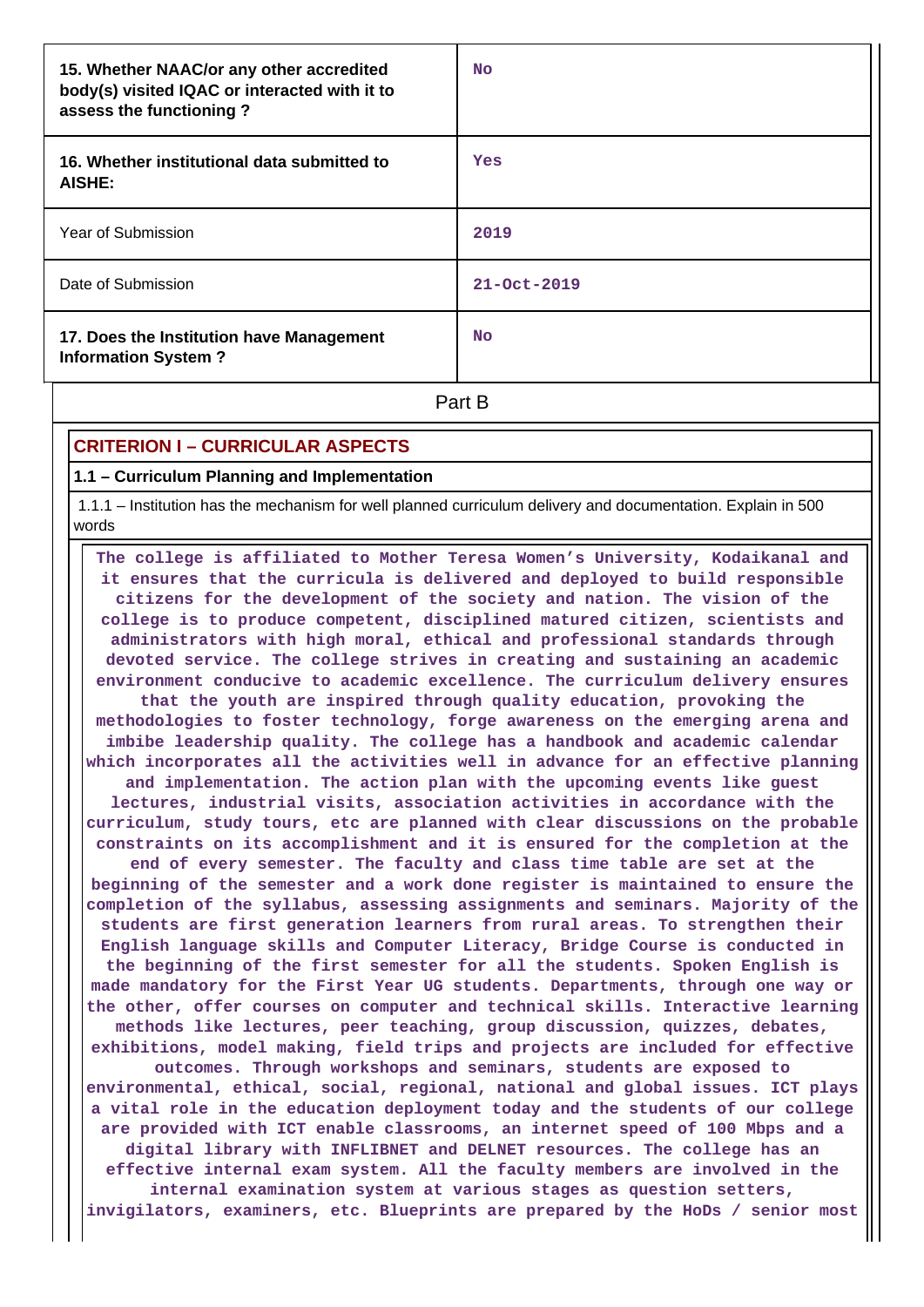| 15. Whether NAAC/or any other accredited<br>body(s) visited IQAC or interacted with it to<br>assess the functioning? | <b>No</b>         |  |  |
|----------------------------------------------------------------------------------------------------------------------|-------------------|--|--|
| 16. Whether institutional data submitted to<br>AISHE:                                                                | Yes               |  |  |
| Year of Submission                                                                                                   | 2019              |  |  |
| Date of Submission                                                                                                   | $21 - Oct - 2019$ |  |  |
| 17. Does the Institution have Management<br><b>Information System?</b>                                               | <b>No</b>         |  |  |
| Part B                                                                                                               |                   |  |  |

### **CRITERION I – CURRICULAR ASPECTS**

**1.1 – Curriculum Planning and Implementation**

 1.1.1 – Institution has the mechanism for well planned curriculum delivery and documentation. Explain in 500 words

 **The college is affiliated to Mother Teresa Women's University, Kodaikanal and it ensures that the curricula is delivered and deployed to build responsible citizens for the development of the society and nation. The vision of the college is to produce competent, disciplined matured citizen, scientists and administrators with high moral, ethical and professional standards through devoted service. The college strives in creating and sustaining an academic environment conducive to academic excellence. The curriculum delivery ensures that the youth are inspired through quality education, provoking the methodologies to foster technology, forge awareness on the emerging arena and imbibe leadership quality. The college has a handbook and academic calendar which incorporates all the activities well in advance for an effective planning and implementation. The action plan with the upcoming events like guest lectures, industrial visits, association activities in accordance with the curriculum, study tours, etc are planned with clear discussions on the probable constraints on its accomplishment and it is ensured for the completion at the end of every semester. The faculty and class time table are set at the beginning of the semester and a work done register is maintained to ensure the completion of the syllabus, assessing assignments and seminars. Majority of the students are first generation learners from rural areas. To strengthen their English language skills and Computer Literacy, Bridge Course is conducted in the beginning of the first semester for all the students. Spoken English is made mandatory for the First Year UG students. Departments, through one way or the other, offer courses on computer and technical skills. Interactive learning methods like lectures, peer teaching, group discussion, quizzes, debates, exhibitions, model making, field trips and projects are included for effective outcomes. Through workshops and seminars, students are exposed to environmental, ethical, social, regional, national and global issues. ICT plays a vital role in the education deployment today and the students of our college are provided with ICT enable classrooms, an internet speed of 100 Mbps and a digital library with INFLIBNET and DELNET resources. The college has an effective internal exam system. All the faculty members are involved in the internal examination system at various stages as question setters, invigilators, examiners, etc. Blueprints are prepared by the HoDs / senior most**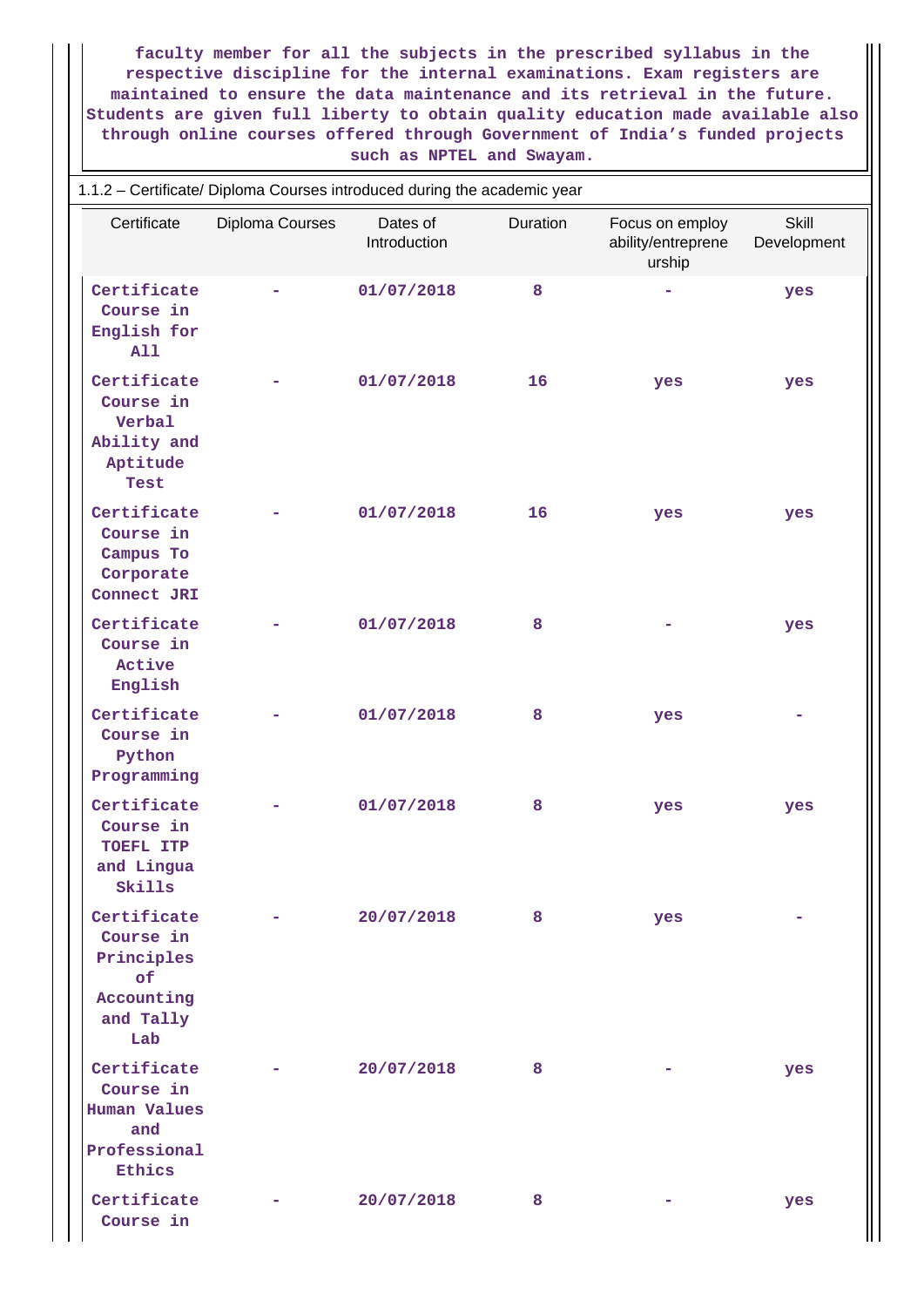**faculty member for all the subjects in the prescribed syllabus in the respective discipline for the internal examinations. Exam registers are maintained to ensure the data maintenance and its retrieval in the future. Students are given full liberty to obtain quality education made available also through online courses offered through Government of India's funded projects such as NPTEL and Swayam.**

| 1.1.2 - Certificate/ Diploma Courses introduced during the academic year         |                 |                          |          |                                                 |                             |  |
|----------------------------------------------------------------------------------|-----------------|--------------------------|----------|-------------------------------------------------|-----------------------------|--|
| Certificate                                                                      | Diploma Courses | Dates of<br>Introduction | Duration | Focus on employ<br>ability/entreprene<br>urship | <b>Skill</b><br>Development |  |
| Certificate<br>Course in<br>English for<br>A11                                   |                 | 01/07/2018               | 8        |                                                 | yes                         |  |
| Certificate<br>Course in<br>Verbal<br>Ability and<br>Aptitude<br>Test            |                 | 01/07/2018               | 16       | yes                                             | yes                         |  |
| Certificate<br>Course in<br>Campus To<br>Corporate<br>Connect JRI                |                 | 01/07/2018               | 16       | yes                                             | yes                         |  |
| Certificate<br>Course in<br>Active<br>English                                    |                 | 01/07/2018               | 8        |                                                 | yes                         |  |
| Certificate<br>Course in<br>Python<br>Programming                                |                 | 01/07/2018               | 8        | yes                                             |                             |  |
| Certificate<br>Course in<br>TOEFL ITP<br>and Lingua<br>Skills                    |                 | 01/07/2018               | 8        | yes                                             | yes                         |  |
| Certificate<br>Course in<br>Principles<br>of<br>Accounting<br>and Tally<br>Lab   |                 | 20/07/2018               | 8        | yes                                             |                             |  |
| Certificate<br>Course in<br><b>Human Values</b><br>and<br>Professional<br>Ethics |                 | 20/07/2018               | 8        |                                                 | yes                         |  |
| Certificate<br>Course in                                                         |                 | 20/07/2018               | 8        |                                                 | yes                         |  |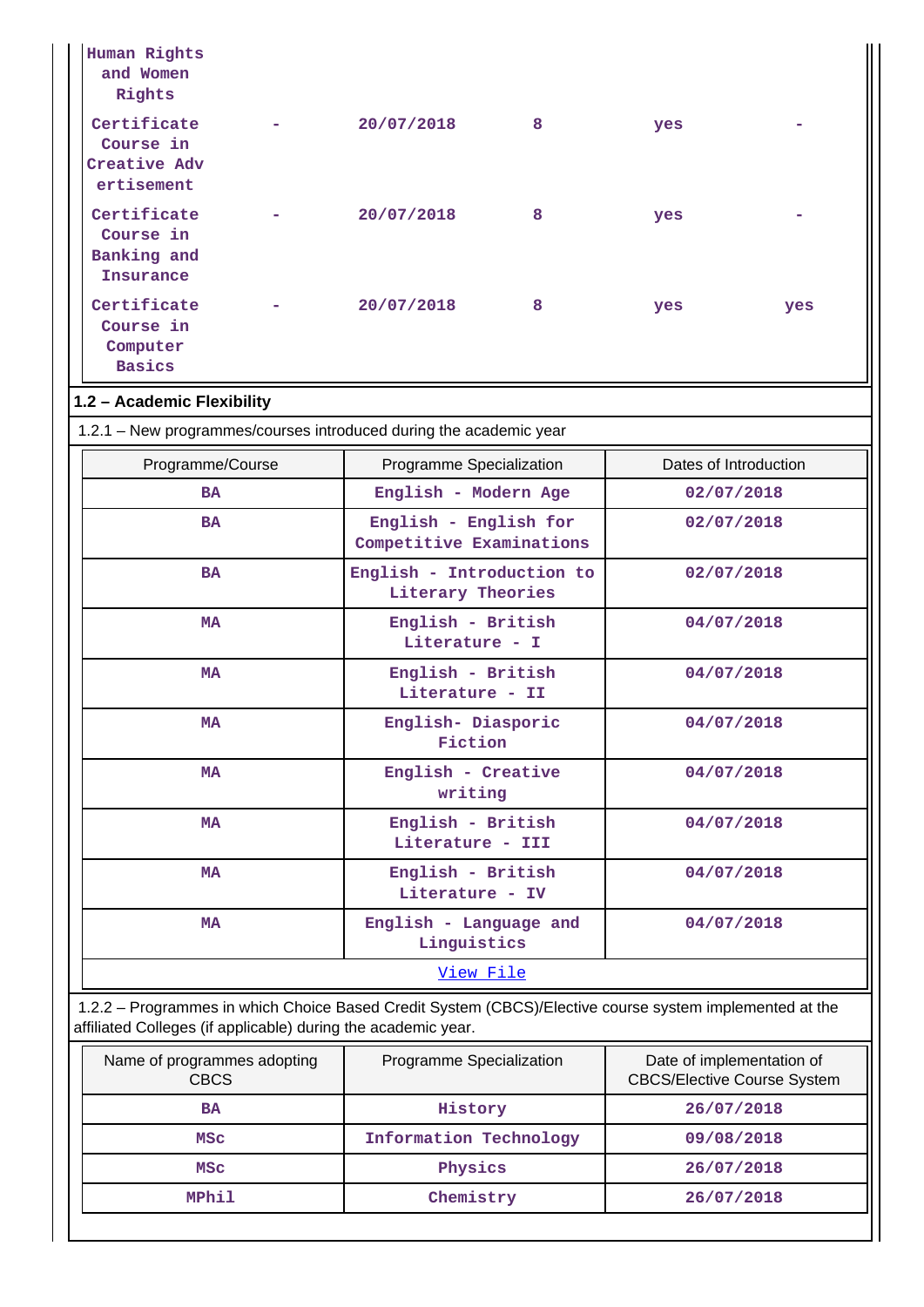| Human Rights<br>and Women<br>Rights                           |                                                                                                         |                                                    |     |                       |  |
|---------------------------------------------------------------|---------------------------------------------------------------------------------------------------------|----------------------------------------------------|-----|-----------------------|--|
| Certificate<br>Course in<br>Creative Adv<br>ertisement        | 20/07/2018                                                                                              | 8                                                  | yes |                       |  |
| Certificate<br>Course in<br>Banking and<br><b>Insurance</b>   | 20/07/2018                                                                                              | 8                                                  | yes |                       |  |
| Certificate<br>Course in<br>Computer<br><b>Basics</b>         | 20/07/2018                                                                                              | 8                                                  | yes | yes                   |  |
| 1.2 - Academic Flexibility                                    |                                                                                                         |                                                    |     |                       |  |
|                                                               | 1.2.1 - New programmes/courses introduced during the academic year                                      |                                                    |     |                       |  |
| Programme/Course                                              | Programme Specialization                                                                                |                                                    |     | Dates of Introduction |  |
| <b>BA</b>                                                     |                                                                                                         | English - Modern Age                               |     | 02/07/2018            |  |
| <b>BA</b>                                                     | English - English for<br>02/07/2018<br>Competitive Examinations                                         |                                                    |     |                       |  |
| <b>BA</b>                                                     |                                                                                                         | English - Introduction to<br>Literary Theories     |     | 02/07/2018            |  |
| <b>MA</b>                                                     | English - British<br>Literature - I                                                                     |                                                    |     | 04/07/2018            |  |
| <b>MA</b>                                                     |                                                                                                         | English - British<br>04/07/2018<br>Literature - II |     |                       |  |
| MA                                                            |                                                                                                         | English- Diasporic<br>04/07/2018<br>Fiction        |     |                       |  |
| <b>MA</b>                                                     |                                                                                                         | English - Creative<br>04/07/2018<br>writing        |     |                       |  |
| <b>MA</b>                                                     | English - British<br>04/07/2018<br>Literature - III                                                     |                                                    |     |                       |  |
| <b>MA</b>                                                     |                                                                                                         | English - British<br>Literature - IV               |     | 04/07/2018            |  |
| MA                                                            | English - Language and<br>04/07/2018<br>Linguistics                                                     |                                                    |     |                       |  |
|                                                               | View File                                                                                               |                                                    |     |                       |  |
| affiliated Colleges (if applicable) during the academic year. | 1.2.2 - Programmes in which Choice Based Credit System (CBCS)/Elective course system implemented at the |                                                    |     |                       |  |
|                                                               |                                                                                                         |                                                    |     |                       |  |

| Name of programmes adopting<br><b>CBCS</b> | Programme Specialization | Date of implementation of<br><b>CBCS/Elective Course System</b> |
|--------------------------------------------|--------------------------|-----------------------------------------------------------------|
| BA                                         | History                  | 26/07/2018                                                      |
| MSC                                        | Information Technology   | 09/08/2018                                                      |
| MSC                                        | Physics                  | 26/07/2018                                                      |
| MPhil                                      | Chemistry                | 26/07/2018                                                      |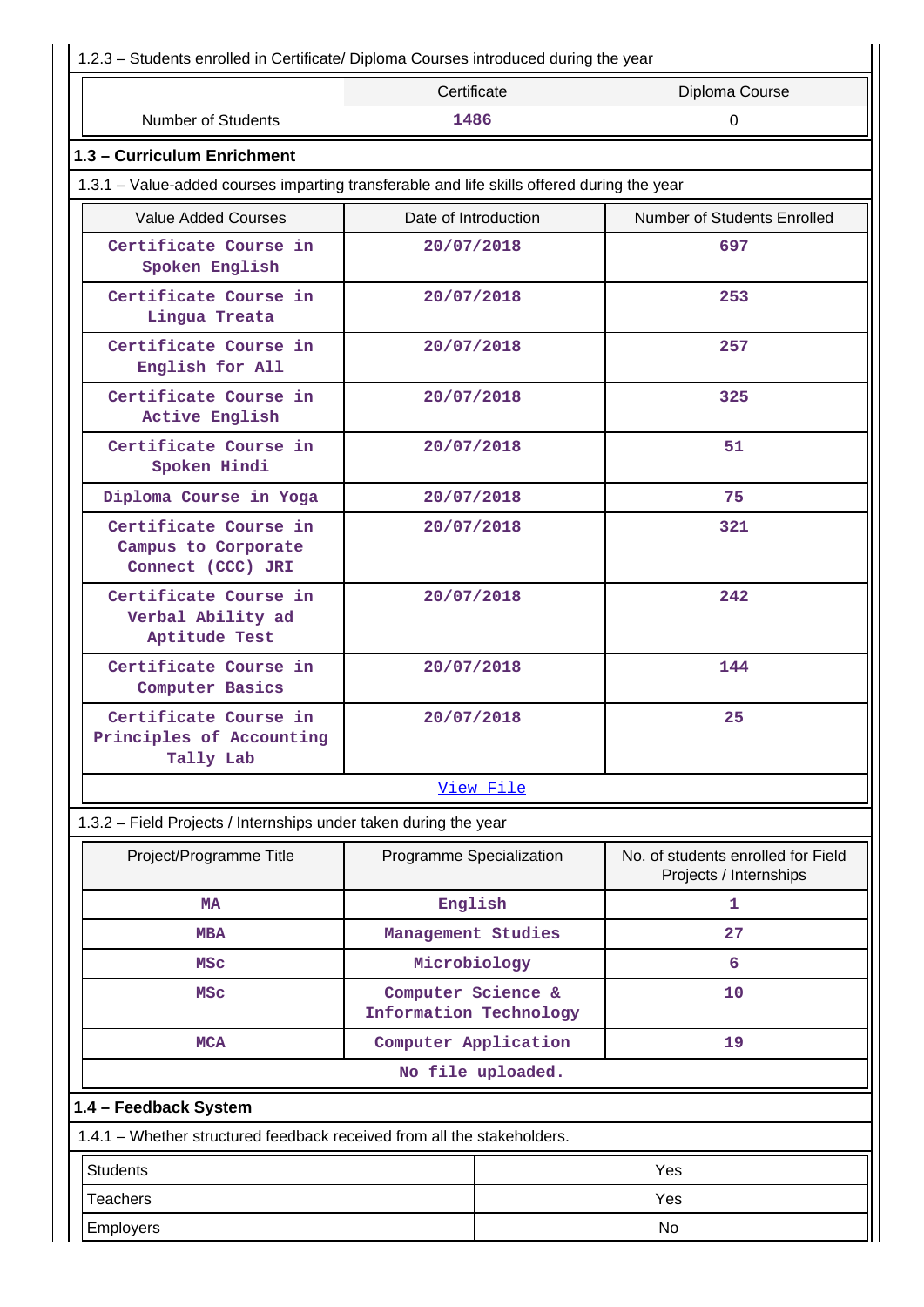| 1.2.3 - Students enrolled in Certificate/ Diploma Courses introduced during the year       |                                              |                   |                                                              |  |
|--------------------------------------------------------------------------------------------|----------------------------------------------|-------------------|--------------------------------------------------------------|--|
|                                                                                            | Certificate                                  |                   | Diploma Course                                               |  |
| <b>Number of Students</b>                                                                  | 1486                                         |                   | 0                                                            |  |
| 1.3 - Curriculum Enrichment                                                                |                                              |                   |                                                              |  |
| 1.3.1 – Value-added courses imparting transferable and life skills offered during the year |                                              |                   |                                                              |  |
| <b>Value Added Courses</b>                                                                 | Date of Introduction                         |                   | Number of Students Enrolled                                  |  |
| Certificate Course in<br>Spoken English                                                    | 20/07/2018                                   |                   | 697                                                          |  |
| Certificate Course in<br>Lingua Treata                                                     | 20/07/2018                                   |                   | 253                                                          |  |
| Certificate Course in<br>English for All                                                   | 20/07/2018                                   |                   | 257                                                          |  |
| Certificate Course in<br>Active English                                                    | 20/07/2018                                   |                   | 325                                                          |  |
| Certificate Course in<br>Spoken Hindi                                                      | 20/07/2018                                   |                   | 51                                                           |  |
| Diploma Course in Yoga                                                                     | 20/07/2018                                   |                   | 75                                                           |  |
| Certificate Course in<br>Campus to Corporate<br>Connect (CCC) JRI                          | 20/07/2018                                   |                   | 321                                                          |  |
| Certificate Course in<br>Verbal Ability ad<br>Aptitude Test                                | 20/07/2018                                   |                   | 242                                                          |  |
| Certificate Course in<br>Computer Basics                                                   | 20/07/2018                                   |                   | 144                                                          |  |
| Certificate Course in<br>Principles of Accounting<br>Tally Lab                             | 20/07/2018                                   |                   | 25                                                           |  |
|                                                                                            |                                              | <u>View File</u>  |                                                              |  |
| 1.3.2 - Field Projects / Internships under taken during the year                           |                                              |                   |                                                              |  |
| Project/Programme Title                                                                    | Programme Specialization                     |                   | No. of students enrolled for Field<br>Projects / Internships |  |
| <b>MA</b>                                                                                  | English                                      |                   | 1                                                            |  |
| <b>MBA</b>                                                                                 | Management Studies                           |                   | 27                                                           |  |
| MSC                                                                                        | Microbiology                                 |                   | 6                                                            |  |
| MSC                                                                                        | Computer Science &<br>Information Technology |                   | 10                                                           |  |
| <b>MCA</b>                                                                                 | Computer Application                         |                   | 19                                                           |  |
|                                                                                            |                                              | No file uploaded. |                                                              |  |
| 1.4 - Feedback System                                                                      |                                              |                   |                                                              |  |
| 1.4.1 - Whether structured feedback received from all the stakeholders.                    |                                              |                   |                                                              |  |
| <b>Students</b>                                                                            |                                              |                   | Yes                                                          |  |
| <b>Teachers</b>                                                                            |                                              | Yes               |                                                              |  |
| Employers                                                                                  |                                              | No                |                                                              |  |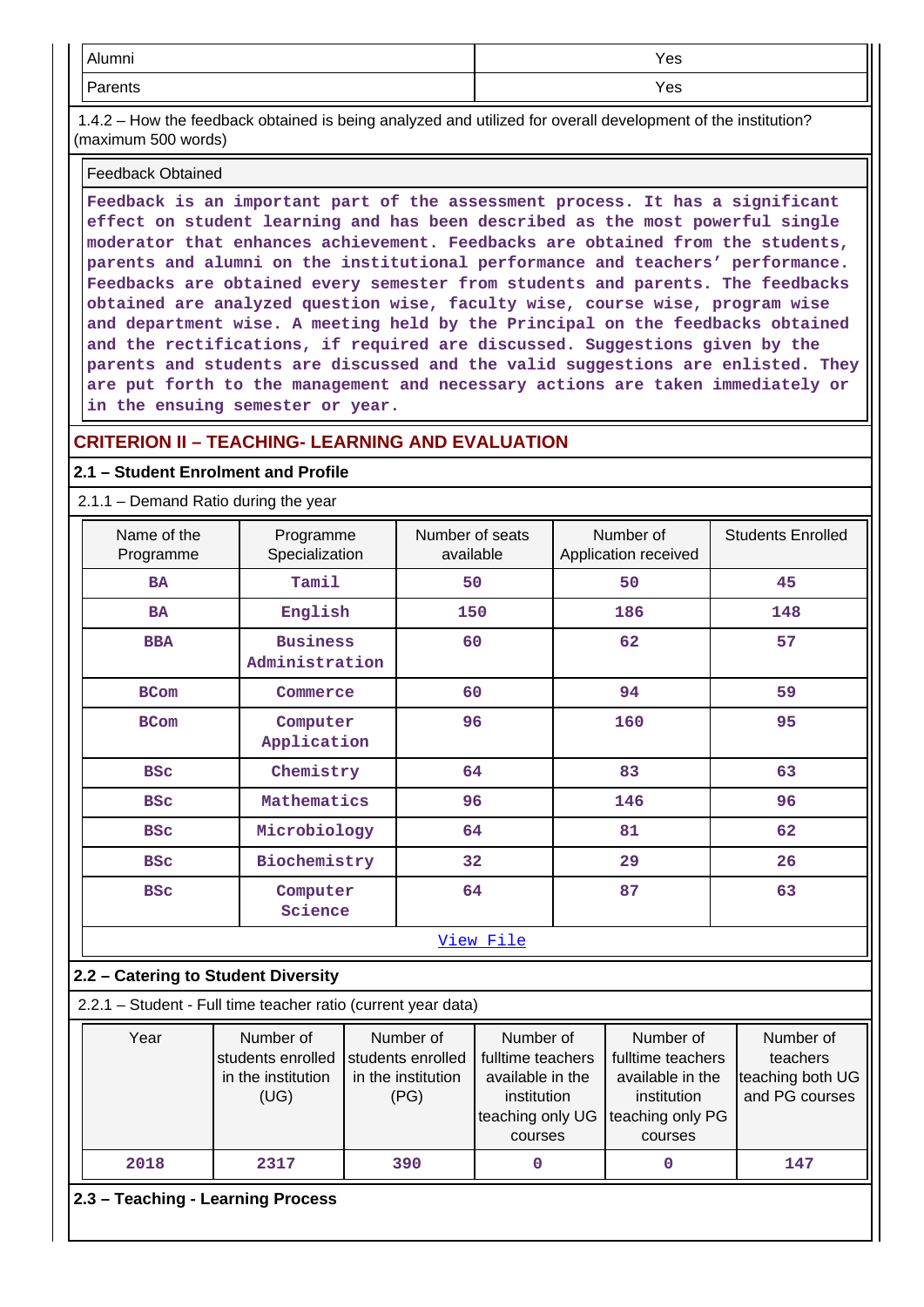| $\Delta$ linean<br>AIUITIITII | Yes |
|-------------------------------|-----|
| -<br>arents                   | Yes |

 1.4.2 – How the feedback obtained is being analyzed and utilized for overall development of the institution? (maximum 500 words)

#### Feedback Obtained

**Feedback is an important part of the assessment process. It has a significant effect on student learning and has been described as the most powerful single moderator that enhances achievement. Feedbacks are obtained from the students, parents and alumni on the institutional performance and teachers' performance. Feedbacks are obtained every semester from students and parents. The feedbacks obtained are analyzed question wise, faculty wise, course wise, program wise and department wise. A meeting held by the Principal on the feedbacks obtained and the rectifications, if required are discussed. Suggestions given by the parents and students are discussed and the valid suggestions are enlisted. They are put forth to the management and necessary actions are taken immediately or in the ensuing semester or year.**

### **CRITERION II – TEACHING- LEARNING AND EVALUATION**

#### **2.1 – Student Enrolment and Profile**

#### 2.1.1 – Demand Ratio during the year

| Name of the<br>Programme                                      | Programme<br>Specialization                                  | Number of seats<br>available                                 |                                                                                                  |     | Number of<br>Application received                                                                | <b>Students Enrolled</b>                                    |
|---------------------------------------------------------------|--------------------------------------------------------------|--------------------------------------------------------------|--------------------------------------------------------------------------------------------------|-----|--------------------------------------------------------------------------------------------------|-------------------------------------------------------------|
| <b>BA</b>                                                     | Tamil                                                        | 50                                                           |                                                                                                  | 50  |                                                                                                  | 45                                                          |
| <b>BA</b>                                                     | English                                                      | 150                                                          |                                                                                                  |     | 186                                                                                              | 148                                                         |
| <b>BBA</b>                                                    | <b>Business</b><br>Administration                            | 60                                                           |                                                                                                  | 62  |                                                                                                  | 57                                                          |
| <b>BCom</b>                                                   | Commerce                                                     | 60                                                           |                                                                                                  |     | 94                                                                                               | 59                                                          |
| <b>BCom</b>                                                   | Computer<br>Application                                      | 96                                                           |                                                                                                  |     | 160                                                                                              | 95                                                          |
| <b>BSC</b>                                                    | Chemistry                                                    | 64                                                           |                                                                                                  |     | 83                                                                                               | 63                                                          |
| <b>BSC</b>                                                    | Mathematics                                                  | 96                                                           |                                                                                                  | 146 |                                                                                                  | 96                                                          |
| <b>BSC</b>                                                    | Microbiology                                                 | 64                                                           |                                                                                                  | 81  |                                                                                                  | 62                                                          |
| <b>BSC</b>                                                    | Biochemistry                                                 | 32                                                           |                                                                                                  |     | 29                                                                                               | 26                                                          |
| <b>BSC</b>                                                    | Computer<br>Science                                          | 64                                                           |                                                                                                  | 87  |                                                                                                  | 63                                                          |
|                                                               |                                                              |                                                              | View File                                                                                        |     |                                                                                                  |                                                             |
| 2.2 - Catering to Student Diversity                           |                                                              |                                                              |                                                                                                  |     |                                                                                                  |                                                             |
| 2.2.1 - Student - Full time teacher ratio (current year data) |                                                              |                                                              |                                                                                                  |     |                                                                                                  |                                                             |
| Year                                                          | Number of<br>students enrolled<br>in the institution<br>(UG) | Number of<br>students enrolled<br>in the institution<br>(PG) | Number of<br>fulltime teachers<br>available in the<br>institution<br>teaching only UG<br>courses |     | Number of<br>fulltime teachers<br>available in the<br>institution<br>teaching only PG<br>courses | Number of<br>teachers<br>teaching both UG<br>and PG courses |
| 2018                                                          | 2317                                                         | 390                                                          | 0                                                                                                |     | $\mathbf 0$                                                                                      | 147                                                         |
| 2.3 - Teaching - Learning Process                             |                                                              |                                                              |                                                                                                  |     |                                                                                                  |                                                             |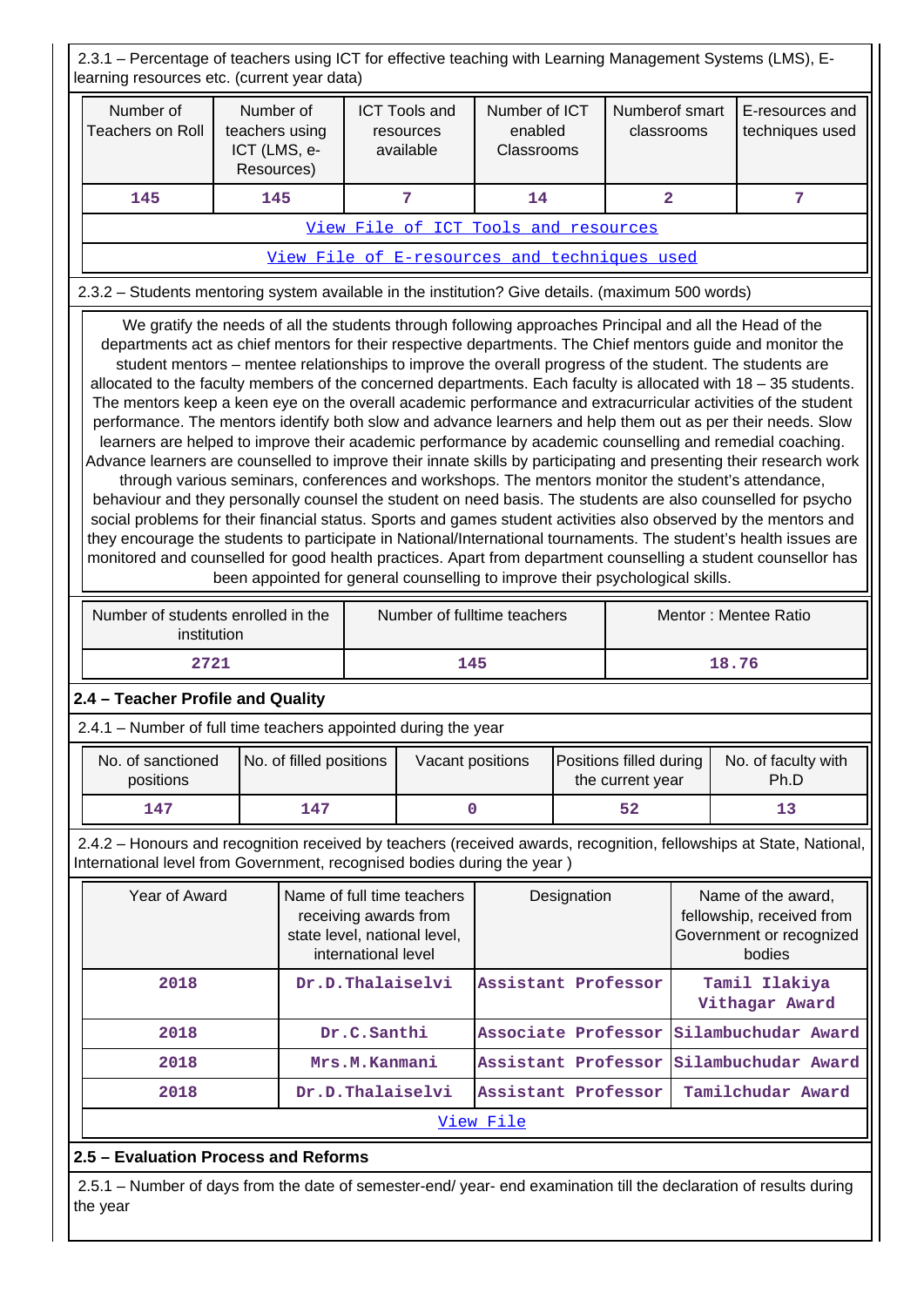2.3.1 – Percentage of teachers using ICT for effective teaching with Learning Management Systems (LMS), Elearning resources etc. (current year data)

| Number of<br><b>Teachers on Roll</b>                                                                                                                                                                                                                                                                                                                                                                                                                                                                                                                                                                                                                                                                                                                                                                                                                                                                                                                                                                                                                                                                                                                                                                                                                                                                                                                                                                                                                                                                                                                                                                                                                                                         | Number of<br>teachers using<br>ICT (LMS, e-<br>Resources) | <b>ICT Tools and</b><br>resources<br>available | Number of ICT<br>enabled<br>Classrooms       | Numberof smart<br>classrooms | E-resources and<br>techniques used |  |
|----------------------------------------------------------------------------------------------------------------------------------------------------------------------------------------------------------------------------------------------------------------------------------------------------------------------------------------------------------------------------------------------------------------------------------------------------------------------------------------------------------------------------------------------------------------------------------------------------------------------------------------------------------------------------------------------------------------------------------------------------------------------------------------------------------------------------------------------------------------------------------------------------------------------------------------------------------------------------------------------------------------------------------------------------------------------------------------------------------------------------------------------------------------------------------------------------------------------------------------------------------------------------------------------------------------------------------------------------------------------------------------------------------------------------------------------------------------------------------------------------------------------------------------------------------------------------------------------------------------------------------------------------------------------------------------------|-----------------------------------------------------------|------------------------------------------------|----------------------------------------------|------------------------------|------------------------------------|--|
| 145                                                                                                                                                                                                                                                                                                                                                                                                                                                                                                                                                                                                                                                                                                                                                                                                                                                                                                                                                                                                                                                                                                                                                                                                                                                                                                                                                                                                                                                                                                                                                                                                                                                                                          | 145                                                       | 7                                              | 14                                           | $\overline{a}$               | 7                                  |  |
|                                                                                                                                                                                                                                                                                                                                                                                                                                                                                                                                                                                                                                                                                                                                                                                                                                                                                                                                                                                                                                                                                                                                                                                                                                                                                                                                                                                                                                                                                                                                                                                                                                                                                              |                                                           |                                                | View File of ICT Tools and resources         |                              |                                    |  |
|                                                                                                                                                                                                                                                                                                                                                                                                                                                                                                                                                                                                                                                                                                                                                                                                                                                                                                                                                                                                                                                                                                                                                                                                                                                                                                                                                                                                                                                                                                                                                                                                                                                                                              |                                                           |                                                | View File of E-resources and techniques used |                              |                                    |  |
|                                                                                                                                                                                                                                                                                                                                                                                                                                                                                                                                                                                                                                                                                                                                                                                                                                                                                                                                                                                                                                                                                                                                                                                                                                                                                                                                                                                                                                                                                                                                                                                                                                                                                              |                                                           |                                                |                                              |                              |                                    |  |
| 2.3.2 - Students mentoring system available in the institution? Give details. (maximum 500 words)<br>We gratify the needs of all the students through following approaches Principal and all the Head of the<br>departments act as chief mentors for their respective departments. The Chief mentors guide and monitor the<br>student mentors – mentee relationships to improve the overall progress of the student. The students are<br>allocated to the faculty members of the concerned departments. Each faculty is allocated with 18 - 35 students.<br>The mentors keep a keen eye on the overall academic performance and extracurricular activities of the student<br>performance. The mentors identify both slow and advance learners and help them out as per their needs. Slow<br>learners are helped to improve their academic performance by academic counselling and remedial coaching.<br>Advance learners are counselled to improve their innate skills by participating and presenting their research work<br>through various seminars, conferences and workshops. The mentors monitor the student's attendance,<br>behaviour and they personally counsel the student on need basis. The students are also counselled for psycho<br>social problems for their financial status. Sports and games student activities also observed by the mentors and<br>they encourage the students to participate in National/International tournaments. The student's health issues are<br>monitored and counselled for good health practices. Apart from department counselling a student counsellor has<br>been appointed for general counselling to improve their psychological skills. |                                                           |                                                |                                              |                              |                                    |  |
| Number of students enrolled in the<br>institution                                                                                                                                                                                                                                                                                                                                                                                                                                                                                                                                                                                                                                                                                                                                                                                                                                                                                                                                                                                                                                                                                                                                                                                                                                                                                                                                                                                                                                                                                                                                                                                                                                            |                                                           | Number of fulltime teachers                    |                                              | Mentor: Mentee Ratio         |                                    |  |
| 2721                                                                                                                                                                                                                                                                                                                                                                                                                                                                                                                                                                                                                                                                                                                                                                                                                                                                                                                                                                                                                                                                                                                                                                                                                                                                                                                                                                                                                                                                                                                                                                                                                                                                                         |                                                           | 145                                            |                                              | 18.76                        |                                    |  |

## **2.4 – Teacher Profile and Quality**

2.4.1 – Number of full time teachers appointed during the year

| No. of sanctioned<br>positions | No. of filled positions | Vacant positions | Positions filled during<br>the current year | No. of faculty with<br>Ph.D |
|--------------------------------|-------------------------|------------------|---------------------------------------------|-----------------------------|
| 147                            | 147                     |                  | 52                                          |                             |

 2.4.2 – Honours and recognition received by teachers (received awards, recognition, fellowships at State, National, International level from Government, recognised bodies during the year )

| Year of Award | Name of full time teachers<br>receiving awards from<br>state level, national level,<br>international level | Designation                             | Name of the award,<br>fellowship, received from<br>Government or recognized<br>bodies |  |  |  |  |
|---------------|------------------------------------------------------------------------------------------------------------|-----------------------------------------|---------------------------------------------------------------------------------------|--|--|--|--|
| 2018          | Dr.D.Thalaiselvi                                                                                           | Assistant Professor                     | Tamil Ilakiya<br>Vithagar Award                                                       |  |  |  |  |
| 2018          | Dr.C.Santhi                                                                                                | Associate Professor Silambuchudar Award |                                                                                       |  |  |  |  |
| 2018          | Mrs.M.Kanmani                                                                                              | Assistant Professor Silambuchudar Award |                                                                                       |  |  |  |  |
| 2018          | Dr.D.Thalaiselvi                                                                                           | Assistant Professor                     | Tamilchudar Award                                                                     |  |  |  |  |
| View File     |                                                                                                            |                                         |                                                                                       |  |  |  |  |

## **2.5 – Evaluation Process and Reforms**

 2.5.1 – Number of days from the date of semester-end/ year- end examination till the declaration of results during the year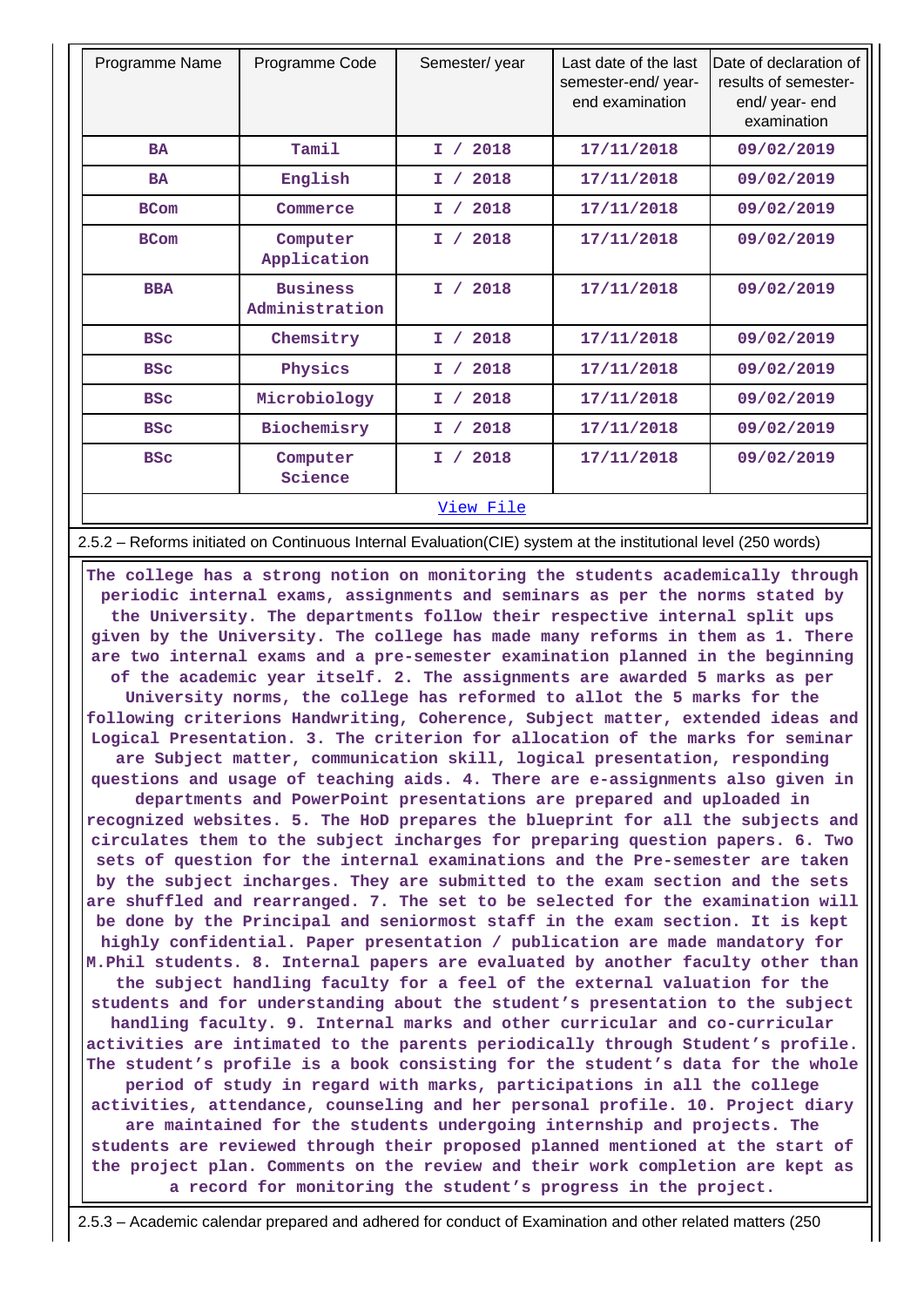| Programme Name | Programme Code                    | Semester/year | Last date of the last<br>semester-end/year-<br>end examination | Date of declaration of<br>results of semester-<br>end/ year- end<br>examination |
|----------------|-----------------------------------|---------------|----------------------------------------------------------------|---------------------------------------------------------------------------------|
| <b>BA</b>      | Tamil                             | 2018<br>I /   | 17/11/2018                                                     | 09/02/2019                                                                      |
| <b>BA</b>      | English                           | 2018<br>I /   | 17/11/2018                                                     | 09/02/2019                                                                      |
| <b>BCom</b>    | Commerce                          | 2018<br>I     | 17/11/2018                                                     | 09/02/2019                                                                      |
| <b>BCom</b>    | Computer<br>Application           | 2018<br>I /   | 17/11/2018                                                     | 09/02/2019                                                                      |
| <b>BBA</b>     | <b>Business</b><br>Administration | 2018<br>I /   | 17/11/2018                                                     | 09/02/2019                                                                      |
| <b>BSC</b>     | Chemsitry                         | 2018<br>I /   | 17/11/2018                                                     | 09/02/2019                                                                      |
| <b>BSC</b>     | Physics                           | 2018<br>Ι.    | 17/11/2018                                                     | 09/02/2019                                                                      |
| <b>BSC</b>     | Microbiology                      | 2018<br>I /   | 17/11/2018                                                     | 09/02/2019                                                                      |
| <b>BSC</b>     | Biochemisry                       | 2018<br>I /   | 17/11/2018                                                     | 09/02/2019                                                                      |
| <b>BSC</b>     | Computer<br>Science               | 2018<br>I /   | 17/11/2018                                                     | 09/02/2019                                                                      |
|                |                                   | View File     |                                                                |                                                                                 |

2.5.2 – Reforms initiated on Continuous Internal Evaluation(CIE) system at the institutional level (250 words)

 **The college has a strong notion on monitoring the students academically through periodic internal exams, assignments and seminars as per the norms stated by the University. The departments follow their respective internal split ups given by the University. The college has made many reforms in them as 1. There are two internal exams and a pre-semester examination planned in the beginning of the academic year itself. 2. The assignments are awarded 5 marks as per University norms, the college has reformed to allot the 5 marks for the following criterions Handwriting, Coherence, Subject matter, extended ideas and Logical Presentation. 3. The criterion for allocation of the marks for seminar are Subject matter, communication skill, logical presentation, responding questions and usage of teaching aids. 4. There are e-assignments also given in departments and PowerPoint presentations are prepared and uploaded in recognized websites. 5. The HoD prepares the blueprint for all the subjects and circulates them to the subject incharges for preparing question papers. 6. Two sets of question for the internal examinations and the Pre-semester are taken by the subject incharges. They are submitted to the exam section and the sets are shuffled and rearranged. 7. The set to be selected for the examination will be done by the Principal and seniormost staff in the exam section. It is kept highly confidential. Paper presentation / publication are made mandatory for M.Phil students. 8. Internal papers are evaluated by another faculty other than the subject handling faculty for a feel of the external valuation for the students and for understanding about the student's presentation to the subject handling faculty. 9. Internal marks and other curricular and co-curricular activities are intimated to the parents periodically through Student's profile. The student's profile is a book consisting for the student's data for the whole period of study in regard with marks, participations in all the college activities, attendance, counseling and her personal profile. 10. Project diary are maintained for the students undergoing internship and projects. The students are reviewed through their proposed planned mentioned at the start of the project plan. Comments on the review and their work completion are kept as a record for monitoring the student's progress in the project.**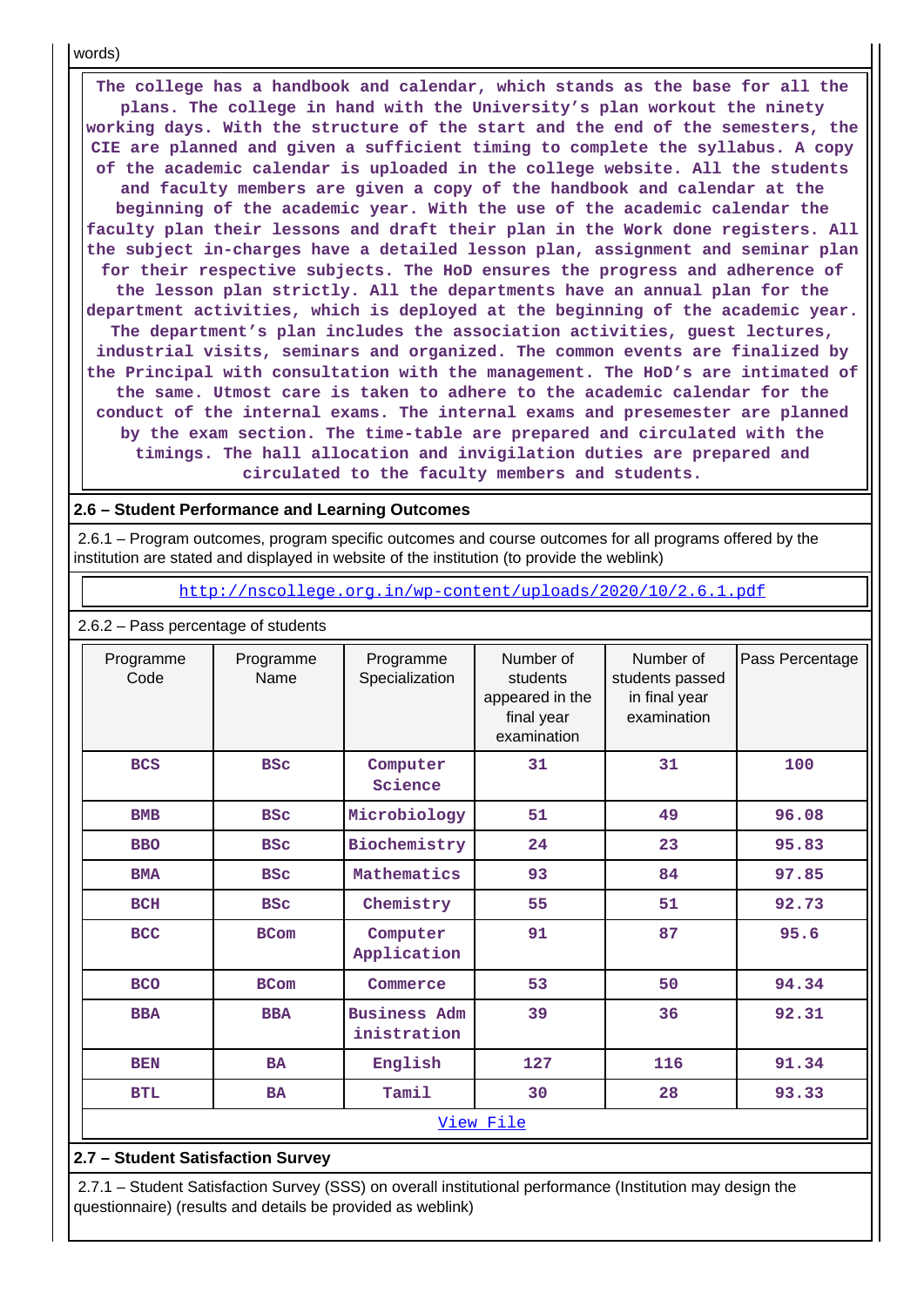words)

 **The college has a handbook and calendar, which stands as the base for all the plans. The college in hand with the University's plan workout the ninety working days. With the structure of the start and the end of the semesters, the CIE are planned and given a sufficient timing to complete the syllabus. A copy of the academic calendar is uploaded in the college website. All the students and faculty members are given a copy of the handbook and calendar at the beginning of the academic year. With the use of the academic calendar the faculty plan their lessons and draft their plan in the Work done registers. All the subject in-charges have a detailed lesson plan, assignment and seminar plan for their respective subjects. The HoD ensures the progress and adherence of the lesson plan strictly. All the departments have an annual plan for the department activities, which is deployed at the beginning of the academic year. The department's plan includes the association activities, guest lectures, industrial visits, seminars and organized. The common events are finalized by the Principal with consultation with the management. The HoD's are intimated of the same. Utmost care is taken to adhere to the academic calendar for the conduct of the internal exams. The internal exams and presemester are planned by the exam section. The time-table are prepared and circulated with the timings. The hall allocation and invigilation duties are prepared and circulated to the faculty members and students.**

#### **2.6 – Student Performance and Learning Outcomes**

2.6.2 – Pass percentage of students

 2.6.1 – Program outcomes, program specific outcomes and course outcomes for all programs offered by the institution are stated and displayed in website of the institution (to provide the weblink)

<http://nscollege.org.in/wp-content/uploads/2020/10/2.6.1.pdf>

| Programme<br>Code | Programme<br>Name | Programme<br>Specialization        | Number of<br>students<br>appeared in the<br>final year<br>examination | Number of<br>students passed<br>in final year<br>examination | Pass Percentage |  |  |  |
|-------------------|-------------------|------------------------------------|-----------------------------------------------------------------------|--------------------------------------------------------------|-----------------|--|--|--|
| <b>BCS</b>        | <b>BSC</b>        | Computer<br>Science                | 31                                                                    | 31                                                           | 100             |  |  |  |
| <b>BMB</b>        | <b>BSC</b>        | Microbiology                       | 51                                                                    | 49                                                           | 96.08           |  |  |  |
| <b>BBO</b>        | <b>BSC</b>        | Biochemistry                       | 24                                                                    | 23                                                           | 95.83           |  |  |  |
| <b>BMA</b>        | <b>BSC</b>        | Mathematics                        | 93                                                                    | 84                                                           | 97.85           |  |  |  |
| <b>BCH</b>        | <b>BSC</b>        | Chemistry                          | 55                                                                    | 51                                                           | 92.73           |  |  |  |
| <b>BCC</b>        | <b>BCom</b>       | Computer<br>Application            | 91                                                                    | 87                                                           | 95.6            |  |  |  |
| <b>BCO</b>        | <b>BCom</b>       | Commerce                           | 53                                                                    | 50                                                           | 94.34           |  |  |  |
| <b>BBA</b>        | <b>BBA</b>        | <b>Business Adm</b><br>inistration | 39                                                                    | 36                                                           | 92.31           |  |  |  |
| <b>BEN</b>        | <b>BA</b>         | English                            | 127                                                                   | 116                                                          | 91.34           |  |  |  |
| <b>BTL</b>        | <b>BA</b>         | Tamil                              | 30                                                                    | 28                                                           | 93.33           |  |  |  |
| <u>View File</u>  |                   |                                    |                                                                       |                                                              |                 |  |  |  |

### **2.7 – Student Satisfaction Survey**

 2.7.1 – Student Satisfaction Survey (SSS) on overall institutional performance (Institution may design the questionnaire) (results and details be provided as weblink)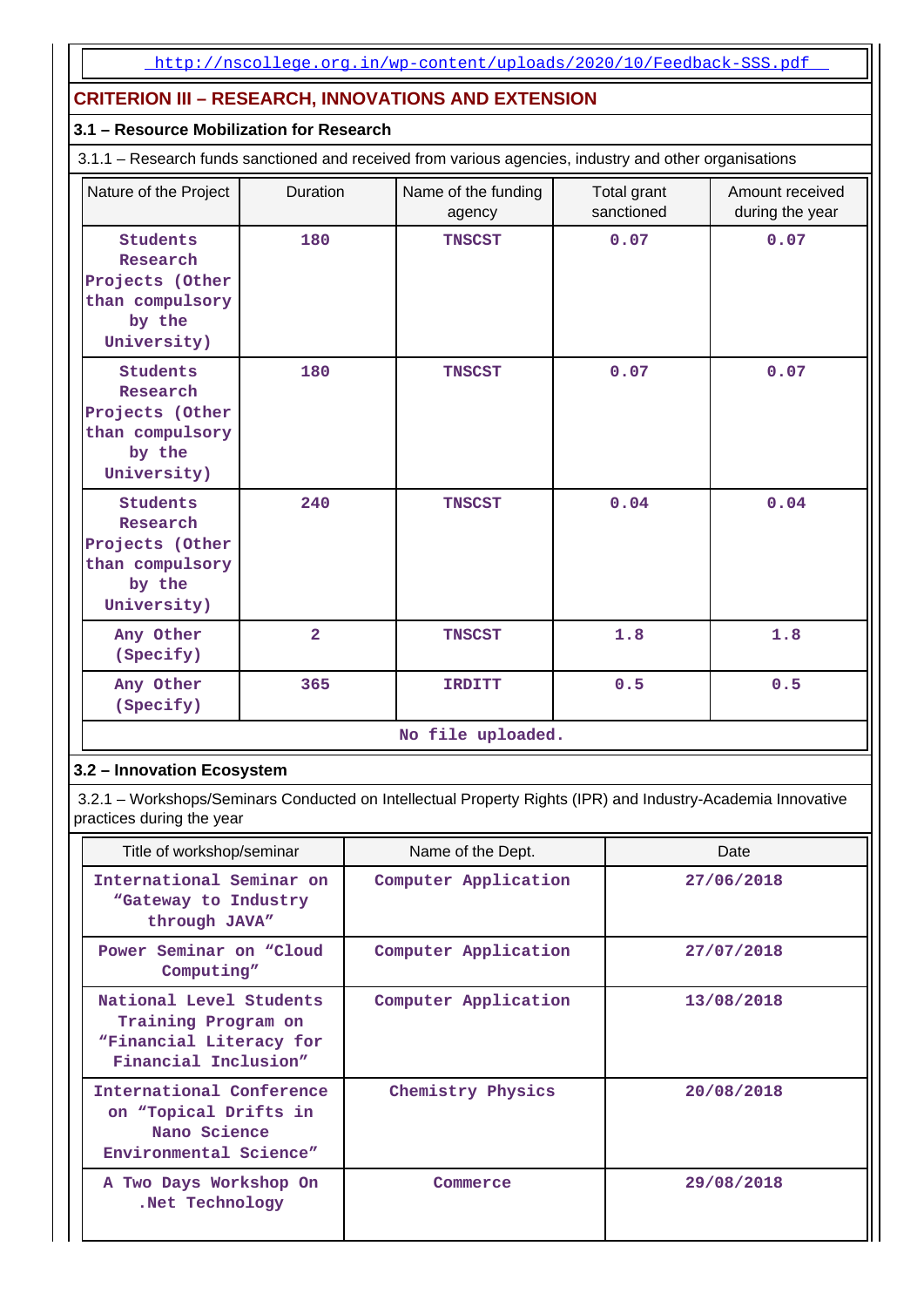## **CRITERION III – RESEARCH, INNOVATIONS AND EXTENSION**

## **3.1 – Resource Mobilization for Research**

3.1.1 – Research funds sanctioned and received from various agencies, industry and other organisations

| Nature of the Project                                                               | <b>Duration</b> | Name of the funding<br>agency | Total grant<br>sanctioned | Amount received<br>during the year |  |  |  |
|-------------------------------------------------------------------------------------|-----------------|-------------------------------|---------------------------|------------------------------------|--|--|--|
| Students<br>Research<br>Projects (Other<br>than compulsory<br>by the<br>University) | 180             | <b>TNSCST</b>                 | 0.07                      | 0.07                               |  |  |  |
| Students<br>Research<br>Projects (Other<br>than compulsory<br>by the<br>University) | 180             | <b>TNSCST</b>                 | 0.07                      | 0.07                               |  |  |  |
| Students<br>Research<br>Projects (Other<br>than compulsory<br>by the<br>University) | 240             | <b>TNSCST</b>                 | 0.04                      | 0.04                               |  |  |  |
| Any Other<br>(Specify)                                                              | $\overline{2}$  | <b>TNSCST</b>                 | 1.8                       | 1.8                                |  |  |  |
| Any Other<br>(Specify)                                                              | 365             | <b>IRDITT</b>                 | 0.5                       | 0.5                                |  |  |  |
| No file uploaded.                                                                   |                 |                               |                           |                                    |  |  |  |

### **3.2 – Innovation Ecosystem**

 3.2.1 – Workshops/Seminars Conducted on Intellectual Property Rights (IPR) and Industry-Academia Innovative practices during the year

| Title of workshop/seminar                                                                         | Name of the Dept.    | Date       |
|---------------------------------------------------------------------------------------------------|----------------------|------------|
| International Seminar on<br>"Gateway to Industry<br>through JAVA"                                 | Computer Application | 27/06/2018 |
| Power Seminar on "Cloud"<br>Computing"                                                            | Computer Application | 27/07/2018 |
| National Level Students<br>Training Program on<br>"Financial Literacy for<br>Financial Inclusion" | Computer Application | 13/08/2018 |
| International Conference<br>on "Topical Drifts in<br>Nano Science<br>Environmental Science"       | Chemistry Physics    | 20/08/2018 |
| A Two Days Workshop On<br>.Net Technology                                                         | Commerce             | 29/08/2018 |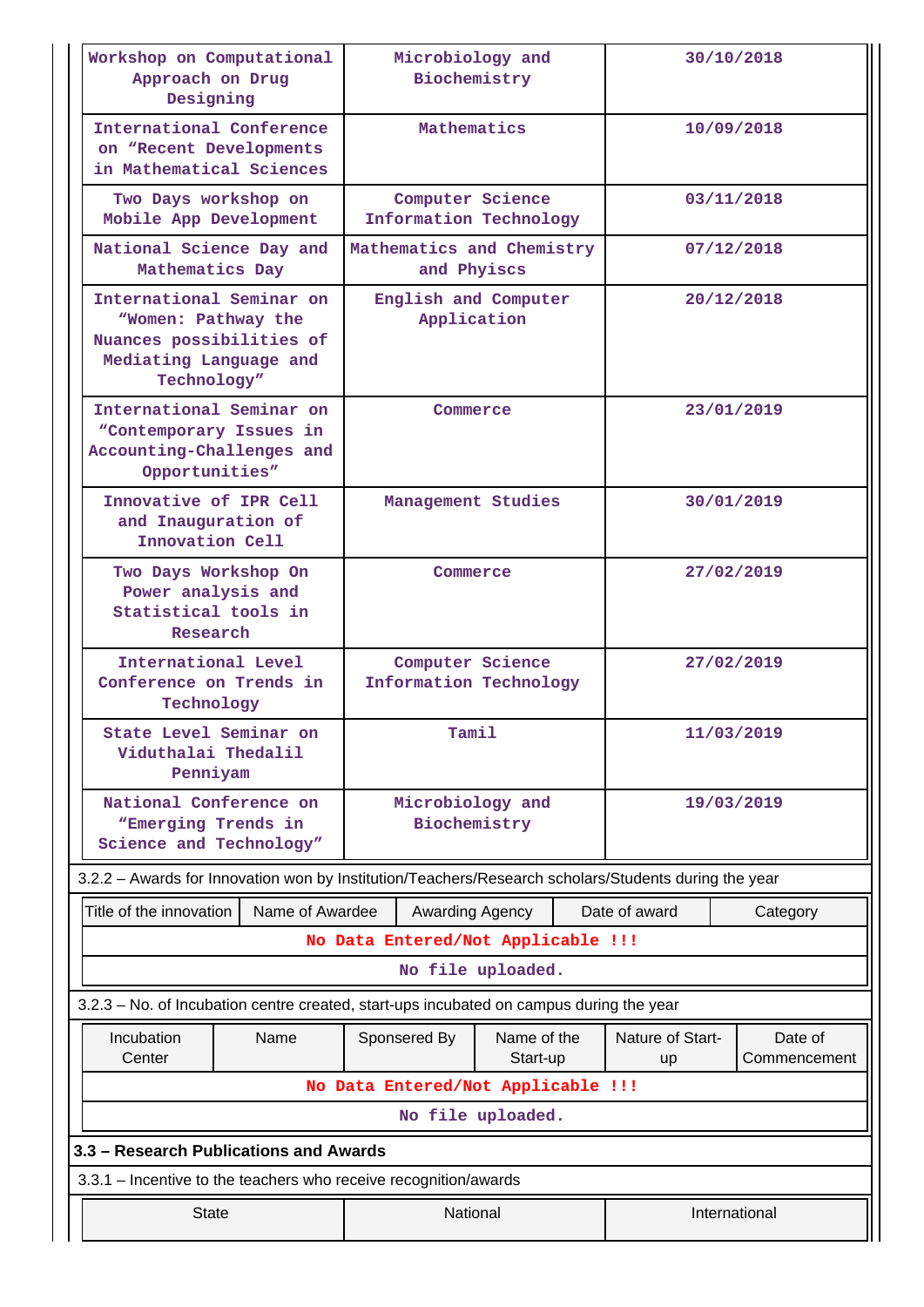| Workshop on Computational<br>Approach on Drug<br>Designing                                                           | Microbiology and<br>Biochemistry           |                                            |               |                        | 30/10/2018              |  |  |
|----------------------------------------------------------------------------------------------------------------------|--------------------------------------------|--------------------------------------------|---------------|------------------------|-------------------------|--|--|
| International Conference<br>on "Recent Developments<br>in Mathematical Sciences                                      |                                            | Mathematics                                |               |                        | 10/09/2018              |  |  |
| Two Days workshop on<br>Mobile App Development                                                                       |                                            | Computer Science<br>Information Technology |               |                        | 03/11/2018              |  |  |
| National Science Day and<br>Mathematics Day                                                                          |                                            | Mathematics and Chemistry<br>and Phyiscs   |               |                        | 07/12/2018              |  |  |
| International Seminar on<br>"Women: Pathway the<br>Nuances possibilities of<br>Mediating Language and<br>Technology" |                                            | English and Computer<br>Application        |               | 20/12/2018             |                         |  |  |
| International Seminar on<br>"Contemporary Issues in<br>Accounting-Challenges and<br>Opportunities"                   |                                            | Commerce                                   |               |                        | 23/01/2019              |  |  |
| Innovative of IPR Cell<br>and Inauguration of<br>Innovation Cell                                                     |                                            | Management Studies                         |               | 30/01/2019             |                         |  |  |
| Two Days Workshop On<br>Power analysis and<br>Statistical tools in<br>Research                                       | Commerce                                   |                                            | 27/02/2019    |                        |                         |  |  |
| International Level<br>Conference on Trends in<br>Technology                                                         | Computer Science<br>Information Technology |                                            | 27/02/2019    |                        |                         |  |  |
| State Level Seminar on<br>Viduthalai Thedalil<br>Penniyam                                                            |                                            | Tamil                                      |               |                        | 11/03/2019              |  |  |
| National Conference on<br>"Emerging Trends in<br>Science and Technology"                                             | Microbiology and<br>Biochemistry           |                                            | 19/03/2019    |                        |                         |  |  |
| 3.2.2 - Awards for Innovation won by Institution/Teachers/Research scholars/Students during the year                 |                                            |                                            |               |                        |                         |  |  |
| Title of the innovation<br>Name of Awardee                                                                           |                                            | Awarding Agency                            |               | Date of award          | Category                |  |  |
|                                                                                                                      |                                            | No Data Entered/Not Applicable !!!         |               |                        |                         |  |  |
|                                                                                                                      |                                            | No file uploaded.                          |               |                        |                         |  |  |
| 3.2.3 - No. of Incubation centre created, start-ups incubated on campus during the year                              |                                            |                                            |               |                        |                         |  |  |
| Name<br>Incubation<br>Center                                                                                         | Sponsered By                               | Name of the<br>Start-up                    |               | Nature of Start-<br>up | Date of<br>Commencement |  |  |
|                                                                                                                      | No Data Entered/Not Applicable !!!         |                                            |               |                        |                         |  |  |
|                                                                                                                      |                                            | No file uploaded.                          |               |                        |                         |  |  |
| 3.3 - Research Publications and Awards                                                                               |                                            |                                            |               |                        |                         |  |  |
| 3.3.1 - Incentive to the teachers who receive recognition/awards                                                     |                                            |                                            |               |                        |                         |  |  |
| <b>State</b>                                                                                                         | National                                   |                                            | International |                        |                         |  |  |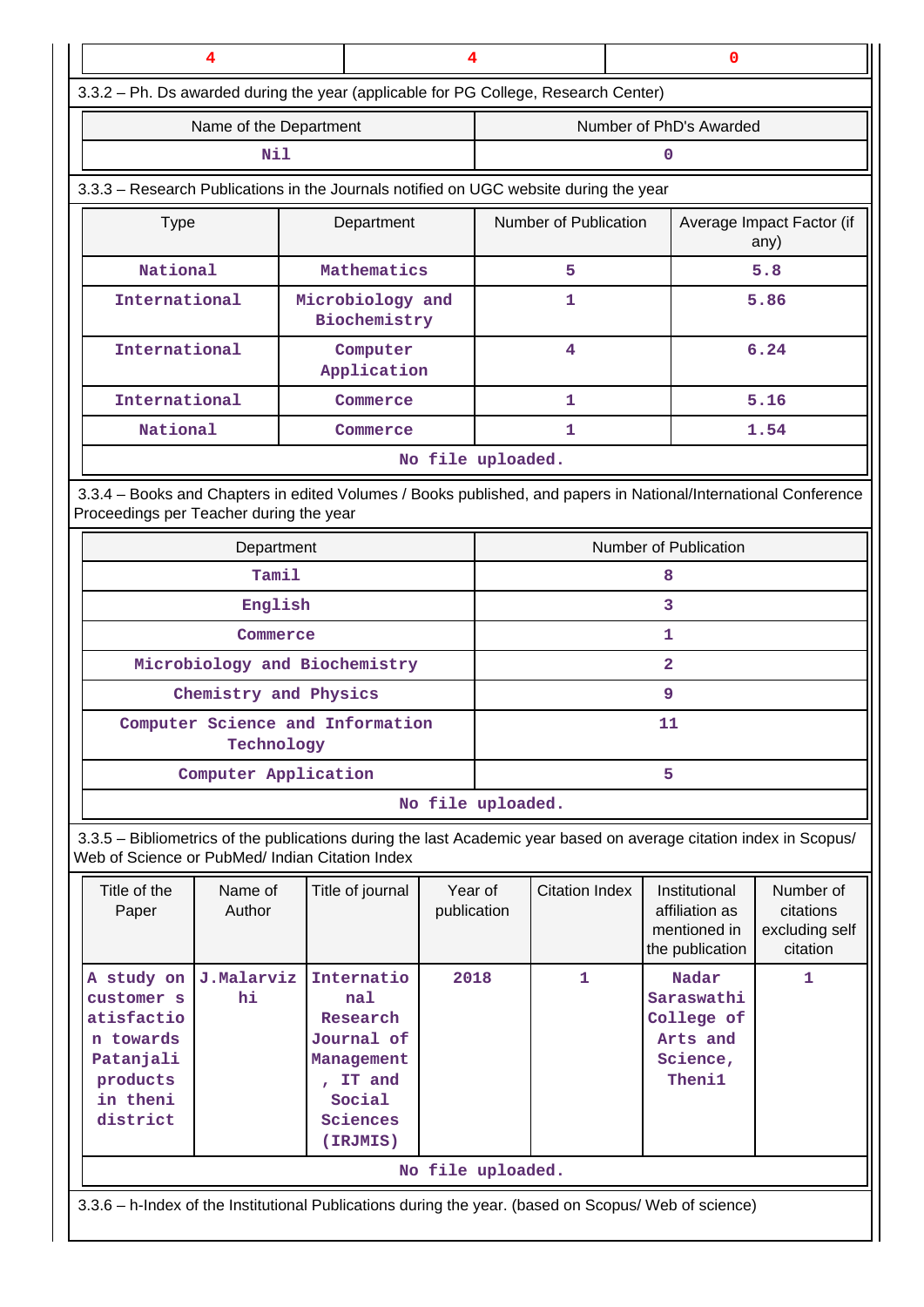| 4                                                                                                                                                                     |                           | 4                                |                       |                         | $\mathbf 0$                       |  |
|-----------------------------------------------------------------------------------------------------------------------------------------------------------------------|---------------------------|----------------------------------|-----------------------|-------------------------|-----------------------------------|--|
| 3.3.2 - Ph. Ds awarded during the year (applicable for PG College, Research Center)                                                                                   |                           |                                  |                       |                         |                                   |  |
| Name of the Department                                                                                                                                                |                           |                                  |                       | Number of PhD's Awarded |                                   |  |
| Nil                                                                                                                                                                   |                           |                                  |                       | n                       |                                   |  |
| 3.3.3 - Research Publications in the Journals notified on UGC website during the year                                                                                 |                           |                                  |                       |                         |                                   |  |
| <b>Type</b><br>Department                                                                                                                                             |                           |                                  | Number of Publication |                         | Average Impact Factor (if<br>any) |  |
| National                                                                                                                                                              |                           | Mathematics                      | 5                     |                         | 5.8                               |  |
| International                                                                                                                                                         |                           | Microbiology and<br>Biochemistry | 1                     |                         | 5.86                              |  |
| International                                                                                                                                                         |                           | Computer<br>Application          | 4                     |                         | 6.24                              |  |
| International                                                                                                                                                         |                           | Commerce<br>1                    |                       |                         | 5.16                              |  |
| National                                                                                                                                                              |                           | Commerce                         | 1                     |                         | 1.54                              |  |
|                                                                                                                                                                       |                           |                                  | No file uploaded.     |                         |                                   |  |
| 3.3.4 - Books and Chapters in edited Volumes / Books published, and papers in National/International Conference<br>Proceedings per Teacher during the year            |                           |                                  |                       |                         |                                   |  |
| Department                                                                                                                                                            |                           |                                  |                       |                         | Number of Publication             |  |
| Tamil                                                                                                                                                                 |                           |                                  | 8                     |                         |                                   |  |
| English                                                                                                                                                               |                           |                                  | 3                     |                         |                                   |  |
| Commerce                                                                                                                                                              |                           |                                  | 1                     |                         |                                   |  |
| Microbiology and Biochemistry                                                                                                                                         |                           |                                  |                       |                         | $\overline{\mathbf{2}}$           |  |
| Chemistry and Physics                                                                                                                                                 |                           |                                  |                       |                         | 9                                 |  |
| Computer Science and Information<br>Technology                                                                                                                        |                           |                                  | 11                    |                         |                                   |  |
|                                                                                                                                                                       | Computer Application<br>5 |                                  |                       |                         |                                   |  |
|                                                                                                                                                                       |                           |                                  | No file uploaded.     |                         |                                   |  |
| 3.3.5 - Bibliometrics of the publications during the last Academic year based on average citation index in Scopus/<br>Web of Science or PubMed/ Indian Citation Index |                           |                                  |                       |                         |                                   |  |

| Title of the<br>Paper                                                                                           | Name of<br>Author | Title of journal                                                                                      | Year of<br>publication | Citation Index | Institutional<br>affiliation as<br>mentioned in<br>the publication  | Number of<br>citations<br>excluding self<br>citation |  |  |  |
|-----------------------------------------------------------------------------------------------------------------|-------------------|-------------------------------------------------------------------------------------------------------|------------------------|----------------|---------------------------------------------------------------------|------------------------------------------------------|--|--|--|
| A study on J.Malarviz<br>customer s<br>atisfactio<br>n towards<br>Patanjali<br>products<br>in theni<br>district | hi.               | Internatio<br>nal<br>Research<br>Journal of<br>Management<br>IT and<br>Social<br>Sciences<br>(IRJMIS) | 2018                   | 1.             | Nadar<br>Saraswathi<br>College of<br>Arts and<br>Science,<br>Theni1 | 1                                                    |  |  |  |
|                                                                                                                 | No file uploaded. |                                                                                                       |                        |                |                                                                     |                                                      |  |  |  |
| 3.3.6 – h-Index of the Institutional Publications during the year. (based on Scopus/ Web of science)            |                   |                                                                                                       |                        |                |                                                                     |                                                      |  |  |  |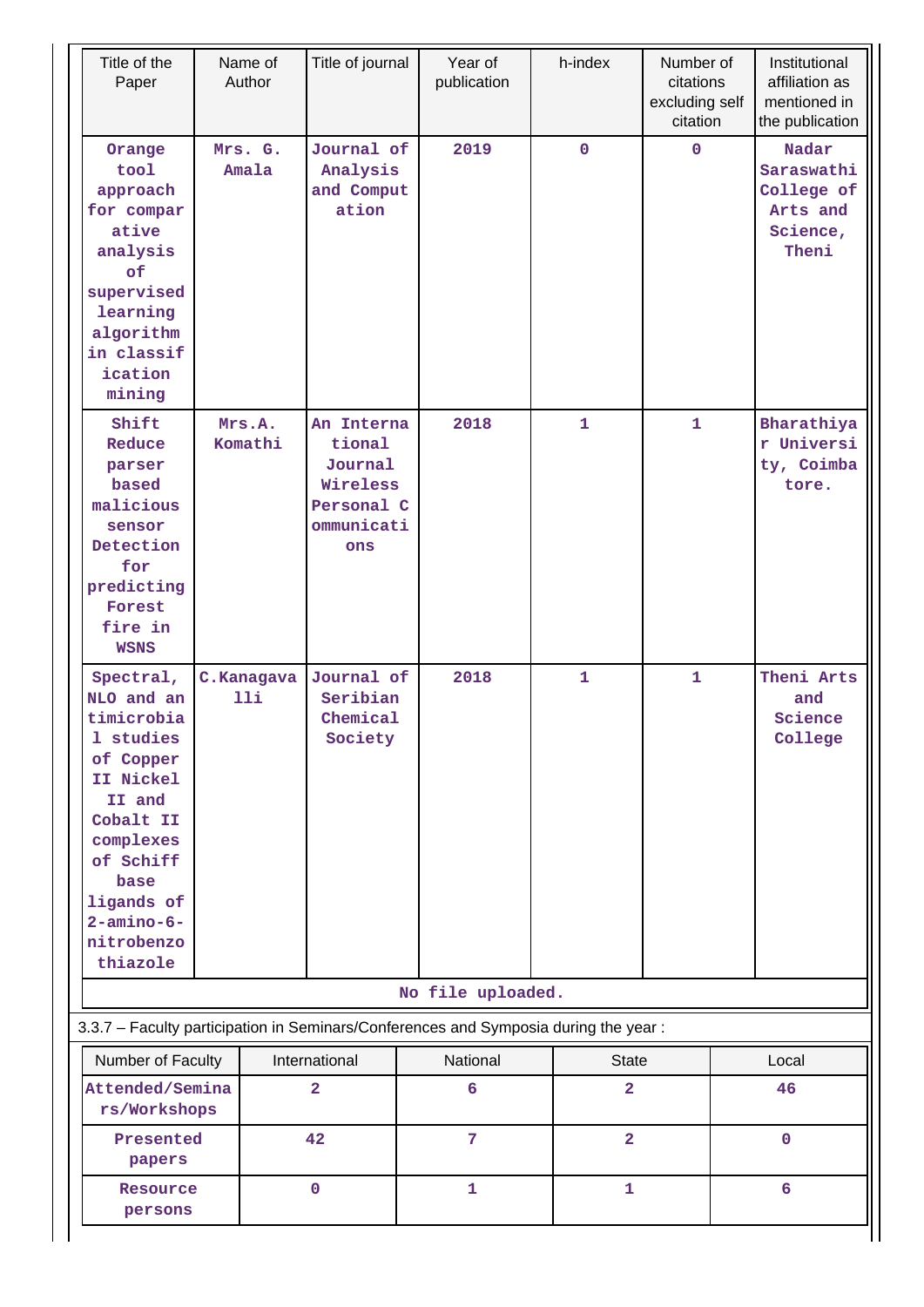| Title of the<br>Paper                                                                                                                                                                          | Name of<br>Author | Title of journal                                                               | Year of<br>publication                                                                          | h-index                 | Number of<br>citations<br>excluding self<br>citation | Institutional<br>affiliation as<br>mentioned in<br>the publication |
|------------------------------------------------------------------------------------------------------------------------------------------------------------------------------------------------|-------------------|--------------------------------------------------------------------------------|-------------------------------------------------------------------------------------------------|-------------------------|------------------------------------------------------|--------------------------------------------------------------------|
| Orange<br>tool<br>approach<br>for compar<br>ative<br>analysis<br>of<br>supervised<br>learning<br>algorithm<br>in classif<br>ication<br>mining                                                  | Mrs. G.<br>Amala  | Journal of<br>Analysis<br>and Comput<br>ation                                  | 2019                                                                                            | $\mathbf 0$             | $\Omega$                                             | Nadar<br>Saraswathi<br>College of<br>Arts and<br>Science,<br>Theni |
| Shift<br>Reduce<br>parser<br>based<br>malicious<br>sensor<br>Detection<br>for<br>predicting<br>Forest<br>fire in<br><b>WSNS</b>                                                                | Mrs.A.<br>Komathi | An Interna<br>tional<br>Journal<br>Wireless<br>Personal C<br>ommunicati<br>ons | 2018                                                                                            | $\mathbf{1}$            | $\mathbf{1}$                                         | Bharathiya<br>r Universi<br>ty, Coimba<br>tore.                    |
| Spectral,<br>NLO and an<br>timicrobia<br>1 studies<br>of Copper<br>II Nickel<br>II and<br>Cobalt II<br>complexes<br>of Schiff<br>base<br>ligands of<br>$2$ -amino-6-<br>nitrobenzo<br>thiazole | C.Kanagava<br>11i | Journal of<br>Seribian<br>Chemical<br>Society                                  | 2018                                                                                            | $\mathbf{1}$            | $\mathbf{1}$                                         | Theni Arts<br>and<br>Science<br>College                            |
|                                                                                                                                                                                                |                   |                                                                                | No file uploaded.                                                                               |                         |                                                      |                                                                    |
| Number of Faculty                                                                                                                                                                              |                   | International                                                                  | 3.3.7 - Faculty participation in Seminars/Conferences and Symposia during the year:<br>National | <b>State</b>            |                                                      | Local                                                              |
| Attended/Semina<br>rs/Workshops                                                                                                                                                                |                   | $\mathbf{2}$                                                                   | 6                                                                                               | $\mathbf{2}$            |                                                      | 46                                                                 |
| Presented<br>papers                                                                                                                                                                            |                   | 42                                                                             | 7                                                                                               | $\overline{\mathbf{2}}$ |                                                      | $\mathbf 0$                                                        |
| Resource<br>persons                                                                                                                                                                            |                   | $\mathbf 0$                                                                    | $\mathbf{1}$                                                                                    | $\mathbf{1}$            |                                                      | 6                                                                  |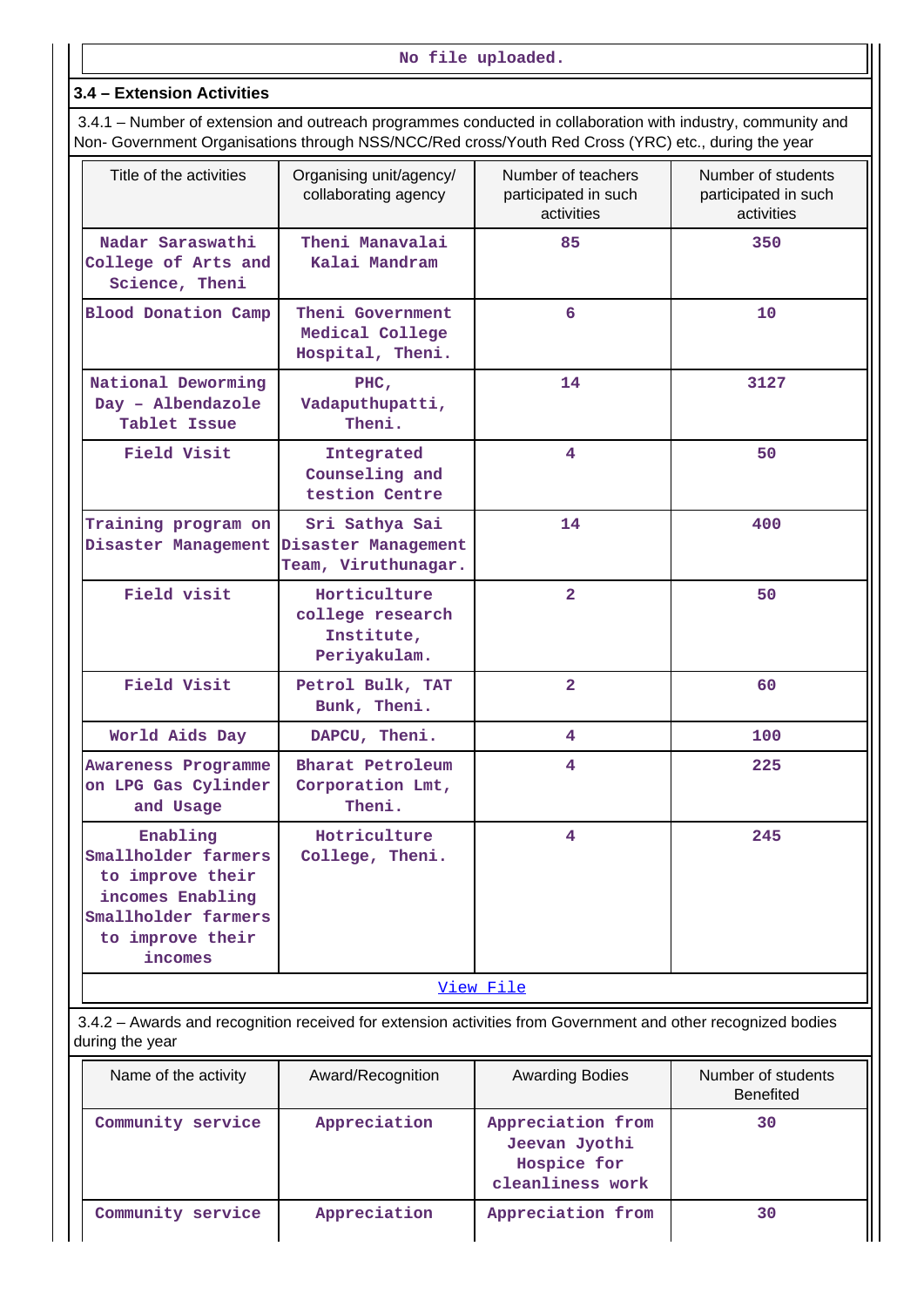### **3.4 – Extension Activities**

 3.4.1 – Number of extension and outreach programmes conducted in collaboration with industry, community and Non- Government Organisations through NSS/NCC/Red cross/Youth Red Cross (YRC) etc., during the year

| Title of the activities                                                                                                       | Organising unit/agency/<br>collaborating agency                | Number of teachers<br>participated in such<br>activities | Number of students<br>participated in such<br>activities |
|-------------------------------------------------------------------------------------------------------------------------------|----------------------------------------------------------------|----------------------------------------------------------|----------------------------------------------------------|
| Nadar Saraswathi<br>College of Arts and<br>Science, Theni                                                                     | Theni Manavalai<br>Kalai Mandram                               | 85                                                       | 350                                                      |
| <b>Blood Donation Camp</b>                                                                                                    | Theni Government<br>Medical College<br>Hospital, Theni.        | 6                                                        | 10                                                       |
| National Deworming<br>Day - Albendazole<br>Tablet Issue                                                                       | PHC,<br>Vadaputhupatti,<br>Theni.                              | 14                                                       | 3127                                                     |
| Field Visit                                                                                                                   | Integrated<br>Counseling and<br>testion Centre                 | 4                                                        | 50                                                       |
| Training program on<br>Disaster Management                                                                                    | Sri Sathya Sai<br>Disaster Management<br>Team, Viruthunagar.   | 14                                                       | 400                                                      |
| Field visit                                                                                                                   | Horticulture<br>college research<br>Institute,<br>Periyakulam. | $\overline{2}$                                           | 50                                                       |
| Field Visit                                                                                                                   | Petrol Bulk, TAT<br>Bunk, Theni.                               | $\overline{2}$                                           | 60                                                       |
| World Aids Day                                                                                                                | DAPCU, Theni.                                                  | 4                                                        | 100                                                      |
| Awareness Programme<br>on LPG Gas Cylinder<br>and Usage                                                                       | Bharat Petroleum<br>Corporation Lmt,<br>Theni.                 | 4                                                        | 225                                                      |
| Enabling<br>Smallholder farmers<br>to improve their<br>incomes Enabling<br>Smallholder farmers<br>to improve their<br>incomes | Hotriculture<br>College, Theni.                                | 4                                                        | 245                                                      |
|                                                                                                                               |                                                                | View File                                                |                                                          |

 3.4.2 – Awards and recognition received for extension activities from Government and other recognized bodies during the year

| Name of the activity | Award/Recognition | <b>Awarding Bodies</b>                                                | Number of students<br><b>Benefited</b> |
|----------------------|-------------------|-----------------------------------------------------------------------|----------------------------------------|
| Community service    | Appreciation      | Appreciation from<br>Jeevan Jyothi<br>Hospice for<br>cleanliness work | 30                                     |
| Community service    | Appreciation      | Appreciation from                                                     | 30                                     |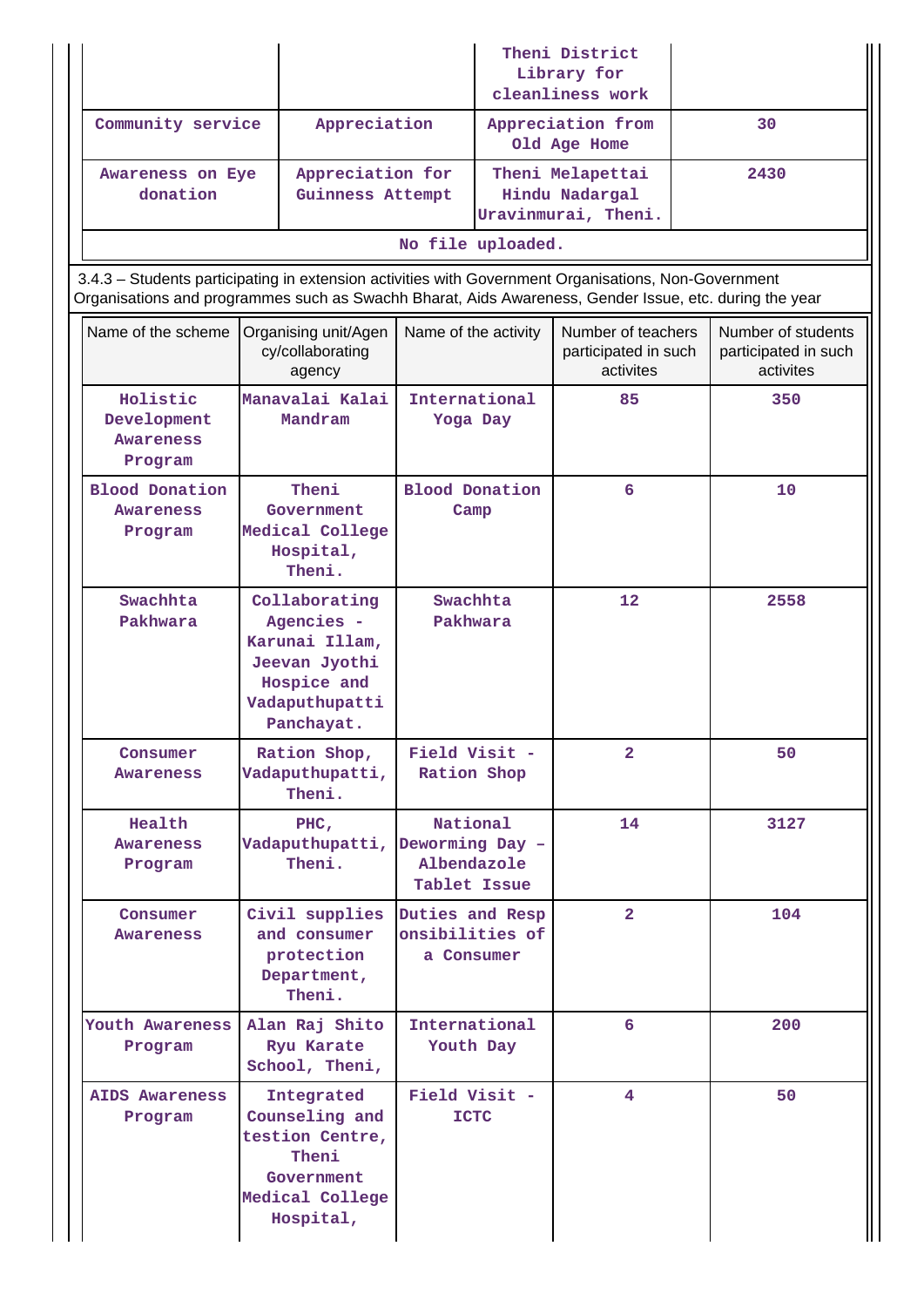|                                                                                                                                                                                                                |                                                                                                               |                                                            | Theni District<br>Library for<br>cleanliness work<br>Appreciation from<br>Old Age Home |                                                           |    |                                                         |
|----------------------------------------------------------------------------------------------------------------------------------------------------------------------------------------------------------------|---------------------------------------------------------------------------------------------------------------|------------------------------------------------------------|----------------------------------------------------------------------------------------|-----------------------------------------------------------|----|---------------------------------------------------------|
| Community service                                                                                                                                                                                              | Appreciation                                                                                                  |                                                            |                                                                                        |                                                           | 30 |                                                         |
| Awareness on Eye<br>donation                                                                                                                                                                                   | Appreciation for<br>Guinness Attempt                                                                          |                                                            |                                                                                        | Theni Melapettai<br>Hindu Nadargal<br>Uravinmurai, Theni. |    | 2430                                                    |
|                                                                                                                                                                                                                |                                                                                                               |                                                            | No file uploaded.                                                                      |                                                           |    |                                                         |
| 3.4.3 - Students participating in extension activities with Government Organisations, Non-Government<br>Organisations and programmes such as Swachh Bharat, Aids Awareness, Gender Issue, etc. during the year |                                                                                                               |                                                            |                                                                                        |                                                           |    |                                                         |
| Name of the scheme                                                                                                                                                                                             | Organising unit/Agen<br>cy/collaborating<br>agency                                                            | Name of the activity                                       |                                                                                        | Number of teachers<br>participated in such<br>activites   |    | Number of students<br>participated in such<br>activites |
| Holistic<br>Development<br><b>Awareness</b><br>Program                                                                                                                                                         | Manavalai Kalai<br>Mandram                                                                                    | International<br>Yoga Day                                  |                                                                                        | 85                                                        |    | 350                                                     |
| <b>Blood Donation</b><br>Awareness<br>Program                                                                                                                                                                  | Theni<br>Government<br>Medical College<br>Hospital,<br>Theni.                                                 | Blood Donation<br>Camp                                     |                                                                                        | 6                                                         |    | 10                                                      |
| Swachhta<br>Pakhwara                                                                                                                                                                                           | Collaborating<br>Agencies -<br>Karunai Illam,<br>Jeevan Jyothi<br>Hospice and<br>Vadaputhupatti<br>Panchayat. | Swachhta<br>Pakhwara                                       |                                                                                        | 12                                                        |    | 2558                                                    |
| Consumer<br>Awareness                                                                                                                                                                                          | Ration Shop,<br>Vadaputhupatti,<br>Theni.                                                                     | Field Visit -<br>Ration Shop                               |                                                                                        | $\overline{2}$                                            |    | 50                                                      |
| Health<br>Awareness<br>Program                                                                                                                                                                                 | PHC,<br>Vadaputhupatti,<br>Theni.                                                                             | National<br>Deworming Day -<br>Albendazole<br>Tablet Issue |                                                                                        | 14                                                        |    | 3127                                                    |
| Consumer<br>Awareness                                                                                                                                                                                          | Civil supplies<br>and consumer<br>protection<br>Department,<br>Theni.                                         | Duties and Resp<br>onsibilities of<br>a Consumer           |                                                                                        | $\overline{2}$                                            |    | 104                                                     |
| Youth Awareness<br>Program                                                                                                                                                                                     | Alan Raj Shito<br>Ryu Karate<br>School, Theni,                                                                | International<br>Youth Day                                 |                                                                                        | 6                                                         |    | 200                                                     |
| <b>AIDS Awareness</b><br>Program                                                                                                                                                                               | Integrated<br>Counseling and<br>testion Centre,<br>Theni<br>Government<br>Medical College<br>Hospital,        | Field Visit -<br><b>ICTC</b>                               |                                                                                        | 4                                                         |    | 50                                                      |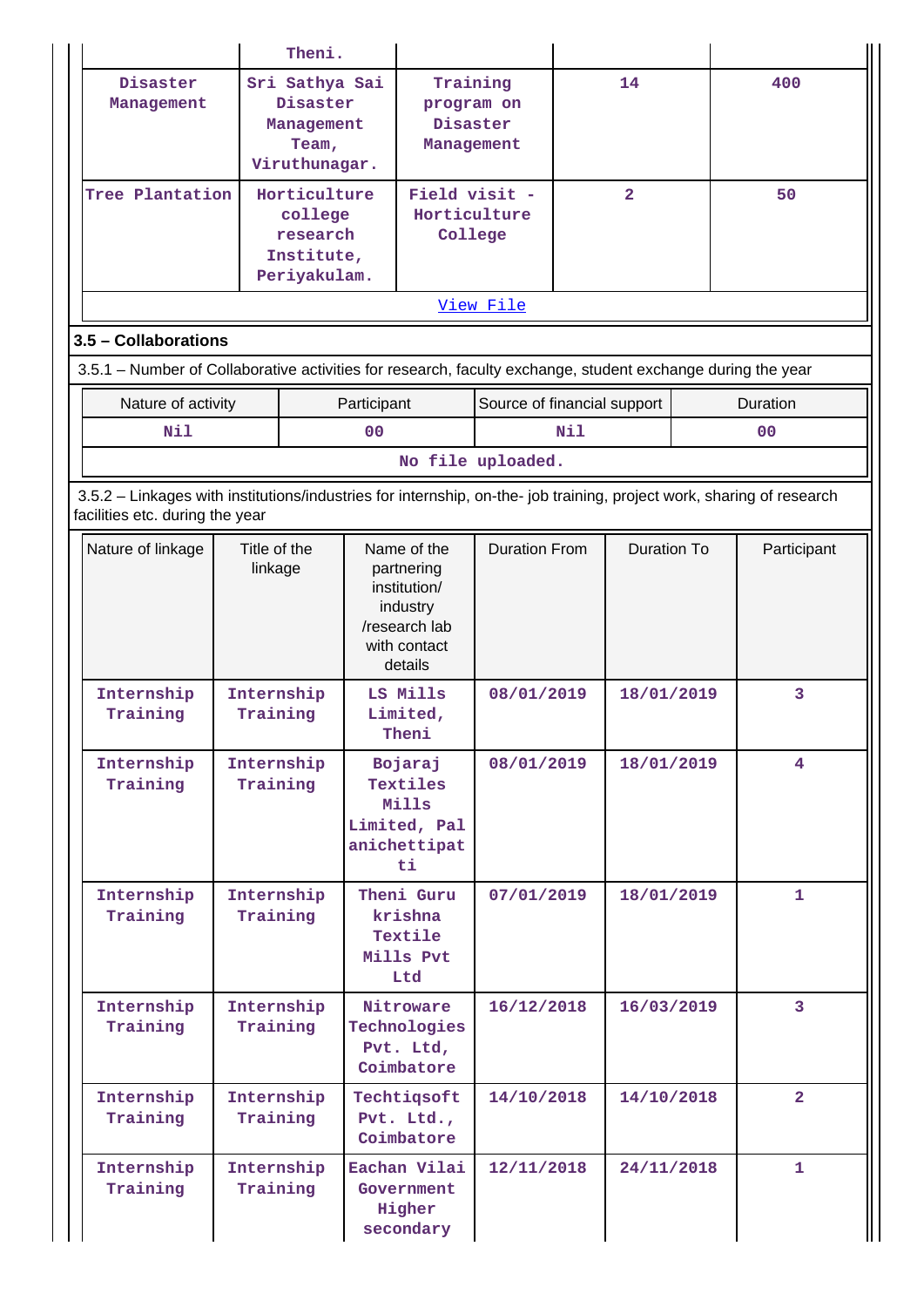|                                                                                                                                                          |                         | Theni.                                                                                                                       |                |                                                                                                   |                             |                |             |    |                         |
|----------------------------------------------------------------------------------------------------------------------------------------------------------|-------------------------|------------------------------------------------------------------------------------------------------------------------------|----------------|---------------------------------------------------------------------------------------------------|-----------------------------|----------------|-------------|----|-------------------------|
| Disaster<br>Management                                                                                                                                   |                         | Sri Sathya Sai<br>Training<br>14<br>Disaster<br>program on<br>Disaster<br>Management<br>Team,<br>Management<br>Viruthunagar. |                |                                                                                                   | 400                         |                |             |    |                         |
| Tree Plantation                                                                                                                                          |                         | Horticulture<br>college<br>research<br>Institute,<br>Periyakulam.                                                            |                | Field visit -<br>Horticulture<br>College                                                          |                             | $\overline{2}$ |             | 50 |                         |
|                                                                                                                                                          |                         |                                                                                                                              |                |                                                                                                   | View File                   |                |             |    |                         |
| 3.5 - Collaborations                                                                                                                                     |                         |                                                                                                                              |                |                                                                                                   |                             |                |             |    |                         |
| 3.5.1 - Number of Collaborative activities for research, faculty exchange, student exchange during the year                                              |                         |                                                                                                                              |                |                                                                                                   |                             |                |             |    |                         |
| Nature of activity                                                                                                                                       |                         |                                                                                                                              | Participant    |                                                                                                   | Source of financial support |                |             |    | Duration                |
| Nil                                                                                                                                                      |                         |                                                                                                                              | 0 <sup>0</sup> |                                                                                                   |                             | N11            |             |    | 00                      |
|                                                                                                                                                          |                         |                                                                                                                              |                |                                                                                                   | No file uploaded.           |                |             |    |                         |
| 3.5.2 - Linkages with institutions/industries for internship, on-the- job training, project work, sharing of research<br>facilities etc. during the year |                         |                                                                                                                              |                |                                                                                                   |                             |                |             |    |                         |
| Nature of linkage                                                                                                                                        | Title of the<br>linkage |                                                                                                                              |                | Name of the<br>partnering<br>institution/<br>industry<br>/research lab<br>with contact<br>details | <b>Duration From</b>        |                | Duration To |    | Participant             |
| Internship<br>Training                                                                                                                                   | Internship<br>Training  |                                                                                                                              |                | LS Mills<br>Limited,<br>Theni                                                                     | 08/01/2019                  |                | 18/01/2019  |    | 3                       |
| Internship<br>Training                                                                                                                                   | Internship<br>Training  |                                                                                                                              |                | Bojaraj<br>Textiles<br>Mills<br>Limited, Pal<br>anichettipat<br>ti                                | 08/01/2019                  |                | 18/01/2019  |    | $\overline{4}$          |
| Internship<br>Training                                                                                                                                   | Internship<br>Training  |                                                                                                                              |                | Theni Guru<br>krishna<br>Textile<br>Mills Pvt<br>Ltd                                              | 07/01/2019                  |                | 18/01/2019  |    | $\mathbf{1}$            |
| Internship<br>Training                                                                                                                                   | Internship<br>Training  |                                                                                                                              |                | Nitroware<br>Technologies<br>Pvt. Ltd,<br>Coimbatore                                              | 16/12/2018                  |                | 16/03/2019  |    | $\overline{\mathbf{3}}$ |
| Internship<br>Training                                                                                                                                   | Internship<br>Training  |                                                                                                                              |                | Techtiqsoft<br>Pvt. Ltd.,<br>Coimbatore                                                           | 14/10/2018                  |                | 14/10/2018  |    | $\overline{2}$          |
| Internship<br>Training                                                                                                                                   | Internship<br>Training  |                                                                                                                              |                | Eachan Vilai<br>Government<br>Higher<br>secondary                                                 | 12/11/2018                  |                | 24/11/2018  |    | $\mathbf{1}$            |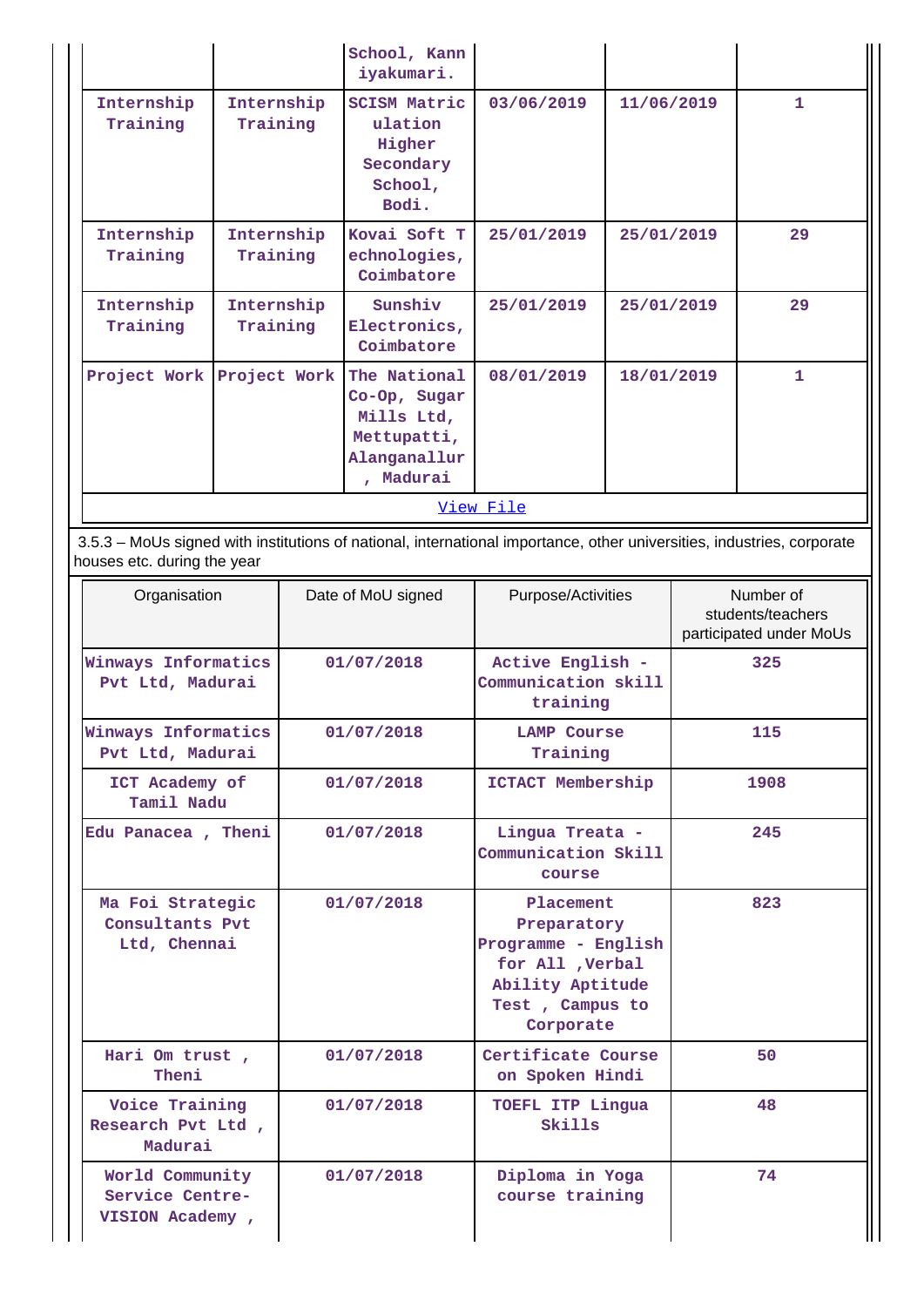|                        |                           | School, Kann<br>iyakumari.                                                             |            |            |              |  |  |  |  |
|------------------------|---------------------------|----------------------------------------------------------------------------------------|------------|------------|--------------|--|--|--|--|
| Internship<br>Training | Internship<br>Training    | <b>SCISM Matric</b><br>ulation<br>Higher<br>Secondary<br>School,<br>Bodi.              | 03/06/2019 | 11/06/2019 | $\mathbf{1}$ |  |  |  |  |
| Internship<br>Training | Internship<br>Training    | Kovai Soft T<br>echnologies,<br>Coimbatore                                             | 25/01/2019 | 25/01/2019 | 29           |  |  |  |  |
| Internship<br>Training | Internship<br>Training    | Sunshiv<br>Electronics,<br>Coimbatore                                                  | 25/01/2019 | 25/01/2019 | 29           |  |  |  |  |
|                        | Project Work Project Work | The National<br>Co-Op, Sugar<br>Mills Ltd,<br>Mettupatti,<br>Alanganallur<br>, Madurai | 08/01/2019 | 18/01/2019 | $\mathbf{1}$ |  |  |  |  |
|                        | View File                 |                                                                                        |            |            |              |  |  |  |  |

 3.5.3 – MoUs signed with institutions of national, international importance, other universities, industries, corporate houses etc. during the year

| Organisation                                          | Date of MoU signed | Purpose/Activities                                                                                                      | Number of<br>students/teachers<br>participated under MoUs |
|-------------------------------------------------------|--------------------|-------------------------------------------------------------------------------------------------------------------------|-----------------------------------------------------------|
| Winways Informatics<br>Pvt Ltd, Madurai               | 01/07/2018         | Active English -<br>Communication skill<br>training                                                                     | 325                                                       |
| Winways Informatics<br>Pvt Ltd, Madurai               | 01/07/2018         | <b>LAMP Course</b><br>Training                                                                                          | 115                                                       |
| ICT Academy of<br>Tamil Nadu                          | 01/07/2018         | ICTACT Membership                                                                                                       | 1908                                                      |
| Edu Panacea, Theni                                    | 01/07/2018         | Lingua Treata -<br>Communication Skill<br>course                                                                        | 245                                                       |
| Ma Foi Strategic<br>Consultants Pvt<br>Ltd, Chennai   | 01/07/2018         | Placement<br>Preparatory<br>Programme - English<br>for All , Verbal<br>Ability Aptitude<br>Test, Campus to<br>Corporate | 823                                                       |
| Hari Om trust,<br>Theni                               | 01/07/2018         | Certificate Course<br>on Spoken Hindi                                                                                   | 50                                                        |
| Voice Training<br>Research Pvt Ltd ,<br>Madurai       | 01/07/2018         | TOEFL ITP Lingua<br>Skills                                                                                              | 48                                                        |
| World Community<br>Service Centre-<br>VISION Academy, | 01/07/2018         | Diploma in Yoga<br>course training                                                                                      | 74                                                        |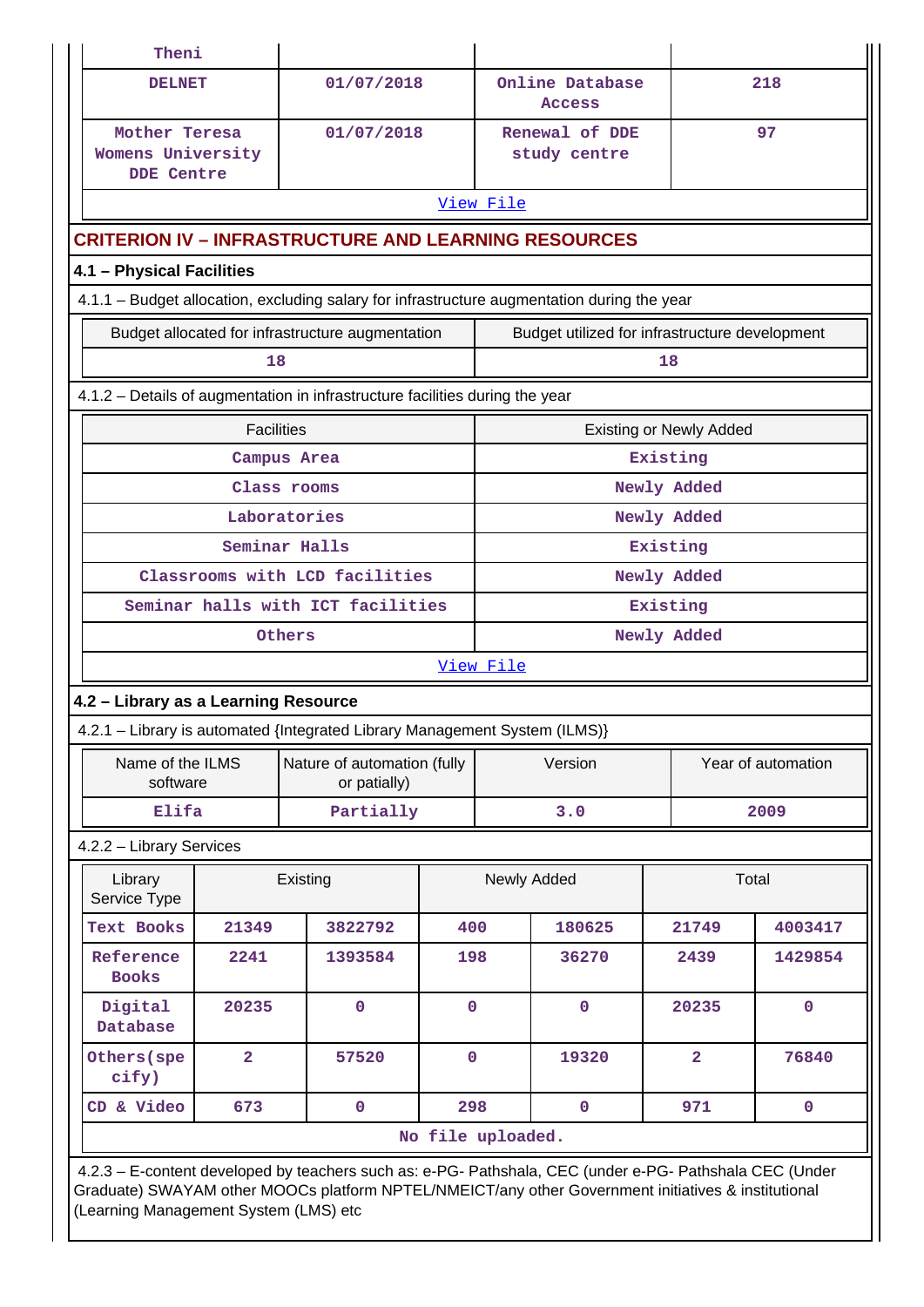| Theni                                                   |                                                                                                                                                                                                                                                         |                                                                                             |                   |             |                                                |                                |              |  |
|---------------------------------------------------------|---------------------------------------------------------------------------------------------------------------------------------------------------------------------------------------------------------------------------------------------------------|---------------------------------------------------------------------------------------------|-------------------|-------------|------------------------------------------------|--------------------------------|--------------|--|
| <b>DELNET</b>                                           |                                                                                                                                                                                                                                                         | 01/07/2018                                                                                  |                   |             | Online Database<br><b>Access</b>               |                                | 218          |  |
| Mother Teresa<br>Womens University<br><b>DDE Centre</b> |                                                                                                                                                                                                                                                         | 01/07/2018                                                                                  |                   |             | Renewal of DDE<br>study centre                 |                                | 97           |  |
|                                                         |                                                                                                                                                                                                                                                         |                                                                                             |                   | View File   |                                                |                                |              |  |
|                                                         |                                                                                                                                                                                                                                                         | <b>CRITERION IV - INFRASTRUCTURE AND LEARNING RESOURCES</b>                                 |                   |             |                                                |                                |              |  |
| 4.1 - Physical Facilities                               |                                                                                                                                                                                                                                                         |                                                                                             |                   |             |                                                |                                |              |  |
|                                                         |                                                                                                                                                                                                                                                         | 4.1.1 - Budget allocation, excluding salary for infrastructure augmentation during the year |                   |             |                                                |                                |              |  |
|                                                         |                                                                                                                                                                                                                                                         | Budget allocated for infrastructure augmentation                                            |                   |             | Budget utilized for infrastructure development |                                |              |  |
|                                                         | 18                                                                                                                                                                                                                                                      |                                                                                             |                   |             |                                                | 18                             |              |  |
|                                                         |                                                                                                                                                                                                                                                         | 4.1.2 – Details of augmentation in infrastructure facilities during the year                |                   |             |                                                |                                |              |  |
|                                                         | <b>Facilities</b>                                                                                                                                                                                                                                       |                                                                                             |                   |             |                                                | <b>Existing or Newly Added</b> |              |  |
|                                                         |                                                                                                                                                                                                                                                         | Campus Area                                                                                 |                   |             |                                                | Existing                       |              |  |
|                                                         |                                                                                                                                                                                                                                                         | Class rooms                                                                                 |                   |             |                                                | Newly Added                    |              |  |
|                                                         |                                                                                                                                                                                                                                                         | Laboratories                                                                                |                   |             |                                                | Newly Added                    |              |  |
|                                                         |                                                                                                                                                                                                                                                         | Seminar Halls                                                                               |                   | Existing    |                                                |                                |              |  |
| Classrooms with LCD facilities                          |                                                                                                                                                                                                                                                         |                                                                                             |                   |             | Newly Added<br>Existing                        |                                |              |  |
|                                                         |                                                                                                                                                                                                                                                         | Seminar halls with ICT facilities                                                           |                   | Newly Added |                                                |                                |              |  |
|                                                         |                                                                                                                                                                                                                                                         | Others                                                                                      |                   |             |                                                |                                |              |  |
|                                                         |                                                                                                                                                                                                                                                         |                                                                                             |                   | View File   |                                                |                                |              |  |
| 4.2 - Library as a Learning Resource                    |                                                                                                                                                                                                                                                         | 4.2.1 - Library is automated {Integrated Library Management System (ILMS)}                  |                   |             |                                                |                                |              |  |
|                                                         |                                                                                                                                                                                                                                                         |                                                                                             |                   |             |                                                |                                |              |  |
| Name of the ILMS<br>software                            |                                                                                                                                                                                                                                                         | Nature of automation (fully<br>or patially)                                                 |                   | Version     |                                                | Year of automation             |              |  |
| Elifa                                                   |                                                                                                                                                                                                                                                         | Partially                                                                                   |                   |             | 3.0                                            |                                | 2009         |  |
| 4.2.2 - Library Services                                |                                                                                                                                                                                                                                                         |                                                                                             |                   |             |                                                |                                |              |  |
| Library<br>Service Type                                 |                                                                                                                                                                                                                                                         | Existing                                                                                    |                   |             | Newly Added                                    |                                | Total        |  |
| <b>Text Books</b>                                       | 21349                                                                                                                                                                                                                                                   | 3822792                                                                                     | 400               |             | 180625                                         | 21749                          | 4003417      |  |
| Reference<br><b>Books</b>                               | 2241                                                                                                                                                                                                                                                    | 1393584                                                                                     | 198               |             | 36270                                          | 2439                           | 1429854      |  |
| Digital<br>Database                                     | 20235                                                                                                                                                                                                                                                   | $\mathbf 0$                                                                                 | $\overline{0}$    |             | $\mathbf 0$                                    | 20235                          | $\mathbf{O}$ |  |
| Others (spe<br>cify)                                    | $\overline{2}$                                                                                                                                                                                                                                          | 57520                                                                                       | $\mathbf 0$       |             | 19320                                          | $\overline{a}$                 | 76840        |  |
| CD & Video                                              | 673                                                                                                                                                                                                                                                     | $\mathbf 0$                                                                                 | 298               |             | $\mathbf 0$                                    | 971                            | $\mathbf 0$  |  |
|                                                         |                                                                                                                                                                                                                                                         |                                                                                             | No file uploaded. |             |                                                |                                |              |  |
|                                                         | 4.2.3 - E-content developed by teachers such as: e-PG- Pathshala, CEC (under e-PG- Pathshala CEC (Under<br>Graduate) SWAYAM other MOOCs platform NPTEL/NMEICT/any other Government initiatives & institutional<br>(Learning Management System (LMS) etc |                                                                                             |                   |             |                                                |                                |              |  |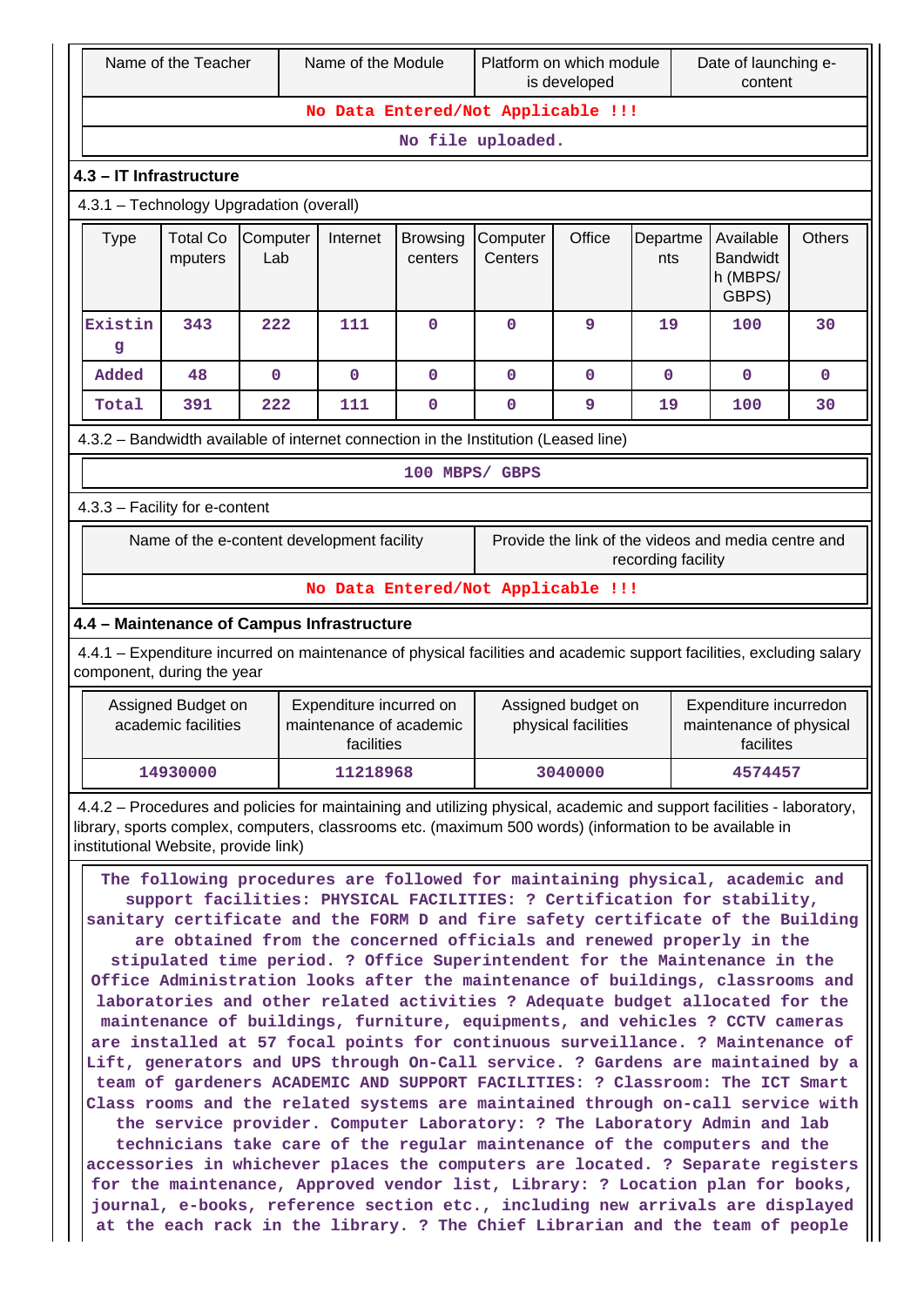|                                    | Name of the Module<br>Platform on which module<br>Name of the Teacher<br>is developed                                                                                                                                                                                                                                                                                                                                                                                                                                                                                                                                                                                                                                                                                                                                                                                                                                                                                                                                                                                                                                                                                                                                                                                                                                                                                                                                                                                                                                                                                                                                                              |                 |                                                                  | Date of launching e-<br>content |                                    |                                           |                    |                                                                |               |
|------------------------------------|----------------------------------------------------------------------------------------------------------------------------------------------------------------------------------------------------------------------------------------------------------------------------------------------------------------------------------------------------------------------------------------------------------------------------------------------------------------------------------------------------------------------------------------------------------------------------------------------------------------------------------------------------------------------------------------------------------------------------------------------------------------------------------------------------------------------------------------------------------------------------------------------------------------------------------------------------------------------------------------------------------------------------------------------------------------------------------------------------------------------------------------------------------------------------------------------------------------------------------------------------------------------------------------------------------------------------------------------------------------------------------------------------------------------------------------------------------------------------------------------------------------------------------------------------------------------------------------------------------------------------------------------------|-----------------|------------------------------------------------------------------|---------------------------------|------------------------------------|-------------------------------------------|--------------------|----------------------------------------------------------------|---------------|
| No Data Entered/Not Applicable !!! |                                                                                                                                                                                                                                                                                                                                                                                                                                                                                                                                                                                                                                                                                                                                                                                                                                                                                                                                                                                                                                                                                                                                                                                                                                                                                                                                                                                                                                                                                                                                                                                                                                                    |                 |                                                                  |                                 |                                    |                                           |                    |                                                                |               |
|                                    | No file uploaded.                                                                                                                                                                                                                                                                                                                                                                                                                                                                                                                                                                                                                                                                                                                                                                                                                                                                                                                                                                                                                                                                                                                                                                                                                                                                                                                                                                                                                                                                                                                                                                                                                                  |                 |                                                                  |                                 |                                    |                                           |                    |                                                                |               |
|                                    | 4.3 - IT Infrastructure                                                                                                                                                                                                                                                                                                                                                                                                                                                                                                                                                                                                                                                                                                                                                                                                                                                                                                                                                                                                                                                                                                                                                                                                                                                                                                                                                                                                                                                                                                                                                                                                                            |                 |                                                                  |                                 |                                    |                                           |                    |                                                                |               |
|                                    | 4.3.1 - Technology Upgradation (overall)                                                                                                                                                                                                                                                                                                                                                                                                                                                                                                                                                                                                                                                                                                                                                                                                                                                                                                                                                                                                                                                                                                                                                                                                                                                                                                                                                                                                                                                                                                                                                                                                           |                 |                                                                  |                                 |                                    |                                           |                    |                                                                |               |
| <b>Type</b>                        | <b>Total Co</b><br>mputers                                                                                                                                                                                                                                                                                                                                                                                                                                                                                                                                                                                                                                                                                                                                                                                                                                                                                                                                                                                                                                                                                                                                                                                                                                                                                                                                                                                                                                                                                                                                                                                                                         | Computer<br>Lab | Internet                                                         | <b>Browsing</b><br>centers      | Computer<br>Centers                | Office                                    | Departme<br>nts    | Available<br><b>Bandwidt</b><br>h (MBPS/<br>GBPS)              | <b>Others</b> |
| Existin<br>g                       | 343                                                                                                                                                                                                                                                                                                                                                                                                                                                                                                                                                                                                                                                                                                                                                                                                                                                                                                                                                                                                                                                                                                                                                                                                                                                                                                                                                                                                                                                                                                                                                                                                                                                | 222             | 111                                                              | $\mathbf 0$                     | $\mathbf 0$                        | 9                                         | 19                 | 100                                                            | 30            |
| Added                              | 48                                                                                                                                                                                                                                                                                                                                                                                                                                                                                                                                                                                                                                                                                                                                                                                                                                                                                                                                                                                                                                                                                                                                                                                                                                                                                                                                                                                                                                                                                                                                                                                                                                                 | $\mathbf 0$     | $\mathbf 0$                                                      | $\mathbf 0$                     | $\mathbf 0$                        | $\mathbf{0}$                              | $\mathbf{0}$       | $\mathbf 0$                                                    | $\mathbf 0$   |
| Total                              | 391                                                                                                                                                                                                                                                                                                                                                                                                                                                                                                                                                                                                                                                                                                                                                                                                                                                                                                                                                                                                                                                                                                                                                                                                                                                                                                                                                                                                                                                                                                                                                                                                                                                | 222             | 111                                                              | 0                               | $\pmb{0}$                          | 9                                         | 19                 | 100                                                            | 30            |
|                                    | 4.3.2 - Bandwidth available of internet connection in the Institution (Leased line)                                                                                                                                                                                                                                                                                                                                                                                                                                                                                                                                                                                                                                                                                                                                                                                                                                                                                                                                                                                                                                                                                                                                                                                                                                                                                                                                                                                                                                                                                                                                                                |                 |                                                                  |                                 |                                    |                                           |                    |                                                                |               |
|                                    |                                                                                                                                                                                                                                                                                                                                                                                                                                                                                                                                                                                                                                                                                                                                                                                                                                                                                                                                                                                                                                                                                                                                                                                                                                                                                                                                                                                                                                                                                                                                                                                                                                                    |                 |                                                                  | 100 MBPS/ GBPS                  |                                    |                                           |                    |                                                                |               |
|                                    | 4.3.3 - Facility for e-content                                                                                                                                                                                                                                                                                                                                                                                                                                                                                                                                                                                                                                                                                                                                                                                                                                                                                                                                                                                                                                                                                                                                                                                                                                                                                                                                                                                                                                                                                                                                                                                                                     |                 |                                                                  |                                 |                                    |                                           |                    |                                                                |               |
|                                    | Name of the e-content development facility                                                                                                                                                                                                                                                                                                                                                                                                                                                                                                                                                                                                                                                                                                                                                                                                                                                                                                                                                                                                                                                                                                                                                                                                                                                                                                                                                                                                                                                                                                                                                                                                         |                 |                                                                  |                                 |                                    |                                           | recording facility | Provide the link of the videos and media centre and            |               |
|                                    |                                                                                                                                                                                                                                                                                                                                                                                                                                                                                                                                                                                                                                                                                                                                                                                                                                                                                                                                                                                                                                                                                                                                                                                                                                                                                                                                                                                                                                                                                                                                                                                                                                                    |                 |                                                                  |                                 | No Data Entered/Not Applicable !!! |                                           |                    |                                                                |               |
|                                    | 4.4 - Maintenance of Campus Infrastructure                                                                                                                                                                                                                                                                                                                                                                                                                                                                                                                                                                                                                                                                                                                                                                                                                                                                                                                                                                                                                                                                                                                                                                                                                                                                                                                                                                                                                                                                                                                                                                                                         |                 |                                                                  |                                 |                                    |                                           |                    |                                                                |               |
|                                    | 4.4.1 – Expenditure incurred on maintenance of physical facilities and academic support facilities, excluding salary<br>component, during the year                                                                                                                                                                                                                                                                                                                                                                                                                                                                                                                                                                                                                                                                                                                                                                                                                                                                                                                                                                                                                                                                                                                                                                                                                                                                                                                                                                                                                                                                                                 |                 |                                                                  |                                 |                                    |                                           |                    |                                                                |               |
|                                    | Assigned Budget on<br>academic facilities                                                                                                                                                                                                                                                                                                                                                                                                                                                                                                                                                                                                                                                                                                                                                                                                                                                                                                                                                                                                                                                                                                                                                                                                                                                                                                                                                                                                                                                                                                                                                                                                          |                 | Expenditure incurred on<br>maintenance of academic<br>facilities |                                 |                                    | Assigned budget on<br>physical facilities |                    | Expenditure incurredon<br>maintenance of physical<br>facilites |               |
|                                    | 14930000                                                                                                                                                                                                                                                                                                                                                                                                                                                                                                                                                                                                                                                                                                                                                                                                                                                                                                                                                                                                                                                                                                                                                                                                                                                                                                                                                                                                                                                                                                                                                                                                                                           |                 | 11218968                                                         |                                 |                                    | 3040000                                   |                    | 4574457                                                        |               |
|                                    | 4.4.2 - Procedures and policies for maintaining and utilizing physical, academic and support facilities - laboratory,                                                                                                                                                                                                                                                                                                                                                                                                                                                                                                                                                                                                                                                                                                                                                                                                                                                                                                                                                                                                                                                                                                                                                                                                                                                                                                                                                                                                                                                                                                                              |                 |                                                                  |                                 |                                    |                                           |                    |                                                                |               |
|                                    | library, sports complex, computers, classrooms etc. (maximum 500 words) (information to be available in<br>institutional Website, provide link)<br>The following procedures are followed for maintaining physical, academic and<br>support facilities: PHYSICAL FACILITIES: ? Certification for stability,<br>sanitary certificate and the FORM D and fire safety certificate of the Building<br>are obtained from the concerned officials and renewed properly in the<br>stipulated time period. ? Office Superintendent for the Maintenance in the<br>Office Administration looks after the maintenance of buildings, classrooms and<br>laboratories and other related activities ? Adequate budget allocated for the<br>maintenance of buildings, furniture, equipments, and vehicles ? CCTV cameras<br>are installed at 57 focal points for continuous surveillance. ? Maintenance of<br>Lift, generators and UPS through On-Call service. ? Gardens are maintained by a<br>team of gardeners ACADEMIC AND SUPPORT FACILITIES: ? Classroom: The ICT Smart<br>Class rooms and the related systems are maintained through on-call service with<br>the service provider. Computer Laboratory: ? The Laboratory Admin and lab<br>technicians take care of the regular maintenance of the computers and the<br>accessories in whichever places the computers are located. ? Separate registers<br>for the maintenance, Approved vendor list, Library: ? Location plan for books,<br>journal, e-books, reference section etc., including new arrivals are displayed<br>at the each rack in the library. ? The Chief Librarian and the team of people |                 |                                                                  |                                 |                                    |                                           |                    |                                                                |               |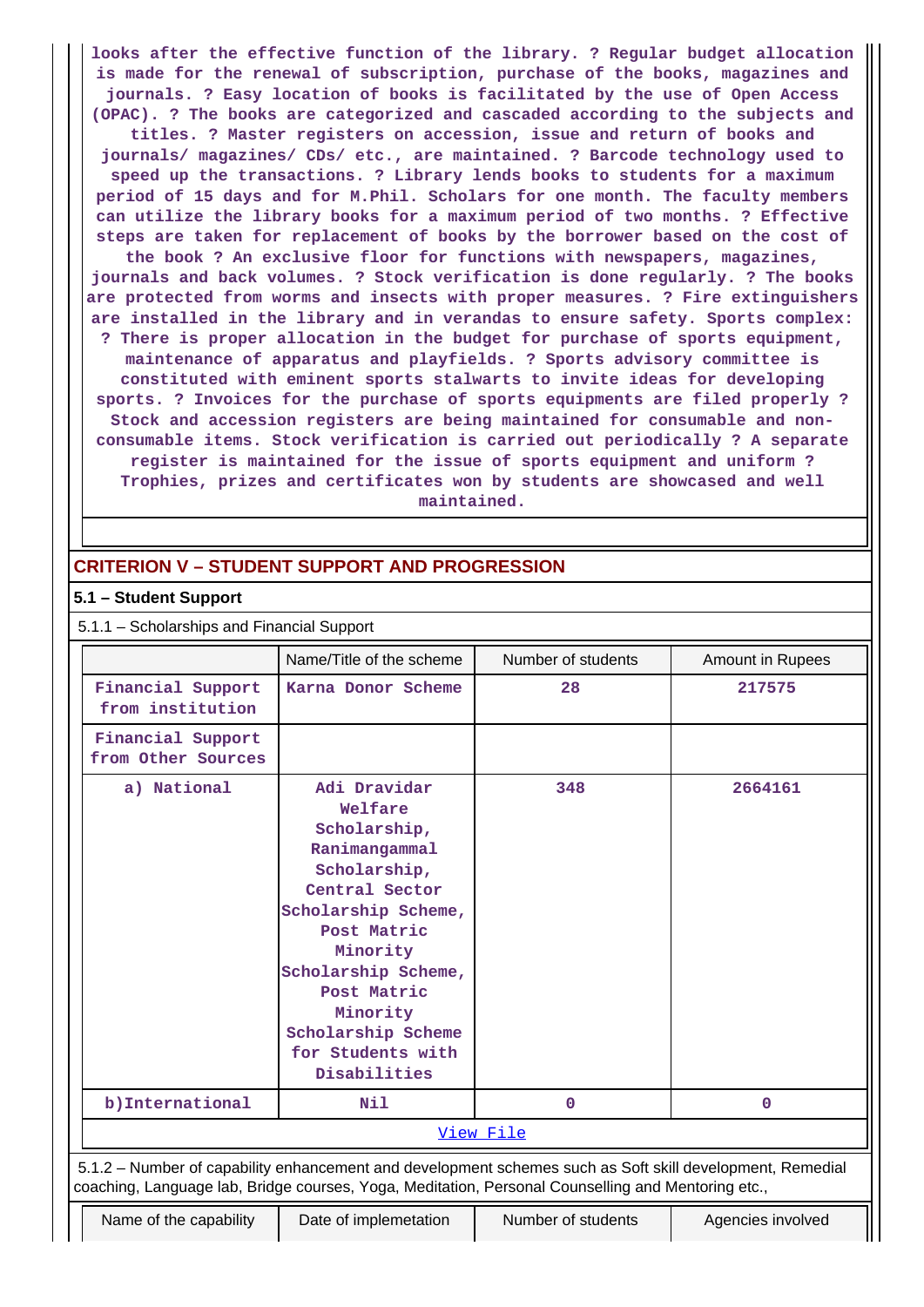**looks after the effective function of the library. ? Regular budget allocation is made for the renewal of subscription, purchase of the books, magazines and journals. ? Easy location of books is facilitated by the use of Open Access (OPAC). ? The books are categorized and cascaded according to the subjects and titles. ? Master registers on accession, issue and return of books and journals/ magazines/ CDs/ etc., are maintained. ? Barcode technology used to speed up the transactions. ? Library lends books to students for a maximum period of 15 days and for M.Phil. Scholars for one month. The faculty members can utilize the library books for a maximum period of two months. ? Effective steps are taken for replacement of books by the borrower based on the cost of the book ? An exclusive floor for functions with newspapers, magazines,**

**journals and back volumes. ? Stock verification is done regularly. ? The books are protected from worms and insects with proper measures. ? Fire extinguishers are installed in the library and in verandas to ensure safety. Sports complex: ? There is proper allocation in the budget for purchase of sports equipment, maintenance of apparatus and playfields. ? Sports advisory committee is constituted with eminent sports stalwarts to invite ideas for developing sports. ? Invoices for the purchase of sports equipments are filed properly ? Stock and accession registers are being maintained for consumable and nonconsumable items. Stock verification is carried out periodically ? A separate register is maintained for the issue of sports equipment and uniform ? Trophies, prizes and certificates won by students are showcased and well maintained.**

## **CRITERION V – STUDENT SUPPORT AND PROGRESSION**

### **5.1 – Student Support**

| 5.1.1 - Scholarships and Financial Support |  |  |
|--------------------------------------------|--|--|
|--------------------------------------------|--|--|

|                                         | Name/Title of the scheme                                                                                                                                                                                                                                  | Number of students                                                                                                                                                                                              | <b>Amount in Rupees</b> |
|-----------------------------------------|-----------------------------------------------------------------------------------------------------------------------------------------------------------------------------------------------------------------------------------------------------------|-----------------------------------------------------------------------------------------------------------------------------------------------------------------------------------------------------------------|-------------------------|
| Financial Support<br>from institution   | Karna Donor Scheme                                                                                                                                                                                                                                        | 28                                                                                                                                                                                                              | 217575                  |
| Financial Support<br>from Other Sources |                                                                                                                                                                                                                                                           |                                                                                                                                                                                                                 |                         |
| a) National                             | Adi Dravidar<br>Welfare<br>Scholarship,<br>Ranimangammal<br>Scholarship,<br>Central Sector<br>Scholarship Scheme,<br>Post Matric<br>Minority<br>Scholarship Scheme,<br>Post Matric<br>Minority<br>Scholarship Scheme<br>for Students with<br>Disabilities | 348                                                                                                                                                                                                             | 2664161                 |
| b) International                        | Nil                                                                                                                                                                                                                                                       | $\mathbf 0$                                                                                                                                                                                                     | $\mathbf{0}$            |
|                                         |                                                                                                                                                                                                                                                           | View File                                                                                                                                                                                                       |                         |
|                                         |                                                                                                                                                                                                                                                           | 5.1.2 - Number of capability enhancement and development schemes such as Soft skill development, Remedial<br>coaching, Language lab, Bridge courses, Yoga, Meditation, Personal Counselling and Mentoring etc., |                         |
| Name of the capability                  | Date of implemetation                                                                                                                                                                                                                                     | Number of students                                                                                                                                                                                              | Agencies involved       |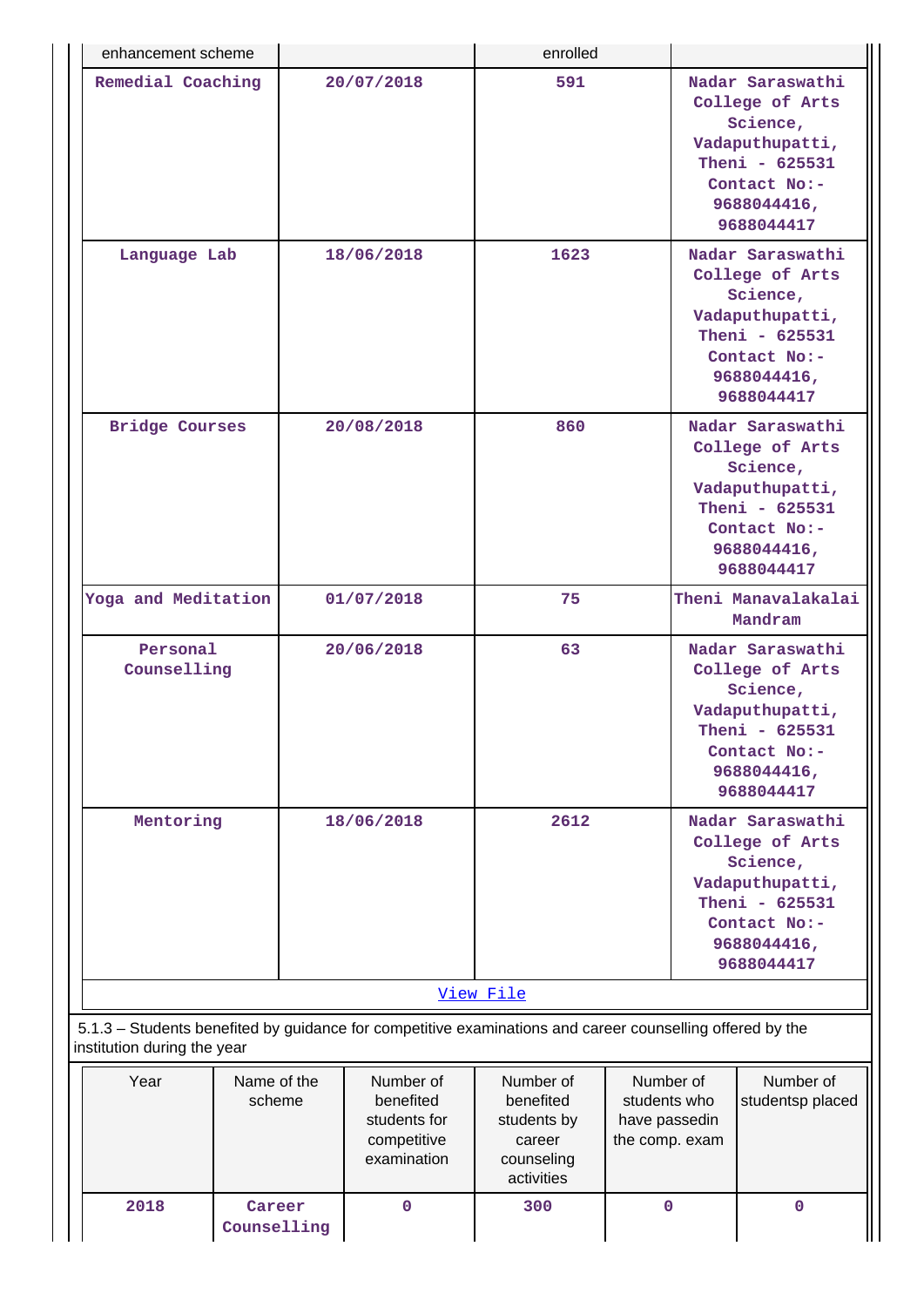| enhancement scheme                                                                                                                       |                       |                                                                      | enrolled                                                                    |  |                                                                                                                                                 |                                                                                                                                   |  |
|------------------------------------------------------------------------------------------------------------------------------------------|-----------------------|----------------------------------------------------------------------|-----------------------------------------------------------------------------|--|-------------------------------------------------------------------------------------------------------------------------------------------------|-----------------------------------------------------------------------------------------------------------------------------------|--|
| Remedial Coaching                                                                                                                        |                       | 20/07/2018                                                           | 591                                                                         |  |                                                                                                                                                 | Nadar Saraswathi<br>College of Arts<br>Science,<br>Vadaputhupatti,<br>Theni - 625531<br>Contact No:-<br>9688044416,<br>9688044417 |  |
| Language Lab                                                                                                                             |                       | 18/06/2018                                                           | 1623                                                                        |  |                                                                                                                                                 | Nadar Saraswathi<br>College of Arts<br>Science,<br>Vadaputhupatti,<br>Theni - 625531<br>Contact No:-<br>9688044416,<br>9688044417 |  |
| <b>Bridge Courses</b>                                                                                                                    |                       | 20/08/2018                                                           | 860                                                                         |  |                                                                                                                                                 | Nadar Saraswathi<br>College of Arts<br>Science,<br>Vadaputhupatti,<br>Theni - 625531<br>Contact No:-<br>9688044416,<br>9688044417 |  |
| Yoga and Meditation                                                                                                                      |                       | 01/07/2018                                                           | 75                                                                          |  |                                                                                                                                                 | Theni Manavalakalai<br>Mandram                                                                                                    |  |
| Personal<br>Counselling                                                                                                                  |                       | 20/06/2018                                                           | 63                                                                          |  | Nadar Saraswathi<br>College of Arts<br>Science,<br>Vadaputhupatti,<br>Theni - 625531<br>Contact No:-<br>9688044416,                             |                                                                                                                                   |  |
| Mentoring                                                                                                                                |                       | 18/06/2018                                                           | 2612                                                                        |  | 9688044417<br>Nadar Saraswathi<br>College of Arts<br>Science,<br>Vadaputhupatti,<br>Theni - 625531<br>Contact No:-<br>9688044416,<br>9688044417 |                                                                                                                                   |  |
|                                                                                                                                          |                       |                                                                      | View File                                                                   |  |                                                                                                                                                 |                                                                                                                                   |  |
| 5.1.3 - Students benefited by guidance for competitive examinations and career counselling offered by the<br>institution during the year |                       |                                                                      |                                                                             |  |                                                                                                                                                 |                                                                                                                                   |  |
| Year                                                                                                                                     | Name of the<br>scheme | Number of<br>benefited<br>students for<br>competitive<br>examination | Number of<br>benefited<br>students by<br>career<br>counseling<br>activities |  | Number of<br>students who<br>have passedin<br>the comp. exam                                                                                    | Number of<br>studentsp placed                                                                                                     |  |
| 2018<br>Counselling                                                                                                                      | $\mathbf 0$           | 300                                                                  | $\mathbf 0$                                                                 |  | 0                                                                                                                                               |                                                                                                                                   |  |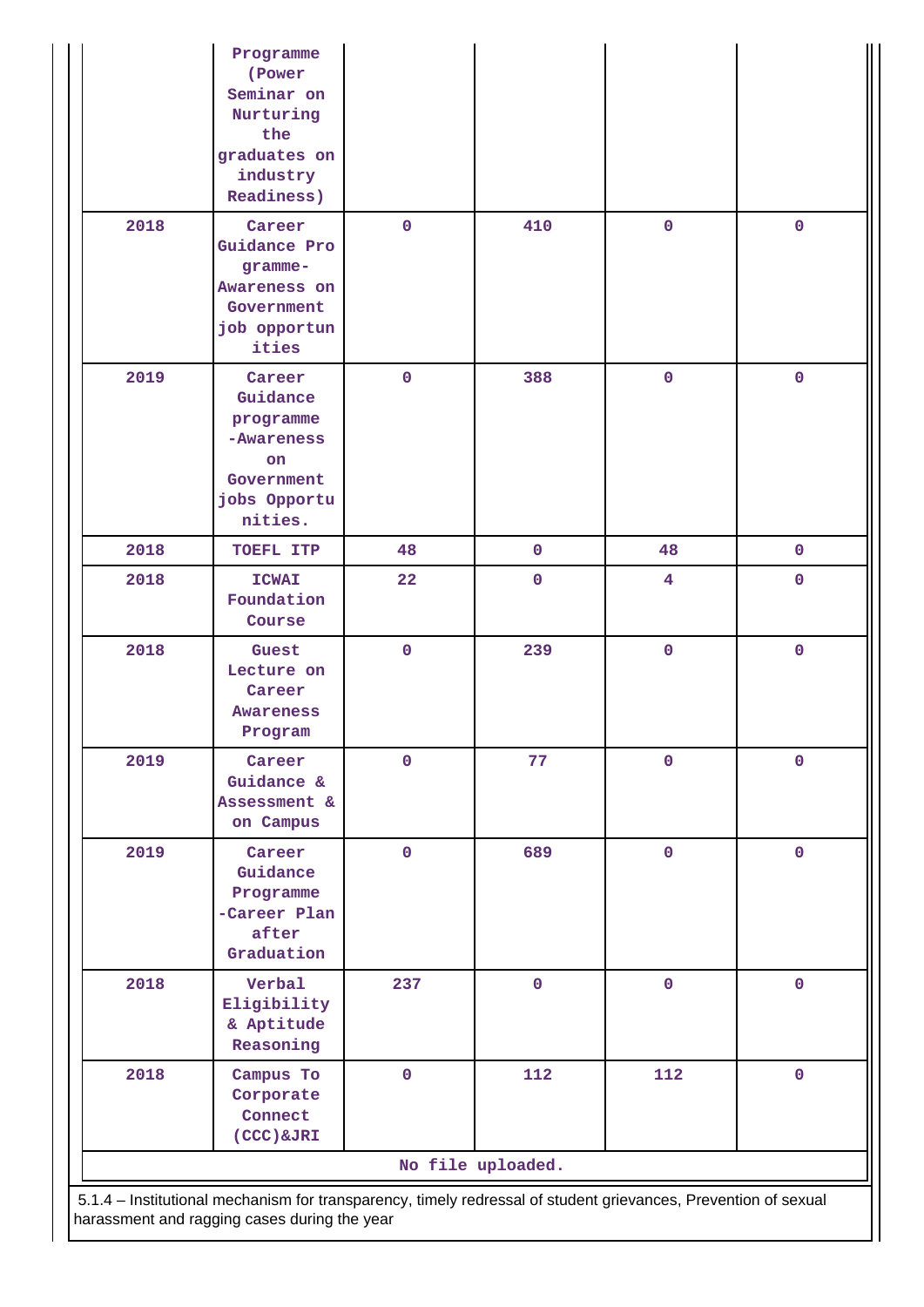|                                                                                                                                                                | Programme<br>(Power<br>Seminar on<br>Nurturing<br>the<br>graduates on<br>industry<br>Readiness)     |             |                   |                         |             |  |  |  |  |
|----------------------------------------------------------------------------------------------------------------------------------------------------------------|-----------------------------------------------------------------------------------------------------|-------------|-------------------|-------------------------|-------------|--|--|--|--|
| 2018                                                                                                                                                           | Career<br>Guidance Pro<br>gramme-<br>Awareness on<br>Government<br>job opportun<br>ities            | $\mathbf 0$ | 410               | $\mathbf 0$             | $\mathbf 0$ |  |  |  |  |
| 2019                                                                                                                                                           | Career<br>Guidance<br>programme<br>-Awareness<br><b>on</b><br>Government<br>jobs Opportu<br>nities. | $\mathbf 0$ | 388               | $\mathbf 0$             | $\mathbf 0$ |  |  |  |  |
| 2018                                                                                                                                                           | TOEFL ITP                                                                                           | 48          | $\mathbf 0$       | 48                      | $\mathbf 0$ |  |  |  |  |
| 2018                                                                                                                                                           | <b>ICWAI</b><br>Foundation<br>Course                                                                | 22          | $\mathbf 0$       | $\overline{\mathbf{4}}$ | $\mathbf 0$ |  |  |  |  |
| 2018                                                                                                                                                           | Guest<br>Lecture on<br>Career<br><b>Awareness</b><br>Program                                        | $\mathbf 0$ | 239               | $\mathbf 0$             | $\mathbf 0$ |  |  |  |  |
| 2019                                                                                                                                                           | Career<br>Guidance &<br>Assessment &<br>on Campus                                                   | $\mathbf 0$ | 77                | $\mathbf 0$             | $\mathbf 0$ |  |  |  |  |
| 2019                                                                                                                                                           | Career<br>Guidance<br>Programme<br>-Career Plan<br>after<br>Graduation                              | 0           | 689               | $\mathbf 0$             | $\mathbf 0$ |  |  |  |  |
| 2018                                                                                                                                                           | Verbal<br>Eligibility<br>& Aptitude<br>Reasoning                                                    | 237         | $\pmb{0}$         | $\pmb{0}$               | $\mathbf 0$ |  |  |  |  |
| 2018                                                                                                                                                           | Campus To<br>Corporate<br>Connect<br>(CCC) &JRI                                                     | $\mathbf 0$ | 112               | 112                     | $\mathbf 0$ |  |  |  |  |
|                                                                                                                                                                |                                                                                                     |             | No file uploaded. |                         |             |  |  |  |  |
| 5.1.4 - Institutional mechanism for transparency, timely redressal of student grievances, Prevention of sexual<br>harassment and ragging cases during the year |                                                                                                     |             |                   |                         |             |  |  |  |  |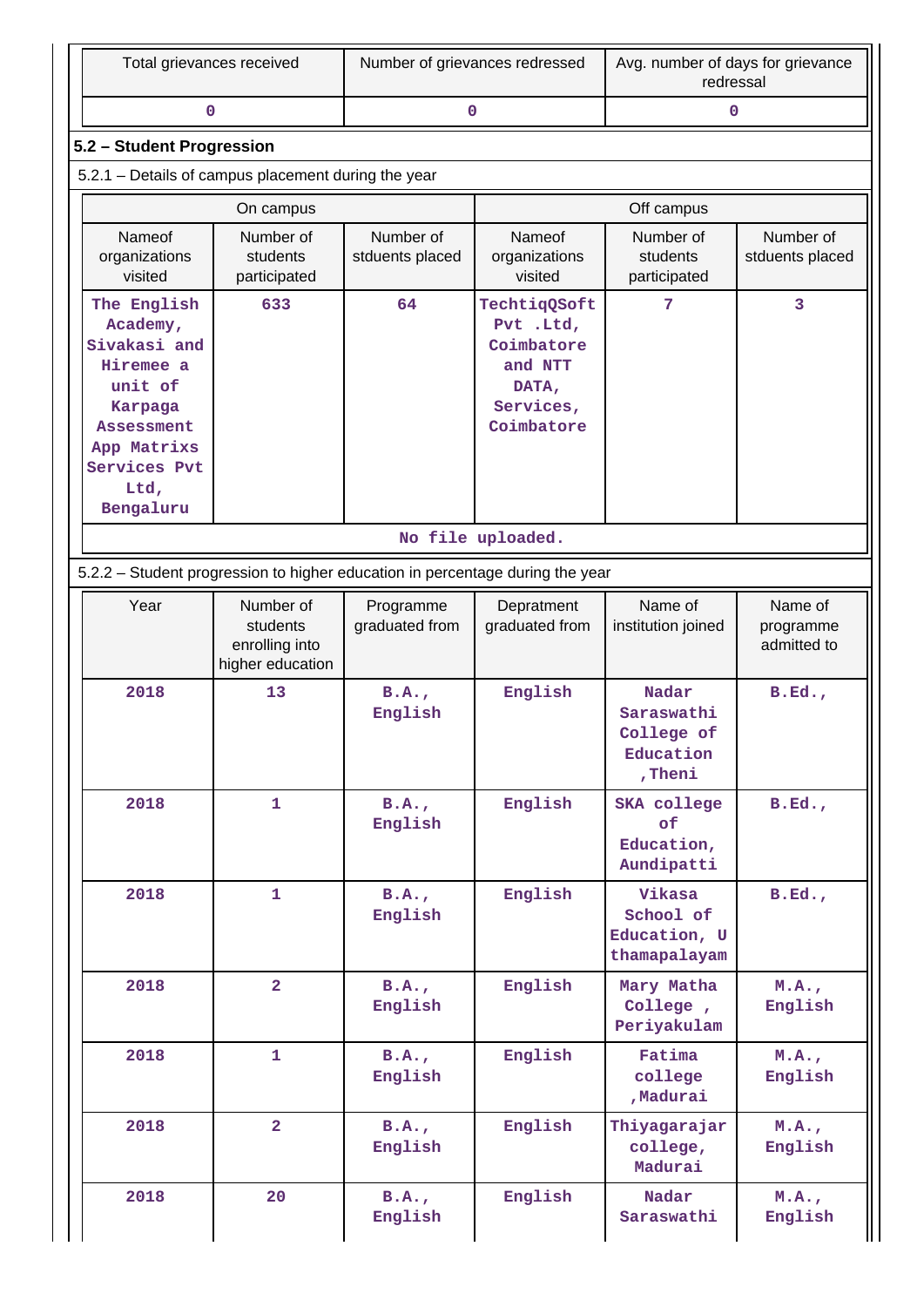| Total grievances received                           | Number of grievances redressed | Avg. number of days for grievance<br>redressal |  |  |  |  |  |  |  |  |
|-----------------------------------------------------|--------------------------------|------------------------------------------------|--|--|--|--|--|--|--|--|
|                                                     |                                |                                                |  |  |  |  |  |  |  |  |
| 5.2 – Student Progression                           |                                |                                                |  |  |  |  |  |  |  |  |
| 5.2.1 – Details of campus placement during the year |                                |                                                |  |  |  |  |  |  |  |  |
|                                                     |                                |                                                |  |  |  |  |  |  |  |  |

|                                                                                                                                                     | On campus                                                                     |                              | Off campus                                                                             |                                                           |                                     |  |  |  |  |  |
|-----------------------------------------------------------------------------------------------------------------------------------------------------|-------------------------------------------------------------------------------|------------------------------|----------------------------------------------------------------------------------------|-----------------------------------------------------------|-------------------------------------|--|--|--|--|--|
| Nameof<br>organizations<br>visited                                                                                                                  | Number of<br>students<br>participated                                         | Number of<br>stduents placed | Nameof<br>organizations<br>visited                                                     | Number of<br>students<br>participated                     | Number of<br>stduents placed        |  |  |  |  |  |
| The English<br>Academy,<br>Sivakasi and<br>Hiremee a<br>unit of<br>Karpaga<br><b>Assessment</b><br>App Matrixs<br>Services Pvt<br>Ltd,<br>Bengaluru | 633                                                                           | 64                           | TechtiqQSoft<br>Pvt .Ltd,<br>Coimbatore<br>and NTT<br>DATA,<br>Services,<br>Coimbatore | 7                                                         | 3                                   |  |  |  |  |  |
| No file uploaded.                                                                                                                                   |                                                                               |                              |                                                                                        |                                                           |                                     |  |  |  |  |  |
|                                                                                                                                                     | 5.2.2 - Student progression to higher education in percentage during the year |                              |                                                                                        |                                                           |                                     |  |  |  |  |  |
| Year                                                                                                                                                | Number of<br>students<br>enrolling into<br>higher education                   | Programme<br>graduated from  | Depratment<br>graduated from                                                           | Name of<br>institution joined                             | Name of<br>programme<br>admitted to |  |  |  |  |  |
| 2018                                                                                                                                                | 13                                                                            | B.A.<br>English              | English                                                                                | Nadar<br>Saraswathi<br>College of<br>Education<br>, Theni | B.Ed.                               |  |  |  |  |  |
| 2018                                                                                                                                                | $\mathbf{1}$                                                                  | B.A.<br>English              | English                                                                                | <b>SKA</b> college<br>of<br>Education,<br>Aundipatti      | B.Ed.                               |  |  |  |  |  |
| 2018                                                                                                                                                | 1                                                                             | B.A.<br>English              | English                                                                                | Vikasa<br>School of<br>Education, U<br>thamapalayam       | B.Ed.                               |  |  |  |  |  |
| 2018                                                                                                                                                | $\overline{2}$                                                                | B.A.<br>English              | English                                                                                | Mary Matha<br>College,<br>Periyakulam                     | M.A.,<br>English                    |  |  |  |  |  |
| 2018                                                                                                                                                | $\mathbf{1}$                                                                  | B.A.<br>English              | English                                                                                | Fatima<br>college<br>, Madurai                            | M.A.,<br>English                    |  |  |  |  |  |
| 2018                                                                                                                                                | $\overline{a}$                                                                | B.A.<br>English              | English                                                                                | Thiyagarajar<br>college,<br>Madurai                       | M.A.,<br>English                    |  |  |  |  |  |
| 2018                                                                                                                                                | 20                                                                            | B.A.<br>English              | English                                                                                | Nadar<br>Saraswathi                                       | M.A.,<br>English                    |  |  |  |  |  |

 $\parallel$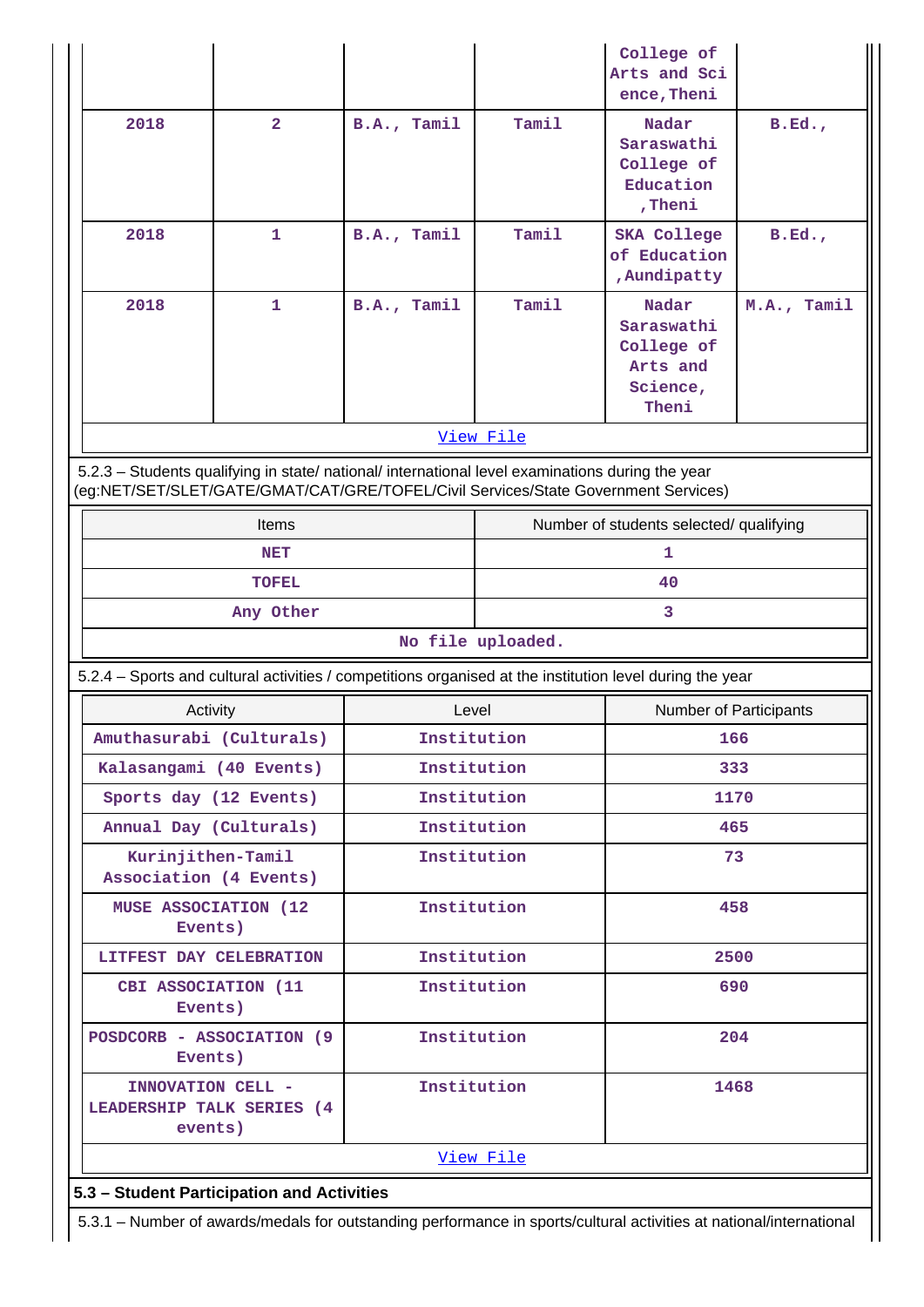|                                                                                                                                                                                        |                           |  |             |                                 | College of<br>Arts and Sci<br>ence, Theni                          |             |  |  |  |  |
|----------------------------------------------------------------------------------------------------------------------------------------------------------------------------------------|---------------------------|--|-------------|---------------------------------|--------------------------------------------------------------------|-------------|--|--|--|--|
| 2018                                                                                                                                                                                   | $\overline{2}$            |  | B.A., Tamil | Tamil                           | Nadar<br>Saraswathi<br>College of<br>Education<br>, Theni          | B.Ed.       |  |  |  |  |
| 2018                                                                                                                                                                                   | $\mathbf{1}$              |  | B.A., Tamil | Tamil                           | <b>SKA College</b><br>of Education<br>, Aundipatty                 | B.Ed.       |  |  |  |  |
| 2018                                                                                                                                                                                   | 1                         |  | B.A., Tamil | Tamil                           | Nadar<br>Saraswathi<br>College of<br>Arts and<br>Science,<br>Theni | M.A., Tamil |  |  |  |  |
|                                                                                                                                                                                        |                           |  |             | View File                       |                                                                    |             |  |  |  |  |
| 5.2.3 - Students qualifying in state/ national/ international level examinations during the year<br>(eg:NET/SET/SLET/GATE/GMAT/CAT/GRE/TOFEL/Civil Services/State Government Services) |                           |  |             |                                 |                                                                    |             |  |  |  |  |
|                                                                                                                                                                                        | Items                     |  |             |                                 | Number of students selected/ qualifying                            |             |  |  |  |  |
|                                                                                                                                                                                        | <b>NET</b>                |  |             | 1                               |                                                                    |             |  |  |  |  |
|                                                                                                                                                                                        | <b>TOFEL</b>              |  |             |                                 | 40                                                                 |             |  |  |  |  |
|                                                                                                                                                                                        | Any Other                 |  |             |                                 | 3                                                                  |             |  |  |  |  |
| No file uploaded.                                                                                                                                                                      |                           |  |             |                                 |                                                                    |             |  |  |  |  |
| 5.2.4 - Sports and cultural activities / competitions organised at the institution level during the year                                                                               |                           |  |             |                                 |                                                                    |             |  |  |  |  |
| Activity                                                                                                                                                                               |                           |  |             | Level<br>Number of Participants |                                                                    |             |  |  |  |  |
|                                                                                                                                                                                        | Amuthasurabi (Culturals)  |  | Institution |                                 | 166<br>333                                                         |             |  |  |  |  |
| Kalasangami (40 Events)                                                                                                                                                                |                           |  |             | Institution                     |                                                                    |             |  |  |  |  |
|                                                                                                                                                                                        | Sports day (12 Events)    |  |             | Institution                     | 1170                                                               |             |  |  |  |  |
| Annual Day (Culturals)<br>Kurinjithen-Tamil<br>Association (4 Events)                                                                                                                  |                           |  |             | Institution<br>Institution      | 465<br>73                                                          |             |  |  |  |  |
| <b>MUSE ASSOCIATION (12)</b><br>Events)                                                                                                                                                |                           |  |             | Institution                     | 458                                                                |             |  |  |  |  |
| LITFEST DAY CELEBRATION                                                                                                                                                                |                           |  |             | Institution                     | 2500                                                               |             |  |  |  |  |
| CBI ASSOCIATION (11<br>Events)                                                                                                                                                         |                           |  | Institution |                                 | 690                                                                |             |  |  |  |  |
| Events)                                                                                                                                                                                | POSDCORB - ASSOCIATION (9 |  | Institution |                                 | 204                                                                |             |  |  |  |  |
| INNOVATION CELL -<br>LEADERSHIP TALK SERIES (4<br>events)                                                                                                                              |                           |  |             | Institution                     | 1468                                                               |             |  |  |  |  |
|                                                                                                                                                                                        |                           |  |             | View File                       |                                                                    |             |  |  |  |  |
| 5.3 - Student Participation and Activities                                                                                                                                             |                           |  |             |                                 |                                                                    |             |  |  |  |  |
| 5.3.1 – Number of awards/medals for outstanding performance in sports/cultural activities at national/international                                                                    |                           |  |             |                                 |                                                                    |             |  |  |  |  |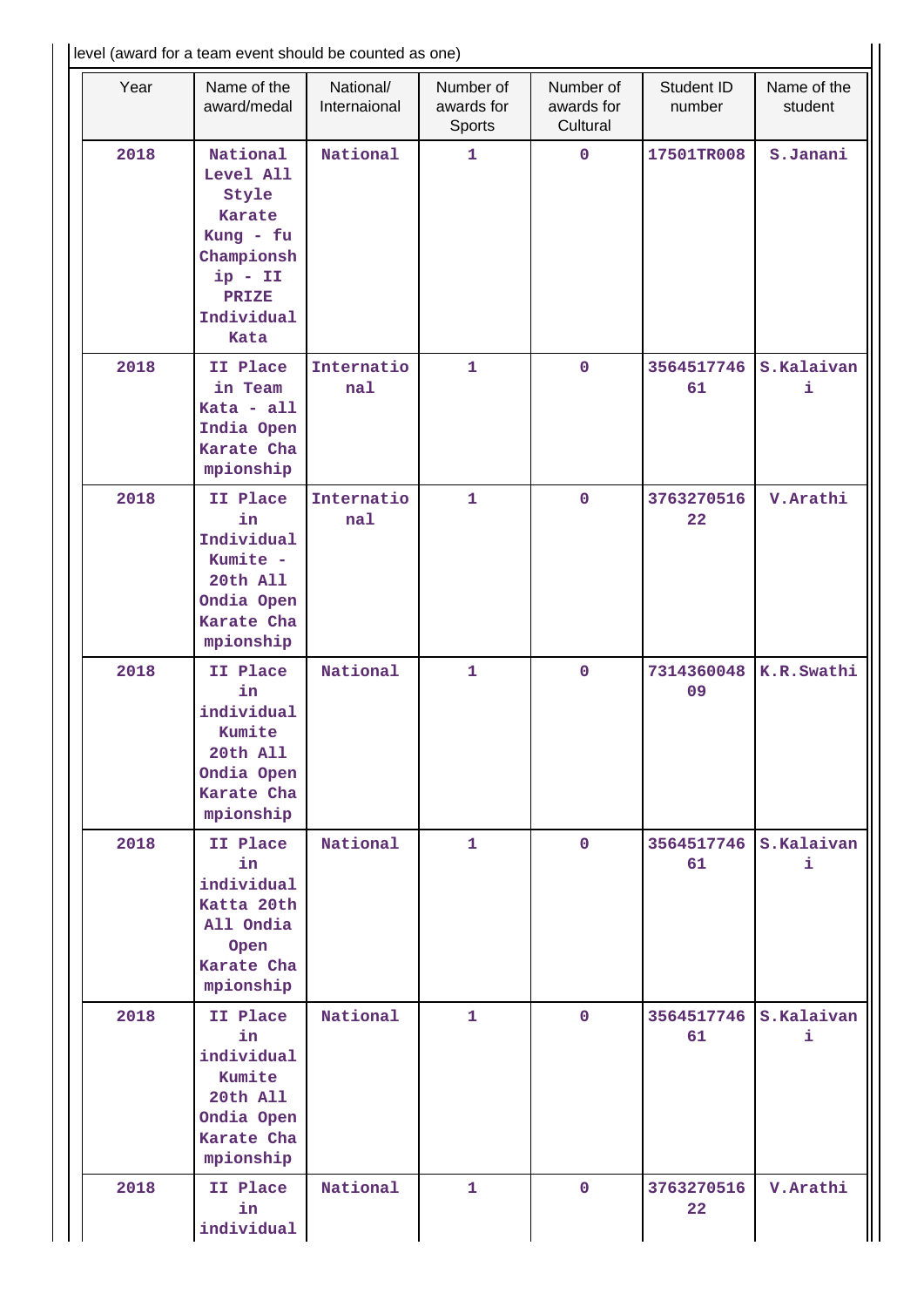| level (award for a team event should be counted as one) |      |                                                                                                                        |                           |                                   |                                     |                      |                        |  |  |
|---------------------------------------------------------|------|------------------------------------------------------------------------------------------------------------------------|---------------------------|-----------------------------------|-------------------------------------|----------------------|------------------------|--|--|
|                                                         | Year | Name of the<br>award/medal                                                                                             | National/<br>Internaional | Number of<br>awards for<br>Sports | Number of<br>awards for<br>Cultural | Student ID<br>number | Name of the<br>student |  |  |
|                                                         | 2018 | National<br>Level All<br>Style<br>Karate<br>Kung - fu<br>Championsh<br>$ip - II$<br><b>PRIZE</b><br>Individual<br>Kata | National                  | 1                                 | $\mathbf 0$                         | 17501TR008           | S.Janani               |  |  |
|                                                         | 2018 | II Place<br>in Team<br>Kata - all<br>India Open<br>Karate Cha<br>mpionship                                             | Internatio<br>nal         | $\mathbf{1}$                      | $\mathbf 0$                         | 3564517746<br>61     | S.Kalaivan<br>i        |  |  |
|                                                         | 2018 | II Place<br>in<br>Individual<br>Kumite -<br>20th All<br>Ondia Open<br>Karate Cha<br>mpionship                          | Internatio<br>nal         | $\mathbf{1}$                      | $\mathbf 0$                         | 3763270516<br>22     | V. Arathi              |  |  |
|                                                         | 2018 | II Place<br>in<br>individual<br>Kumite<br>20th All<br>Ondia Open<br>Karate Cha<br>mpionship                            | National                  | $\mathbf{1}$                      | $\mathbf 0$                         | 7314360048<br>09     | K.R.Swathi             |  |  |
|                                                         | 2018 | II Place<br>in<br>individual<br>Katta 20th<br>All Ondia<br>Open<br>Karate Cha<br>mpionship                             | National                  | $\mathbf{1}$                      | $\mathbf{0}$                        | 3564517746<br>61     | S.Kalaivan<br>i.       |  |  |
|                                                         | 2018 | II Place<br>in<br>individual<br>Kumite<br>20th All<br>Ondia Open<br>Karate Cha<br>mpionship                            | National                  | $\mathbf{1}$                      | $\mathbf 0$                         | 3564517746<br>61     | S.Kalaivan<br>i.       |  |  |
|                                                         | 2018 | II Place<br>in<br>individual                                                                                           | National                  | 1                                 | $\mathbf 0$                         | 3763270516<br>22     | V. Arathi              |  |  |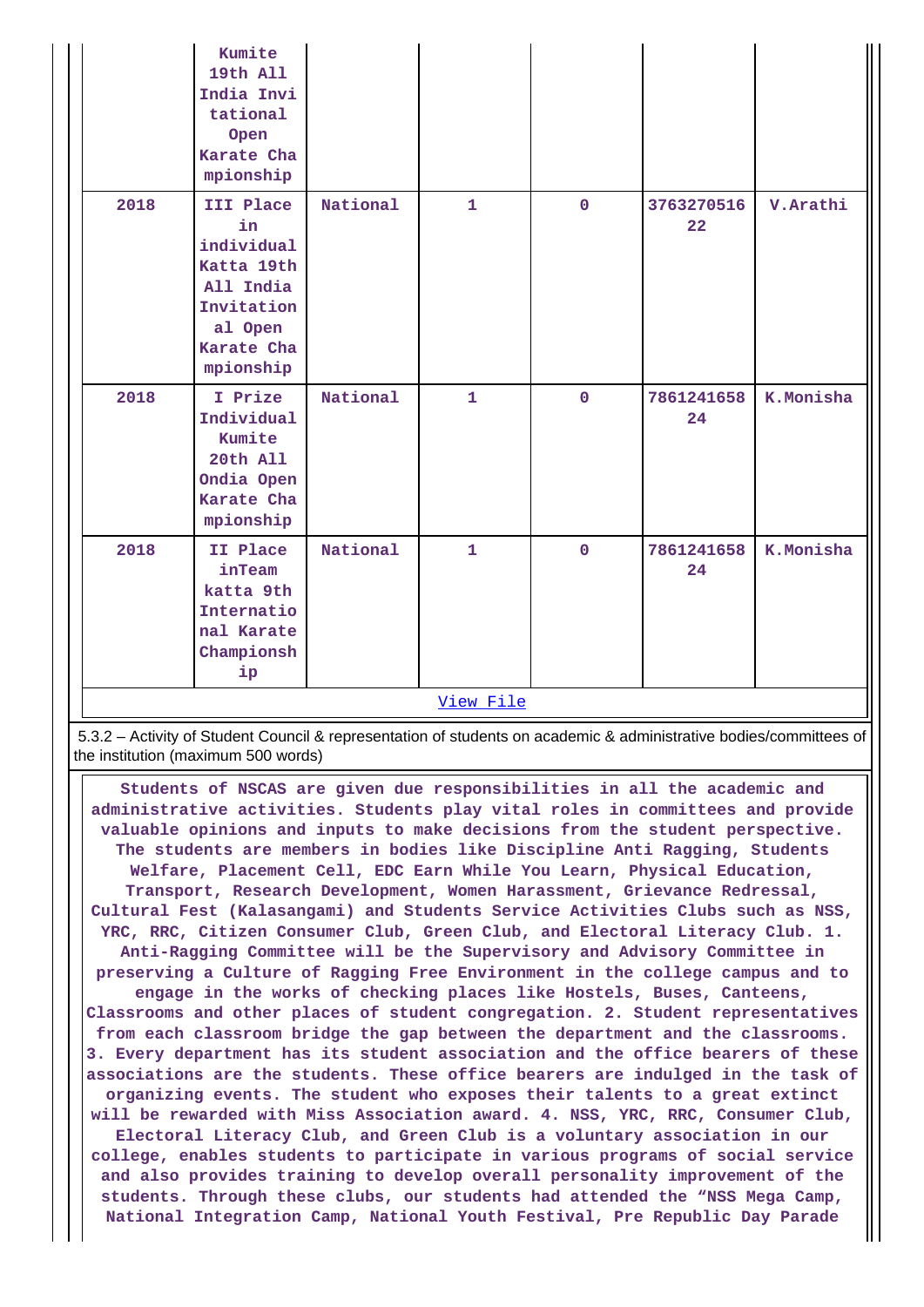|      | Kumite<br>19th All<br>India Invi<br>tational<br>Open<br>Karate Cha<br>mpionship                              |          |              |              |                  |           |
|------|--------------------------------------------------------------------------------------------------------------|----------|--------------|--------------|------------------|-----------|
| 2018 | III Place<br>in<br>individual<br>Katta 19th<br>All India<br>Invitation<br>al Open<br>Karate Cha<br>mpionship | National | $\mathbf{1}$ | $\mathbf 0$  | 3763270516<br>22 | V. Arathi |
| 2018 | I Prize<br>Individual<br>Kumite<br>20th All<br>Ondia Open<br>Karate Cha<br>mpionship                         | National | $\mathbf{1}$ | $\mathbf{O}$ | 7861241658<br>24 | K.Monisha |
| 2018 | II Place<br>inTeam<br>katta 9th<br>Internatio<br>nal Karate<br>Championsh<br>ip                              | National | $\mathbf{1}$ | $\mathbf 0$  | 7861241658<br>24 | K.Monisha |
|      |                                                                                                              |          | View File    |              |                  |           |

 5.3.2 – Activity of Student Council & representation of students on academic & administrative bodies/committees of the institution (maximum 500 words)

 **Students of NSCAS are given due responsibilities in all the academic and administrative activities. Students play vital roles in committees and provide valuable opinions and inputs to make decisions from the student perspective. The students are members in bodies like Discipline Anti Ragging, Students Welfare, Placement Cell, EDC Earn While You Learn, Physical Education, Transport, Research Development, Women Harassment, Grievance Redressal, Cultural Fest (Kalasangami) and Students Service Activities Clubs such as NSS, YRC, RRC, Citizen Consumer Club, Green Club, and Electoral Literacy Club. 1. Anti-Ragging Committee will be the Supervisory and Advisory Committee in preserving a Culture of Ragging Free Environment in the college campus and to engage in the works of checking places like Hostels, Buses, Canteens, Classrooms and other places of student congregation. 2. Student representatives from each classroom bridge the gap between the department and the classrooms. 3. Every department has its student association and the office bearers of these associations are the students. These office bearers are indulged in the task of organizing events. The student who exposes their talents to a great extinct will be rewarded with Miss Association award. 4. NSS, YRC, RRC, Consumer Club, Electoral Literacy Club, and Green Club is a voluntary association in our college, enables students to participate in various programs of social service and also provides training to develop overall personality improvement of the students. Through these clubs, our students had attended the "NSS Mega Camp, National Integration Camp, National Youth Festival, Pre Republic Day Parade**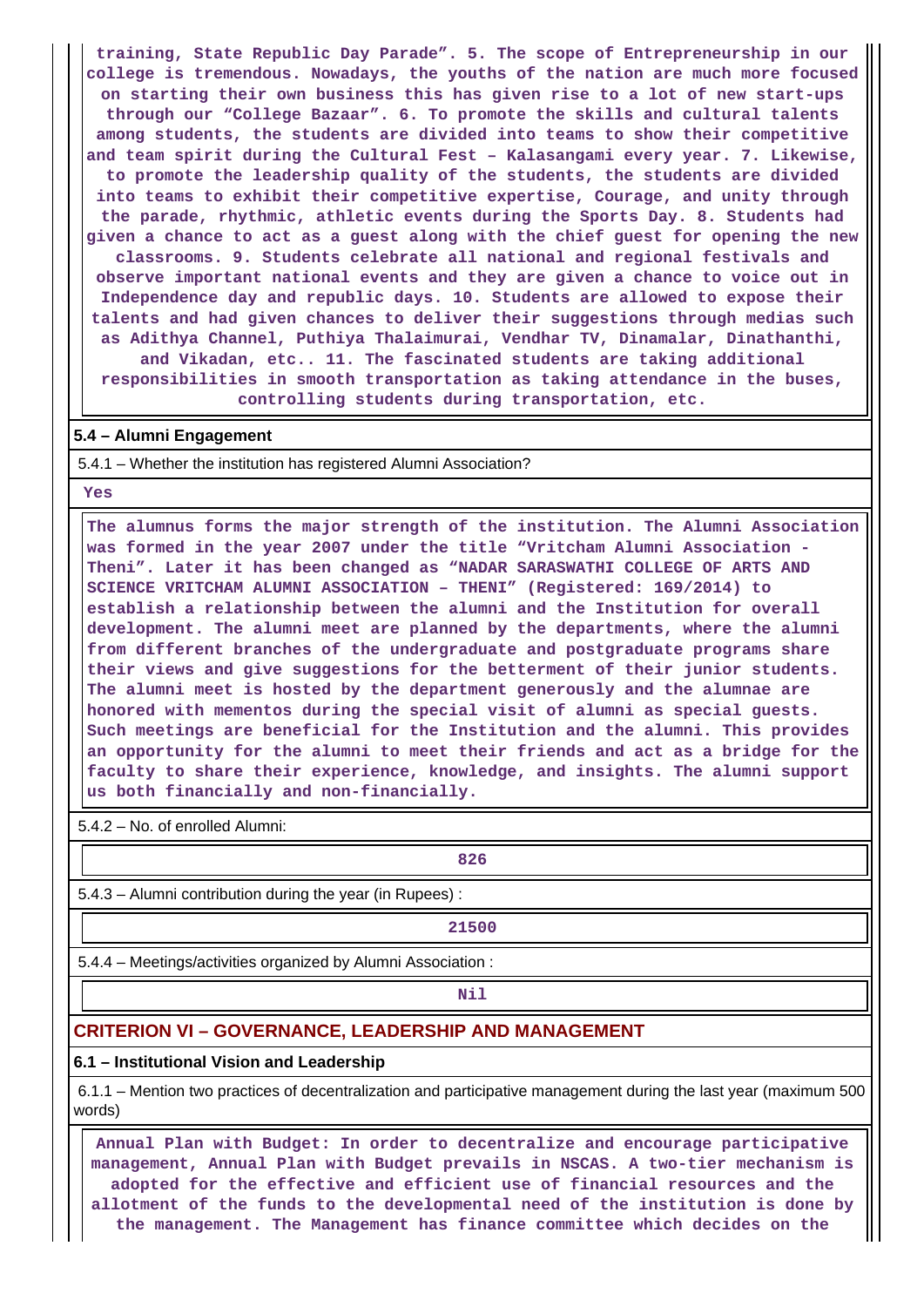**training, State Republic Day Parade". 5. The scope of Entrepreneurship in our college is tremendous. Nowadays, the youths of the nation are much more focused on starting their own business this has given rise to a lot of new start-ups through our "College Bazaar". 6. To promote the skills and cultural talents among students, the students are divided into teams to show their competitive and team spirit during the Cultural Fest – Kalasangami every year. 7. Likewise, to promote the leadership quality of the students, the students are divided into teams to exhibit their competitive expertise, Courage, and unity through the parade, rhythmic, athletic events during the Sports Day. 8. Students had given a chance to act as a guest along with the chief guest for opening the new classrooms. 9. Students celebrate all national and regional festivals and observe important national events and they are given a chance to voice out in Independence day and republic days. 10. Students are allowed to expose their talents and had given chances to deliver their suggestions through medias such as Adithya Channel, Puthiya Thalaimurai, Vendhar TV, Dinamalar, Dinathanthi, and Vikadan, etc.. 11. The fascinated students are taking additional responsibilities in smooth transportation as taking attendance in the buses, controlling students during transportation, etc.**

#### **5.4 – Alumni Engagement**

5.4.1 – Whether the institution has registered Alumni Association?

 **Yes**

 **The alumnus forms the major strength of the institution. The Alumni Association was formed in the year 2007 under the title "Vritcham Alumni Association - Theni". Later it has been changed as "NADAR SARASWATHI COLLEGE OF ARTS AND SCIENCE VRITCHAM ALUMNI ASSOCIATION – THENI" (Registered: 169/2014) to establish a relationship between the alumni and the Institution for overall development. The alumni meet are planned by the departments, where the alumni from different branches of the undergraduate and postgraduate programs share their views and give suggestions for the betterment of their junior students. The alumni meet is hosted by the department generously and the alumnae are honored with mementos during the special visit of alumni as special guests. Such meetings are beneficial for the Institution and the alumni. This provides an opportunity for the alumni to meet their friends and act as a bridge for the faculty to share their experience, knowledge, and insights. The alumni support us both financially and non-financially.**

5.4.2 – No. of enrolled Alumni:

**826** 

5.4.3 – Alumni contribution during the year (in Rupees) :

**21500**

5.4.4 – Meetings/activities organized by Alumni Association :

**Nil** 

#### **CRITERION VI – GOVERNANCE, LEADERSHIP AND MANAGEMENT**

#### **6.1 – Institutional Vision and Leadership**

 6.1.1 – Mention two practices of decentralization and participative management during the last year (maximum 500 words)

 **Annual Plan with Budget: In order to decentralize and encourage participative management, Annual Plan with Budget prevails in NSCAS. A two-tier mechanism is adopted for the effective and efficient use of financial resources and the allotment of the funds to the developmental need of the institution is done by the management. The Management has finance committee which decides on the**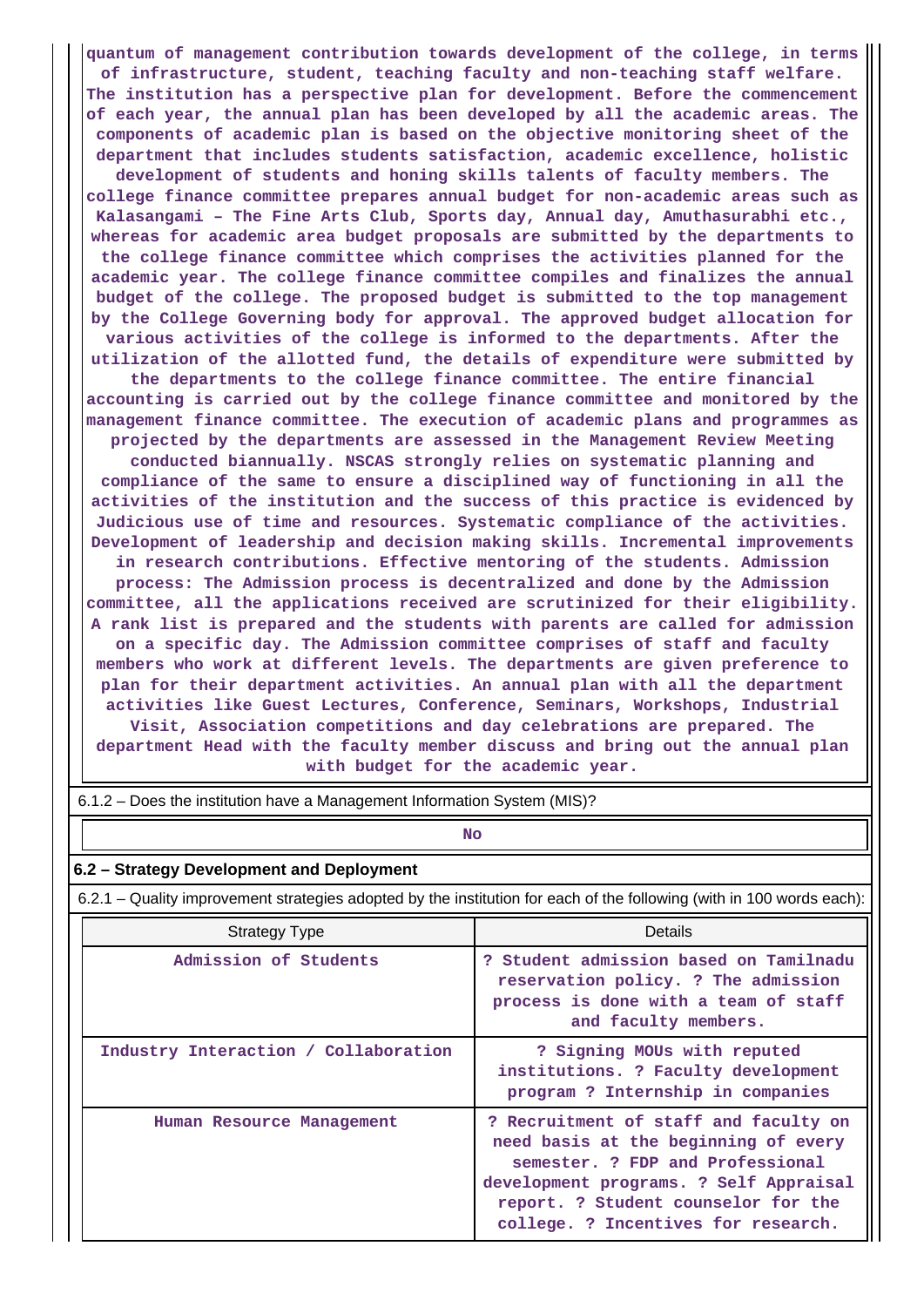**quantum of management contribution towards development of the college, in terms of infrastructure, student, teaching faculty and non-teaching staff welfare. The institution has a perspective plan for development. Before the commencement of each year, the annual plan has been developed by all the academic areas. The components of academic plan is based on the objective monitoring sheet of the department that includes students satisfaction, academic excellence, holistic development of students and honing skills talents of faculty members. The college finance committee prepares annual budget for non-academic areas such as Kalasangami – The Fine Arts Club, Sports day, Annual day, Amuthasurabhi etc., whereas for academic area budget proposals are submitted by the departments to the college finance committee which comprises the activities planned for the academic year. The college finance committee compiles and finalizes the annual budget of the college. The proposed budget is submitted to the top management by the College Governing body for approval. The approved budget allocation for various activities of the college is informed to the departments. After the utilization of the allotted fund, the details of expenditure were submitted by the departments to the college finance committee. The entire financial accounting is carried out by the college finance committee and monitored by the management finance committee. The execution of academic plans and programmes as projected by the departments are assessed in the Management Review Meeting conducted biannually. NSCAS strongly relies on systematic planning and compliance of the same to ensure a disciplined way of functioning in all the activities of the institution and the success of this practice is evidenced by Judicious use of time and resources. Systematic compliance of the activities. Development of leadership and decision making skills. Incremental improvements in research contributions. Effective mentoring of the students. Admission process: The Admission process is decentralized and done by the Admission committee, all the applications received are scrutinized for their eligibility. A rank list is prepared and the students with parents are called for admission on a specific day. The Admission committee comprises of staff and faculty members who work at different levels. The departments are given preference to plan for their department activities. An annual plan with all the department activities like Guest Lectures, Conference, Seminars, Workshops, Industrial Visit, Association competitions and day celebrations are prepared. The department Head with the faculty member discuss and bring out the annual plan with budget for the academic year.**

| <b>No</b>                                                                                                             |                                                                                                                                                                                                                                           |  |  |  |  |  |  |  |  |
|-----------------------------------------------------------------------------------------------------------------------|-------------------------------------------------------------------------------------------------------------------------------------------------------------------------------------------------------------------------------------------|--|--|--|--|--|--|--|--|
| 6.2 - Strategy Development and Deployment                                                                             |                                                                                                                                                                                                                                           |  |  |  |  |  |  |  |  |
| 6.2.1 – Quality improvement strategies adopted by the institution for each of the following (with in 100 words each): |                                                                                                                                                                                                                                           |  |  |  |  |  |  |  |  |
| <b>Strategy Type</b>                                                                                                  | Details                                                                                                                                                                                                                                   |  |  |  |  |  |  |  |  |
| Admission of Students                                                                                                 | ? Student admission based on Tamilnadu<br>reservation policy. ? The admission<br>process is done with a team of staff<br>and faculty members.                                                                                             |  |  |  |  |  |  |  |  |
| Industry Interaction / Collaboration                                                                                  | ? Signing MOUs with reputed<br>institutions. ? Faculty development<br>program ? Internship in companies                                                                                                                                   |  |  |  |  |  |  |  |  |
| Human Resource Management                                                                                             | ? Recruitment of staff and faculty on<br>need basis at the beginning of every<br>semester. ? FDP and Professional<br>development programs. ? Self Appraisal<br>report. ? Student counselor for the<br>college. ? Incentives for research. |  |  |  |  |  |  |  |  |

6.1.2 – Does the institution have a Management Information System (MIS)?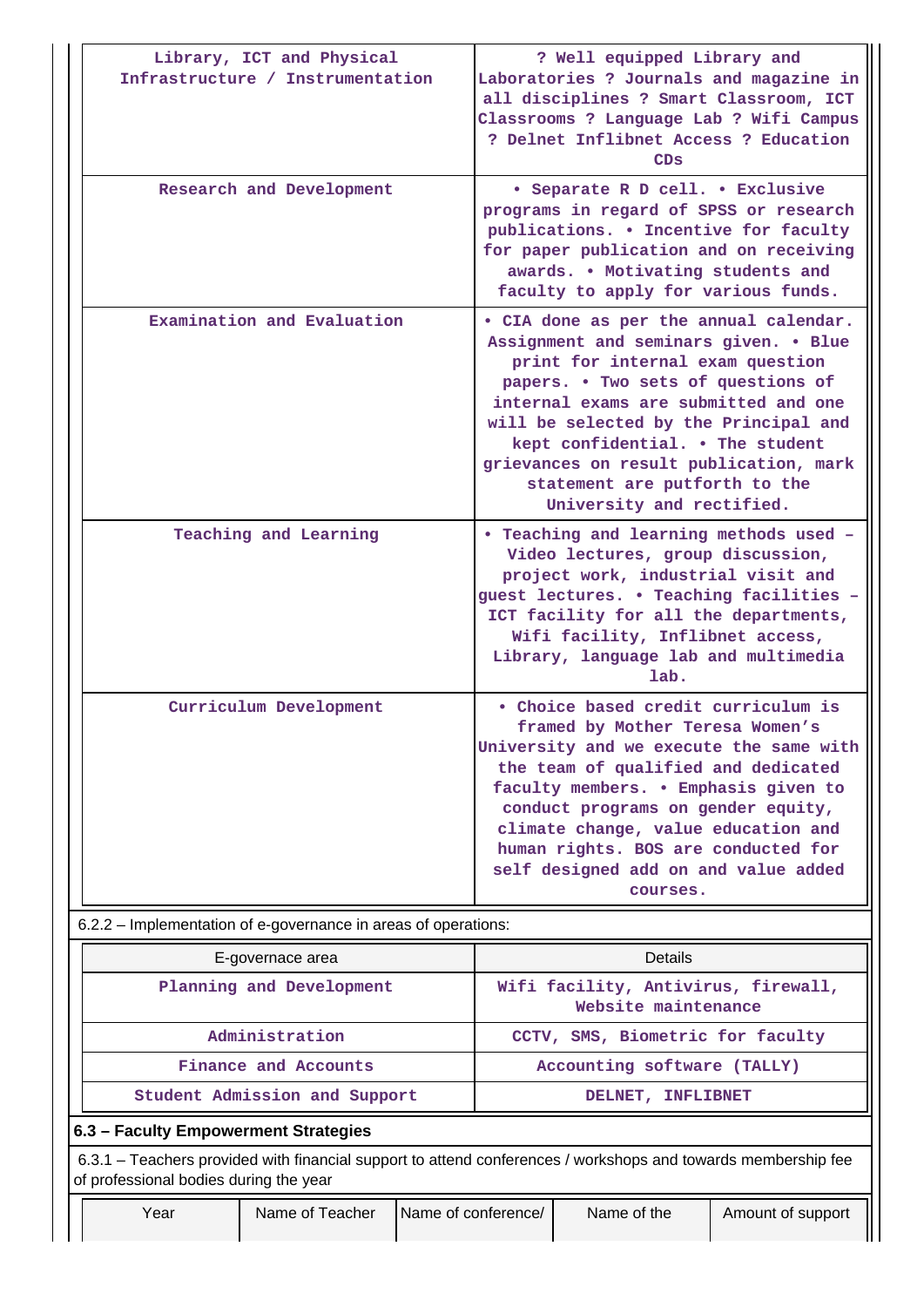|                                                                                                                                                       | Library, ICT and Physical<br>Infrastructure / Instrumentation |  | ? Well equipped Library and<br>Laboratories ? Journals and magazine in<br>all disciplines ? Smart Classroom, ICT<br>Classrooms ? Language Lab ? Wifi Campus<br>? Delnet Inflibnet Access ? Education<br>CDS                                                                                                                                                                            |                                                            |  |  |  |  |
|-------------------------------------------------------------------------------------------------------------------------------------------------------|---------------------------------------------------------------|--|----------------------------------------------------------------------------------------------------------------------------------------------------------------------------------------------------------------------------------------------------------------------------------------------------------------------------------------------------------------------------------------|------------------------------------------------------------|--|--|--|--|
|                                                                                                                                                       | Research and Development                                      |  | • Separate R D cell. • Exclusive<br>programs in regard of SPSS or research<br>publications. . Incentive for faculty<br>for paper publication and on receiving<br>awards. . Motivating students and<br>faculty to apply for various funds.                                                                                                                                              |                                                            |  |  |  |  |
|                                                                                                                                                       | Examination and Evaluation                                    |  | • CIA done as per the annual calendar.<br>Assignment and seminars given. . Blue<br>print for internal exam question<br>papers. . Two sets of questions of<br>internal exams are submitted and one<br>will be selected by the Principal and<br>kept confidential. . The student<br>grievances on result publication, mark<br>statement are putforth to the<br>University and rectified. |                                                            |  |  |  |  |
|                                                                                                                                                       | Teaching and Learning                                         |  | • Teaching and learning methods used -<br>Video lectures, group discussion,<br>project work, industrial visit and<br>guest lectures. . Teaching facilities -<br>ICT facility for all the departments,<br>Wifi facility, Inflibnet access,<br>Library, language lab and multimedia<br>lab.                                                                                              |                                                            |  |  |  |  |
|                                                                                                                                                       | Curriculum Development                                        |  | • Choice based credit curriculum is<br>framed by Mother Teresa Women's<br>University and we execute the same with<br>the team of qualified and dedicated<br>faculty members. . Emphasis given to<br>conduct programs on gender equity,<br>climate change, value education and<br>human rights. BOS are conducted for<br>self designed add on and value added<br>courses.               |                                                            |  |  |  |  |
| 6.2.2 – Implementation of e-governance in areas of operations:                                                                                        |                                                               |  |                                                                                                                                                                                                                                                                                                                                                                                        |                                                            |  |  |  |  |
|                                                                                                                                                       | E-governace area                                              |  |                                                                                                                                                                                                                                                                                                                                                                                        | Details                                                    |  |  |  |  |
|                                                                                                                                                       | Planning and Development                                      |  |                                                                                                                                                                                                                                                                                                                                                                                        | Wifi facility, Antivirus, firewall,<br>Website maintenance |  |  |  |  |
|                                                                                                                                                       | Administration                                                |  |                                                                                                                                                                                                                                                                                                                                                                                        | CCTV, SMS, Biometric for faculty                           |  |  |  |  |
|                                                                                                                                                       | Finance and Accounts                                          |  | Accounting software (TALLY)                                                                                                                                                                                                                                                                                                                                                            |                                                            |  |  |  |  |
|                                                                                                                                                       | Student Admission and Support                                 |  | DELNET, INFLIBNET                                                                                                                                                                                                                                                                                                                                                                      |                                                            |  |  |  |  |
| 6.3 - Faculty Empowerment Strategies<br>6.3.1 – Teachers provided with financial support to attend conferences / workshops and towards membership fee |                                                               |  |                                                                                                                                                                                                                                                                                                                                                                                        |                                                            |  |  |  |  |
| of professional bodies during the year                                                                                                                |                                                               |  |                                                                                                                                                                                                                                                                                                                                                                                        |                                                            |  |  |  |  |
| Year                                                                                                                                                  | Name of Teacher                                               |  | Name of the<br>Name of conference/<br>Amount of support                                                                                                                                                                                                                                                                                                                                |                                                            |  |  |  |  |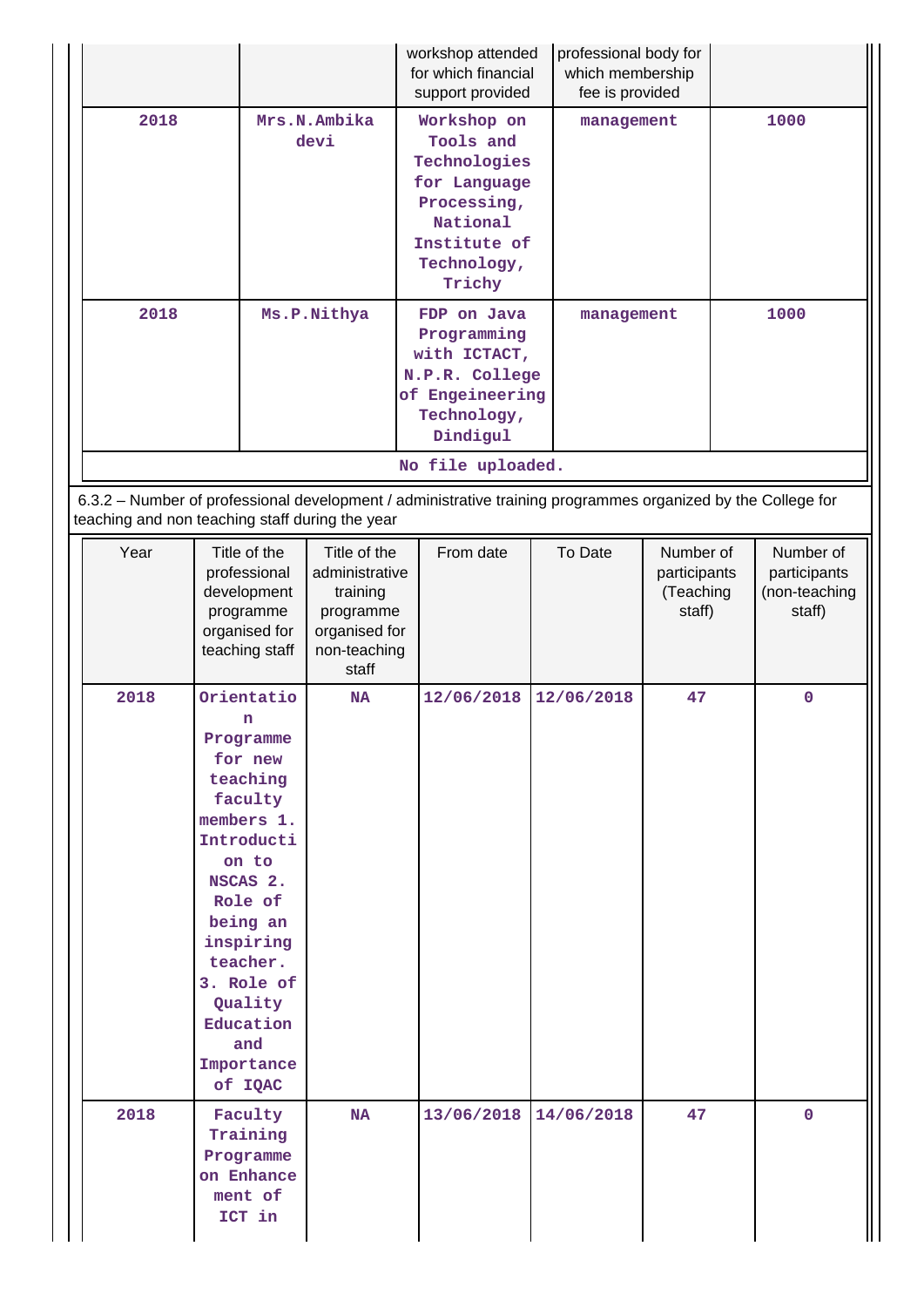|                                                                                                                                                                                      |                                                                                                                                                                                                                                                   |  |                                                                                                   | workshop attended<br>for which financial<br>support provided                                               |                                                                                                                              | professional body for<br>which membership<br>fee is provided |            |                                                  |      |                                                      |
|--------------------------------------------------------------------------------------------------------------------------------------------------------------------------------------|---------------------------------------------------------------------------------------------------------------------------------------------------------------------------------------------------------------------------------------------------|--|---------------------------------------------------------------------------------------------------|------------------------------------------------------------------------------------------------------------|------------------------------------------------------------------------------------------------------------------------------|--------------------------------------------------------------|------------|--------------------------------------------------|------|------------------------------------------------------|
| 2018                                                                                                                                                                                 | Mrs.N.Ambika<br>devi                                                                                                                                                                                                                              |  |                                                                                                   |                                                                                                            | Workshop on<br>Tools and<br>Technologies<br>for Language<br>Processing,<br>National<br>Institute of<br>Technology,<br>Trichy |                                                              | management |                                                  | 1000 |                                                      |
| 2018                                                                                                                                                                                 |                                                                                                                                                                                                                                                   |  | Ms.P.Nithya                                                                                       | FDP on Java<br>Programming<br>with ICTACT,<br>N.P.R. College<br>of Engeineering<br>Technology,<br>Dindigul |                                                                                                                              | management                                                   |            |                                                  | 1000 |                                                      |
| No file uploaded.<br>6.3.2 - Number of professional development / administrative training programmes organized by the College for<br>teaching and non teaching staff during the year |                                                                                                                                                                                                                                                   |  |                                                                                                   |                                                                                                            |                                                                                                                              |                                                              |            |                                                  |      |                                                      |
| Year                                                                                                                                                                                 | Title of the<br>professional<br>development<br>programme<br>organised for<br>teaching staff                                                                                                                                                       |  | Title of the<br>administrative<br>training<br>programme<br>organised for<br>non-teaching<br>staff |                                                                                                            | From date                                                                                                                    |                                                              | To Date    | Number of<br>participants<br>(Teaching<br>staff) |      | Number of<br>participants<br>(non-teaching<br>staff) |
| 2018                                                                                                                                                                                 | Orientatio<br>n<br>Programme<br>for new<br>teaching<br>faculty<br>members 1.<br>Introducti<br>on to<br>NSCAS <sub>2</sub> .<br>Role of<br>being an<br>inspiring<br>teacher.<br>3. Role of<br>Quality<br>Education<br>and<br>Importance<br>of IQAC |  | <b>NA</b>                                                                                         |                                                                                                            | 12/06/2018                                                                                                                   |                                                              | 12/06/2018 | 47                                               |      | 0                                                    |
| 2018                                                                                                                                                                                 | Faculty<br>Training<br>Programme<br>on Enhance<br>ment of<br>ICT in                                                                                                                                                                               |  | <b>NA</b>                                                                                         |                                                                                                            | 13/06/2018                                                                                                                   |                                                              | 14/06/2018 | 47                                               |      | $\mathbf 0$                                          |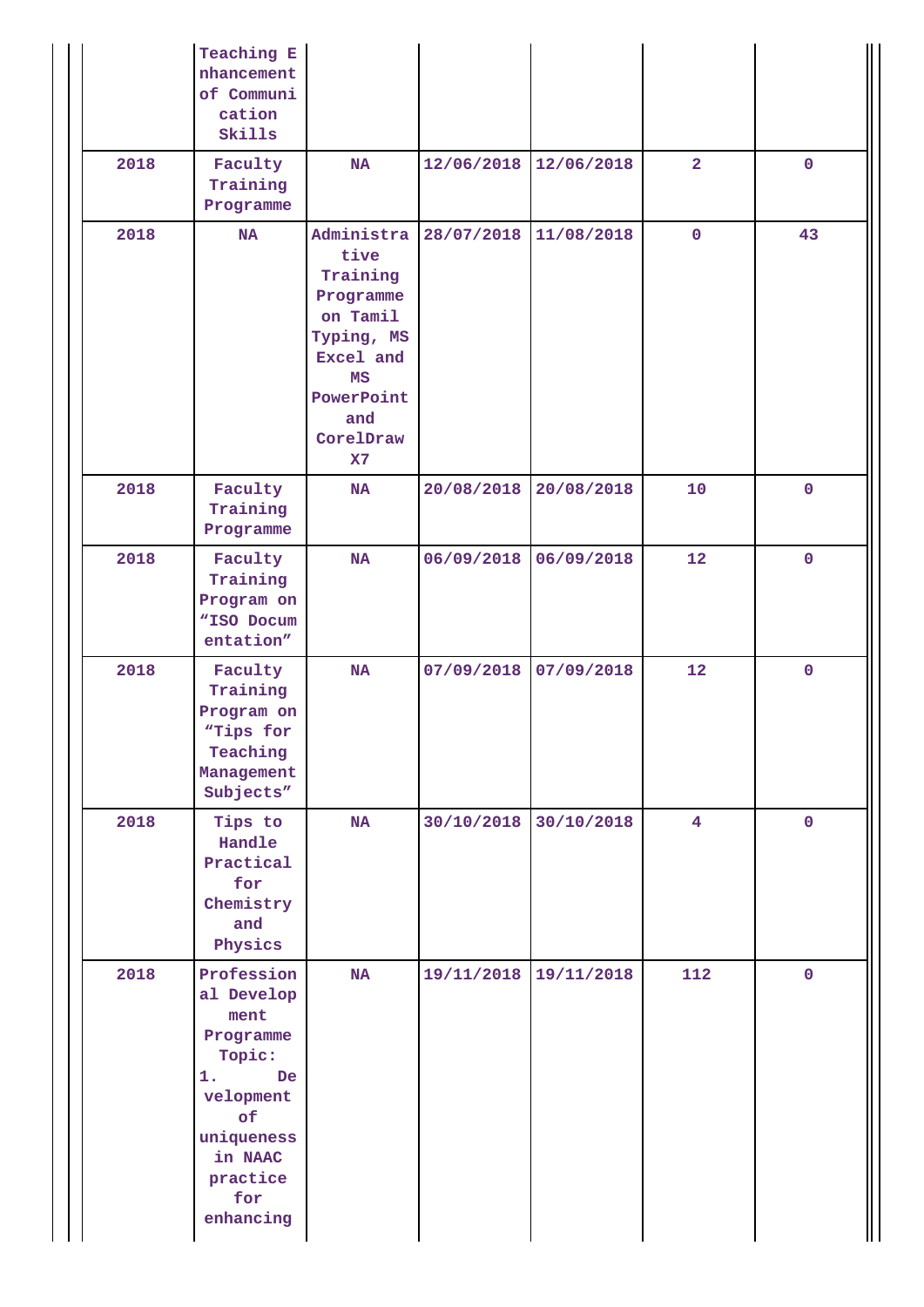|      | Teaching E<br>nhancement<br>of Communi<br>cation<br>Skills                                                                                                                                                                                         |                                                                                                                                  |            |            |                         |             |
|------|----------------------------------------------------------------------------------------------------------------------------------------------------------------------------------------------------------------------------------------------------|----------------------------------------------------------------------------------------------------------------------------------|------------|------------|-------------------------|-------------|
| 2018 | Faculty<br>Training<br>Programme                                                                                                                                                                                                                   | <b>NA</b>                                                                                                                        | 12/06/2018 | 12/06/2018 | $\overline{2}$          | $\mathbf 0$ |
| 2018 | <b>NA</b>                                                                                                                                                                                                                                          | Administra<br>tive<br>Training<br>Programme<br>on Tamil<br>Typing, MS<br>Excel and<br>MS<br>PowerPoint<br>and<br>CorelDraw<br>X7 | 28/07/2018 | 11/08/2018 | $\mathbf 0$             | 43          |
| 2018 | Faculty<br>NA<br>Training<br>Programme                                                                                                                                                                                                             |                                                                                                                                  | 20/08/2018 | 20/08/2018 | 10                      | $\mathbf 0$ |
| 2018 | Faculty<br><b>NA</b><br>Training<br>Program on<br>"ISO Docum<br>entation"                                                                                                                                                                          |                                                                                                                                  | 06/09/2018 | 06/09/2018 | 12                      | $\mathbf 0$ |
| 2018 | Faculty<br>Training<br>Program on<br>"Tips for<br>Teaching<br>Management<br>Subjects"                                                                                                                                                              | NA                                                                                                                               | 07/09/2018 | 07/09/2018 | 12                      | $\mathbf 0$ |
| 2018 | Tips to<br><b>NA</b><br>Handle<br>Practical<br>for<br>Chemistry<br>and<br>Physics<br>2018<br>Profession<br>NA<br>al Develop<br>ment<br>Programme<br>Topic:<br>1.<br>De<br>velopment<br>of<br>uniqueness<br>in NAAC<br>practice<br>for<br>enhancing |                                                                                                                                  | 30/10/2018 | 30/10/2018 | $\overline{\mathbf{4}}$ | $\mathbf 0$ |
|      |                                                                                                                                                                                                                                                    |                                                                                                                                  | 19/11/2018 | 19/11/2018 | 112                     | $\mathbf 0$ |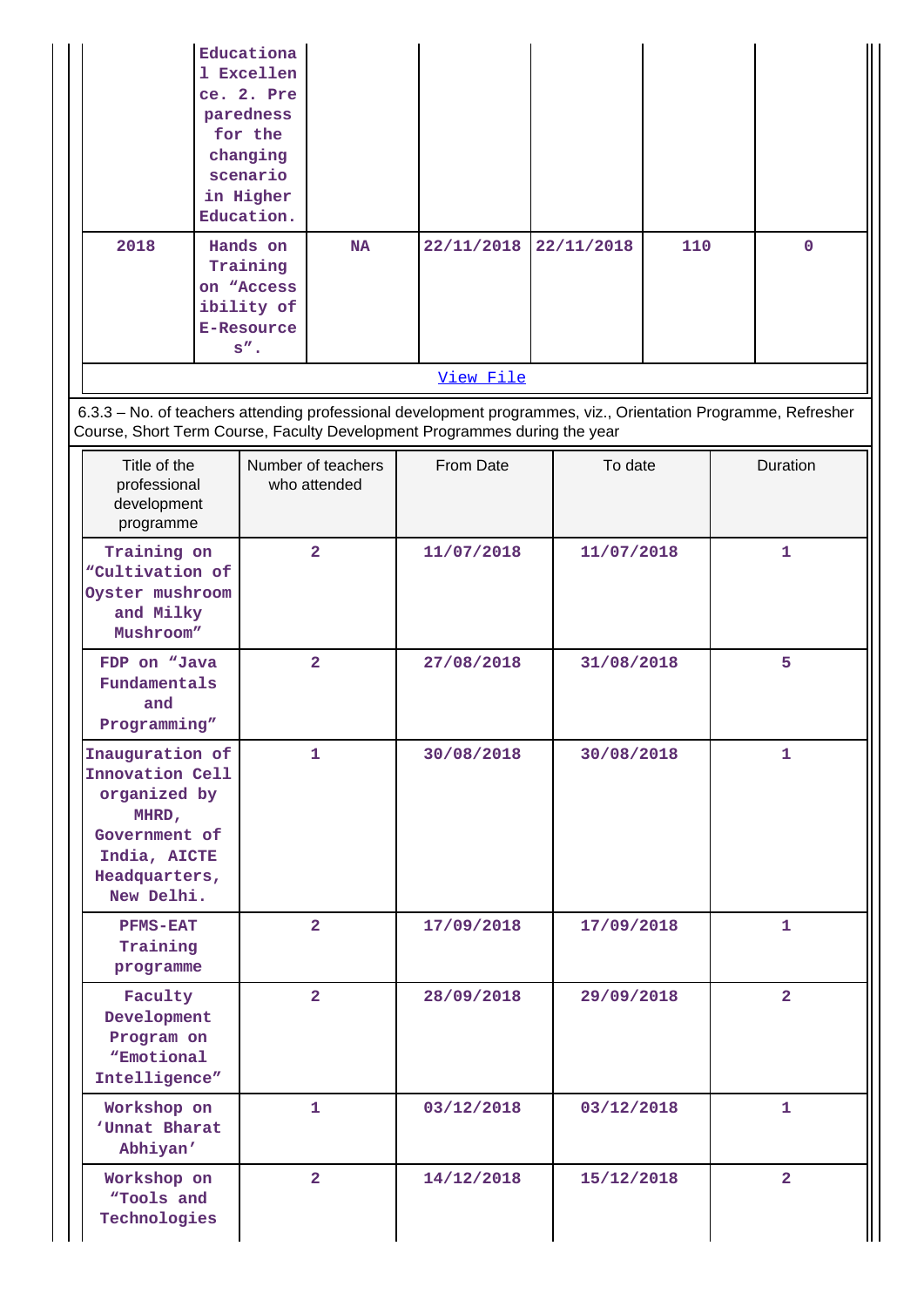| 2018                                                                                                                        |  | Educationa<br>1 Excellen<br>ce. 2. Pre<br>paredness<br>for the<br>changing<br>scenario<br>in Higher<br>Education.<br>Hands on<br>Training<br>on "Access<br>ibility of<br><b>E-Resource</b> | <b>NA</b>                          |            | 22/11/2018 |            | 22/11/2018 | 110          |                | $\mathbf 0$    |
|-----------------------------------------------------------------------------------------------------------------------------|--|--------------------------------------------------------------------------------------------------------------------------------------------------------------------------------------------|------------------------------------|------------|------------|------------|------------|--------------|----------------|----------------|
|                                                                                                                             |  | $s$ ".                                                                                                                                                                                     |                                    |            | View File  |            |            |              |                |                |
| 6.3.3 - No. of teachers attending professional development programmes, viz., Orientation Programme, Refresher               |  |                                                                                                                                                                                            |                                    |            |            |            |            |              |                |                |
| Course, Short Term Course, Faculty Development Programmes during the year                                                   |  |                                                                                                                                                                                            |                                    |            |            |            |            |              |                |                |
| Title of the<br>professional<br>development<br>programme                                                                    |  |                                                                                                                                                                                            | Number of teachers<br>who attended |            | From Date  |            | To date    |              |                | Duration       |
| Training on<br>"Cultivation of<br>Oyster mushroom<br>and Milky<br>Mushroom"                                                 |  |                                                                                                                                                                                            | $\overline{2}$                     |            | 11/07/2018 | 11/07/2018 |            | $\mathbf{1}$ |                |                |
| FDP on "Java<br>Fundamentals<br>and<br>Programming"                                                                         |  |                                                                                                                                                                                            | $\overline{2}$                     |            | 27/08/2018 |            | 31/08/2018 |              |                | 5              |
| Inauguration of<br>Innovation Cell<br>organized by<br>MHRD,<br>Government of<br>India, AICTE<br>Headquarters,<br>New Delhi. |  | 1.                                                                                                                                                                                         |                                    | 30/08/2018 |            |            | 30/08/2018 |              | 1              |                |
| <b>PFMS-EAT</b><br>Training<br>programme                                                                                    |  |                                                                                                                                                                                            | $\overline{2}$                     |            | 17/09/2018 |            | 17/09/2018 |              |                | 1              |
| Faculty<br>Development<br>Program on<br>"Emotional<br>Intelligence"                                                         |  |                                                                                                                                                                                            | $\overline{2}$                     |            | 28/09/2018 |            | 29/09/2018 |              | $\overline{2}$ |                |
| Workshop on<br>'Unnat Bharat<br>Abhiyan'                                                                                    |  |                                                                                                                                                                                            | 1.                                 |            | 03/12/2018 |            | 03/12/2018 |              | 1              |                |
| Workshop on<br>"Tools and<br>Technologies                                                                                   |  |                                                                                                                                                                                            | $\overline{2}$                     |            | 14/12/2018 |            | 15/12/2018 |              |                | $\overline{2}$ |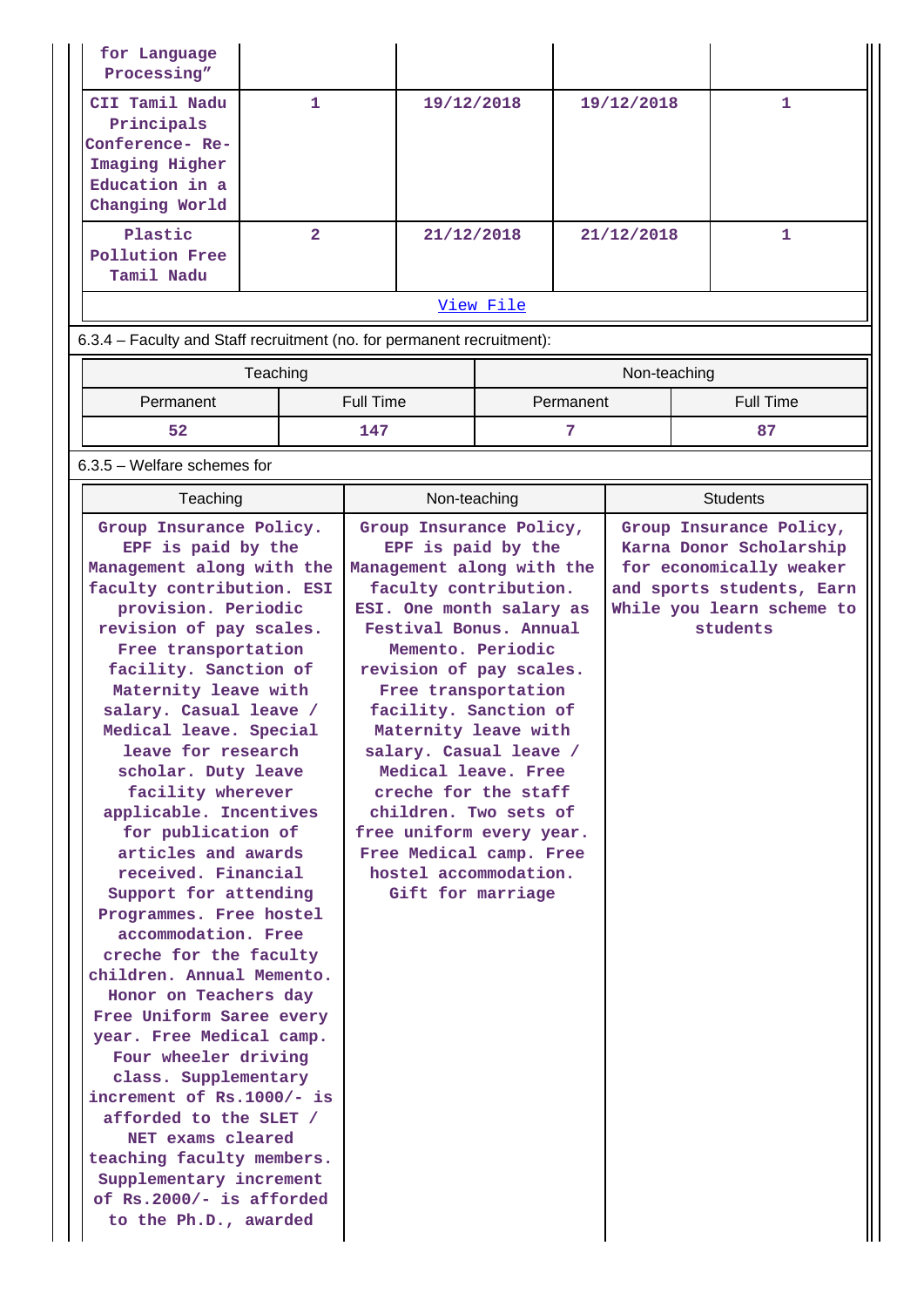| for Language<br>Processing"                                                                                                                                                                                                                                                                                                                                                                                                                                                                                                                                                                                                                                                                                                                                                                                                                                                                                       |                |                  |                                                                                                                                                                                                                                                                                                                                                                                                                                                                                          |           |            |              |                                                                                                                                                     |
|-------------------------------------------------------------------------------------------------------------------------------------------------------------------------------------------------------------------------------------------------------------------------------------------------------------------------------------------------------------------------------------------------------------------------------------------------------------------------------------------------------------------------------------------------------------------------------------------------------------------------------------------------------------------------------------------------------------------------------------------------------------------------------------------------------------------------------------------------------------------------------------------------------------------|----------------|------------------|------------------------------------------------------------------------------------------------------------------------------------------------------------------------------------------------------------------------------------------------------------------------------------------------------------------------------------------------------------------------------------------------------------------------------------------------------------------------------------------|-----------|------------|--------------|-----------------------------------------------------------------------------------------------------------------------------------------------------|
| CII Tamil Nadu<br>Principals<br>Conference-Re-<br>Imaging Higher<br>Education in a<br>Changing World                                                                                                                                                                                                                                                                                                                                                                                                                                                                                                                                                                                                                                                                                                                                                                                                              | $\mathbf{1}$   |                  | 19/12/2018                                                                                                                                                                                                                                                                                                                                                                                                                                                                               |           | 19/12/2018 |              | 1                                                                                                                                                   |
| Plastic<br><b>Pollution Free</b><br>Tamil Nadu                                                                                                                                                                                                                                                                                                                                                                                                                                                                                                                                                                                                                                                                                                                                                                                                                                                                    | $\overline{2}$ |                  | 21/12/2018                                                                                                                                                                                                                                                                                                                                                                                                                                                                               |           | 21/12/2018 |              | $\mathbf{1}$                                                                                                                                        |
|                                                                                                                                                                                                                                                                                                                                                                                                                                                                                                                                                                                                                                                                                                                                                                                                                                                                                                                   |                |                  |                                                                                                                                                                                                                                                                                                                                                                                                                                                                                          | View File |            |              |                                                                                                                                                     |
| 6.3.4 – Faculty and Staff recruitment (no. for permanent recruitment):                                                                                                                                                                                                                                                                                                                                                                                                                                                                                                                                                                                                                                                                                                                                                                                                                                            |                |                  |                                                                                                                                                                                                                                                                                                                                                                                                                                                                                          |           |            |              |                                                                                                                                                     |
| Teaching                                                                                                                                                                                                                                                                                                                                                                                                                                                                                                                                                                                                                                                                                                                                                                                                                                                                                                          |                |                  |                                                                                                                                                                                                                                                                                                                                                                                                                                                                                          |           |            | Non-teaching |                                                                                                                                                     |
| Permanent                                                                                                                                                                                                                                                                                                                                                                                                                                                                                                                                                                                                                                                                                                                                                                                                                                                                                                         |                | <b>Full Time</b> |                                                                                                                                                                                                                                                                                                                                                                                                                                                                                          |           | Permanent  |              | <b>Full Time</b>                                                                                                                                    |
| 52                                                                                                                                                                                                                                                                                                                                                                                                                                                                                                                                                                                                                                                                                                                                                                                                                                                                                                                |                | 147              |                                                                                                                                                                                                                                                                                                                                                                                                                                                                                          |           | 7          |              | 87                                                                                                                                                  |
| 6.3.5 - Welfare schemes for                                                                                                                                                                                                                                                                                                                                                                                                                                                                                                                                                                                                                                                                                                                                                                                                                                                                                       |                |                  |                                                                                                                                                                                                                                                                                                                                                                                                                                                                                          |           |            |              |                                                                                                                                                     |
| Teaching                                                                                                                                                                                                                                                                                                                                                                                                                                                                                                                                                                                                                                                                                                                                                                                                                                                                                                          |                |                  | Non-teaching                                                                                                                                                                                                                                                                                                                                                                                                                                                                             |           |            |              | <b>Students</b>                                                                                                                                     |
| Group Insurance Policy.<br>EPF is paid by the<br>Management along with the<br>faculty contribution. ESI<br>provision. Periodic<br>revision of pay scales.<br>Free transportation<br>facility. Sanction of<br>Maternity leave with<br>salary. Casual leave /<br>Medical leave. Special<br>leave for research<br>scholar. Duty leave<br>facility wherever<br>applicable. Incentives<br>for publication of<br>articles and awards<br>received. Financial<br>Support for attending<br>Programmes. Free hostel<br>accommodation. Free<br>creche for the faculty<br>children. Annual Memento.<br>Honor on Teachers day<br>Free Uniform Saree every<br>year. Free Medical camp.<br>Four wheeler driving<br>class. Supplementary<br>increment of Rs.1000/- is<br>afforded to the SLET /<br>NET exams cleared<br>teaching faculty members.<br>Supplementary increment<br>of Rs.2000/- is afforded<br>to the Ph.D., awarded |                |                  | Group Insurance Policy,<br>EPF is paid by the<br>Management along with the<br>faculty contribution.<br>ESI. One month salary as<br>Festival Bonus. Annual<br>Memento. Periodic<br>revision of pay scales.<br>Free transportation<br>facility. Sanction of<br>Maternity leave with<br>salary. Casual leave /<br>Medical leave. Free<br>creche for the staff<br>children. Two sets of<br>free uniform every year.<br>Free Medical camp. Free<br>hostel accommodation.<br>Gift for marriage |           |            |              | Group Insurance Policy,<br>Karna Donor Scholarship<br>for economically weaker<br>and sports students, Earn<br>While you learn scheme to<br>students |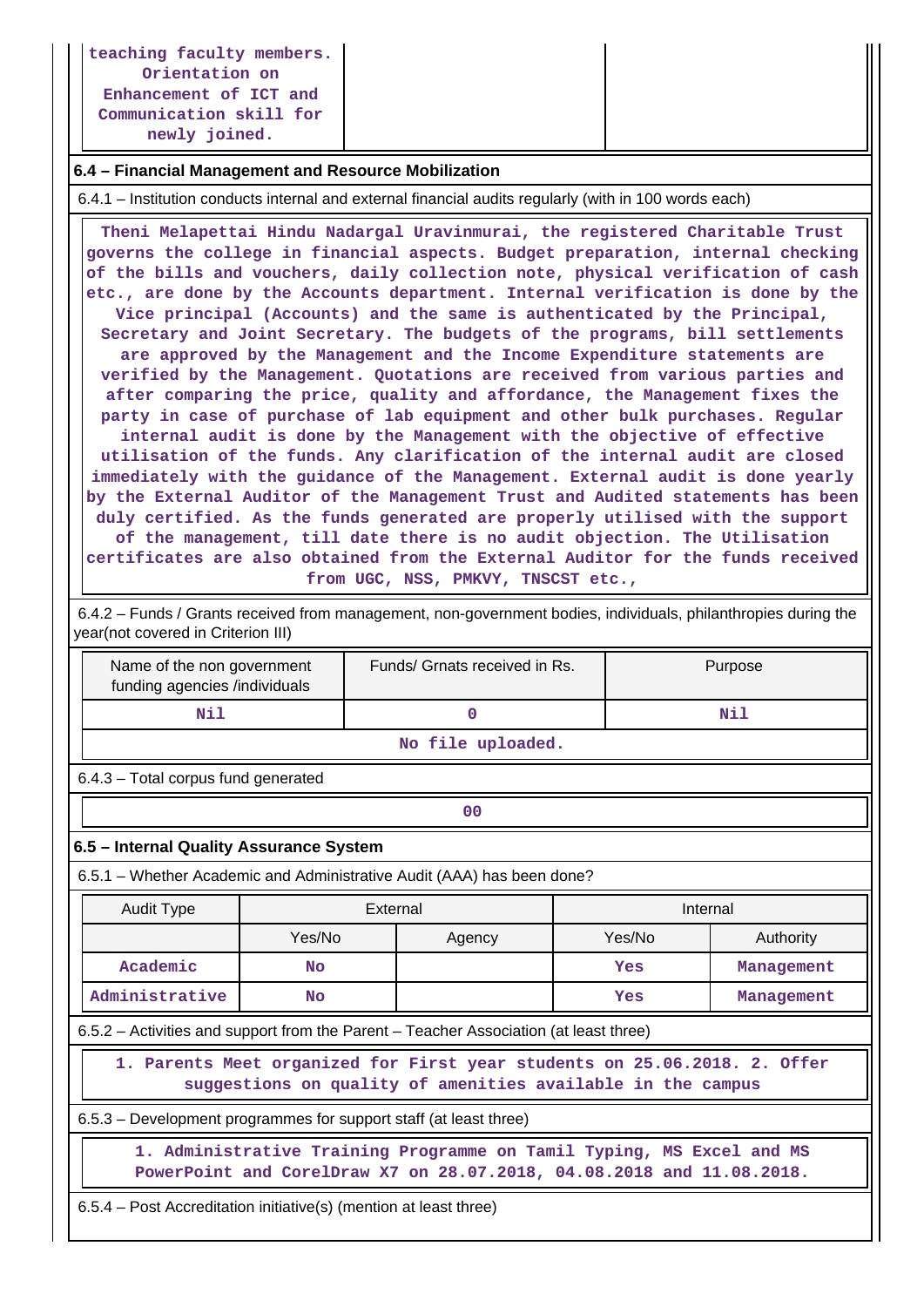**teaching faculty members. Orientation on Enhancement of ICT and Communication skill for newly joined.**

### **6.4 – Financial Management and Resource Mobilization**

6.4.1 – Institution conducts internal and external financial audits regularly (with in 100 words each)

 **Theni Melapettai Hindu Nadargal Uravinmurai, the registered Charitable Trust governs the college in financial aspects. Budget preparation, internal checking of the bills and vouchers, daily collection note, physical verification of cash etc., are done by the Accounts department. Internal verification is done by the Vice principal (Accounts) and the same is authenticated by the Principal, Secretary and Joint Secretary. The budgets of the programs, bill settlements are approved by the Management and the Income Expenditure statements are verified by the Management. Quotations are received from various parties and after comparing the price, quality and affordance, the Management fixes the party in case of purchase of lab equipment and other bulk purchases. Regular internal audit is done by the Management with the objective of effective utilisation of the funds. Any clarification of the internal audit are closed immediately with the guidance of the Management. External audit is done yearly by the External Auditor of the Management Trust and Audited statements has been duly certified. As the funds generated are properly utilised with the support of the management, till date there is no audit objection. The Utilisation certificates are also obtained from the External Auditor for the funds received from UGC, NSS, PMKVY, TNSCST etc.,**

 6.4.2 – Funds / Grants received from management, non-government bodies, individuals, philanthropies during the year(not covered in Criterion III)

| Name of the non government<br>funding agencies /individuals | Funds/ Grnats received in Rs. | Purpose |  |  |  |  |  |
|-------------------------------------------------------------|-------------------------------|---------|--|--|--|--|--|
| Nil                                                         |                               | Nil     |  |  |  |  |  |
| No file uploaded.                                           |                               |         |  |  |  |  |  |

6.4.3 – Total corpus fund generated

**00**

### **6.5 – Internal Quality Assurance System**

6.5.1 – Whether Academic and Administrative Audit (AAA) has been done?

| <b>Audit Type</b>                                                                                                                              | External  |        | Internal |            |  |  |  |
|------------------------------------------------------------------------------------------------------------------------------------------------|-----------|--------|----------|------------|--|--|--|
|                                                                                                                                                | Yes/No    | Agency | Yes/No   | Authority  |  |  |  |
| Academic                                                                                                                                       | <b>No</b> |        | Yes      | Management |  |  |  |
| Administrative                                                                                                                                 | <b>No</b> |        | Yes      | Management |  |  |  |
| 6.5.2 – Activities and support from the Parent – Teacher Association (at least three)                                                          |           |        |          |            |  |  |  |
| 1. Parents Meet organized for First year students on 25.06.2018. 2. Offer<br>suggestions on quality of amenities available in the campus       |           |        |          |            |  |  |  |
| 6.5.3 – Development programmes for support staff (at least three)                                                                              |           |        |          |            |  |  |  |
| 1. Administrative Training Programme on Tamil Typing, MS Excel and MS<br>PowerPoint and CorelDraw X7 on 28.07.2018, 04.08.2018 and 11.08.2018. |           |        |          |            |  |  |  |
|                                                                                                                                                |           |        |          |            |  |  |  |

6.5.4 – Post Accreditation initiative(s) (mention at least three)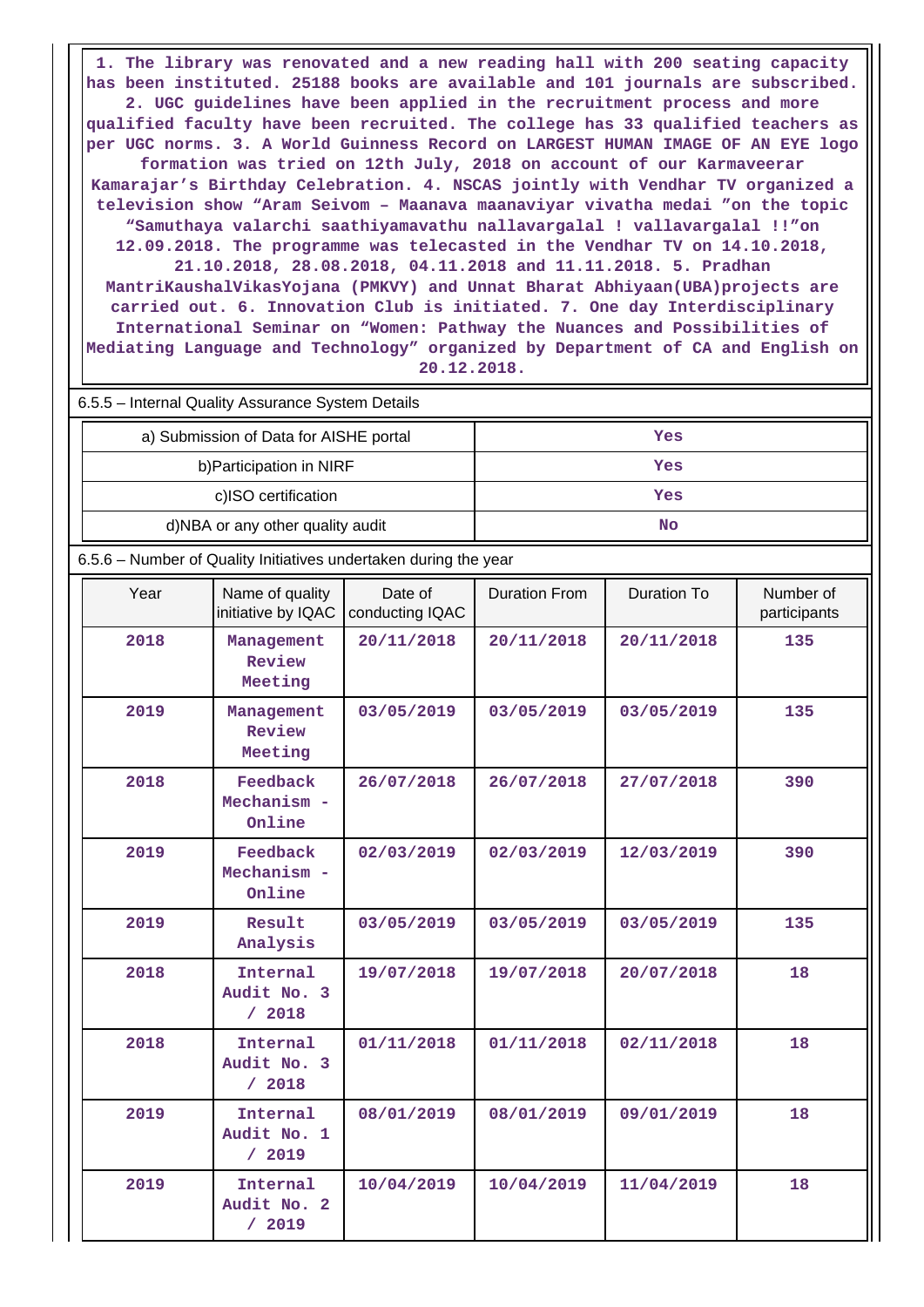**1. The library was renovated and a new reading hall with 200 seating capacity has been instituted. 25188 books are available and 101 journals are subscribed. 2. UGC guidelines have been applied in the recruitment process and more qualified faculty have been recruited. The college has 33 qualified teachers as per UGC norms. 3. A World Guinness Record on LARGEST HUMAN IMAGE OF AN EYE logo formation was tried on 12th July, 2018 on account of our Karmaveerar Kamarajar's Birthday Celebration. 4. NSCAS jointly with Vendhar TV organized a television show "Aram Seivom – Maanava maanaviyar vivatha medai "on the topic "Samuthaya valarchi saathiyamavathu nallavargalal ! vallavargalal !!"on 12.09.2018. The programme was telecasted in the Vendhar TV on 14.10.2018, 21.10.2018, 28.08.2018, 04.11.2018 and 11.11.2018. 5. Pradhan MantriKaushalVikasYojana (PMKVY) and Unnat Bharat Abhiyaan(UBA)projects are carried out. 6. Innovation Club is initiated. 7. One day Interdisciplinary International Seminar on "Women: Pathway the Nuances and Possibilities of Mediating Language and Technology" organized by Department of CA and English on 20.12.2018.**

| 6.5.5 – Internal Quality Assurance System Details |     |  |  |  |  |  |
|---------------------------------------------------|-----|--|--|--|--|--|
| a) Submission of Data for AISHE portal            | Yes |  |  |  |  |  |
| b) Participation in NIRF                          | Yes |  |  |  |  |  |
| c)ISO certification                               | Yes |  |  |  |  |  |
| d)NBA or any other quality audit                  | No  |  |  |  |  |  |

6.5.6 – Number of Quality Initiatives undertaken during the year

| Year | Name of quality<br>initiative by IQAC | Date of<br>conducting IQAC | <b>Duration From</b> | <b>Duration To</b> | Number of<br>participants |
|------|---------------------------------------|----------------------------|----------------------|--------------------|---------------------------|
| 2018 | Management<br>Review<br>Meeting       | 20/11/2018                 | 20/11/2018           | 20/11/2018         | 135                       |
| 2019 | Management<br>Review<br>Meeting       | 03/05/2019                 | 03/05/2019           | 03/05/2019         | 135                       |
| 2018 | Feedback<br>Mechanism -<br>Online     | 26/07/2018                 | 26/07/2018           | 27/07/2018         | 390                       |
| 2019 | Feedback<br>Mechanism -<br>Online     | 02/03/2019                 | 02/03/2019           | 12/03/2019         | 390                       |
| 2019 | Result<br>Analysis                    | 03/05/2019                 | 03/05/2019           | 03/05/2019         | 135                       |
| 2018 | Internal<br>Audit No. 3<br>/ 2018     | 19/07/2018                 | 19/07/2018           | 20/07/2018         | 18                        |
| 2018 | Internal<br>Audit No. 3<br>/ 2018     | 01/11/2018                 | 01/11/2018           | 02/11/2018         | 18                        |
| 2019 | Internal<br>Audit No. 1<br>/2019      | 08/01/2019                 | 08/01/2019           | 09/01/2019         | 18                        |
| 2019 | Internal<br>Audit No. 2<br>/2019      | 10/04/2019                 | 10/04/2019           | 11/04/2019         | 18                        |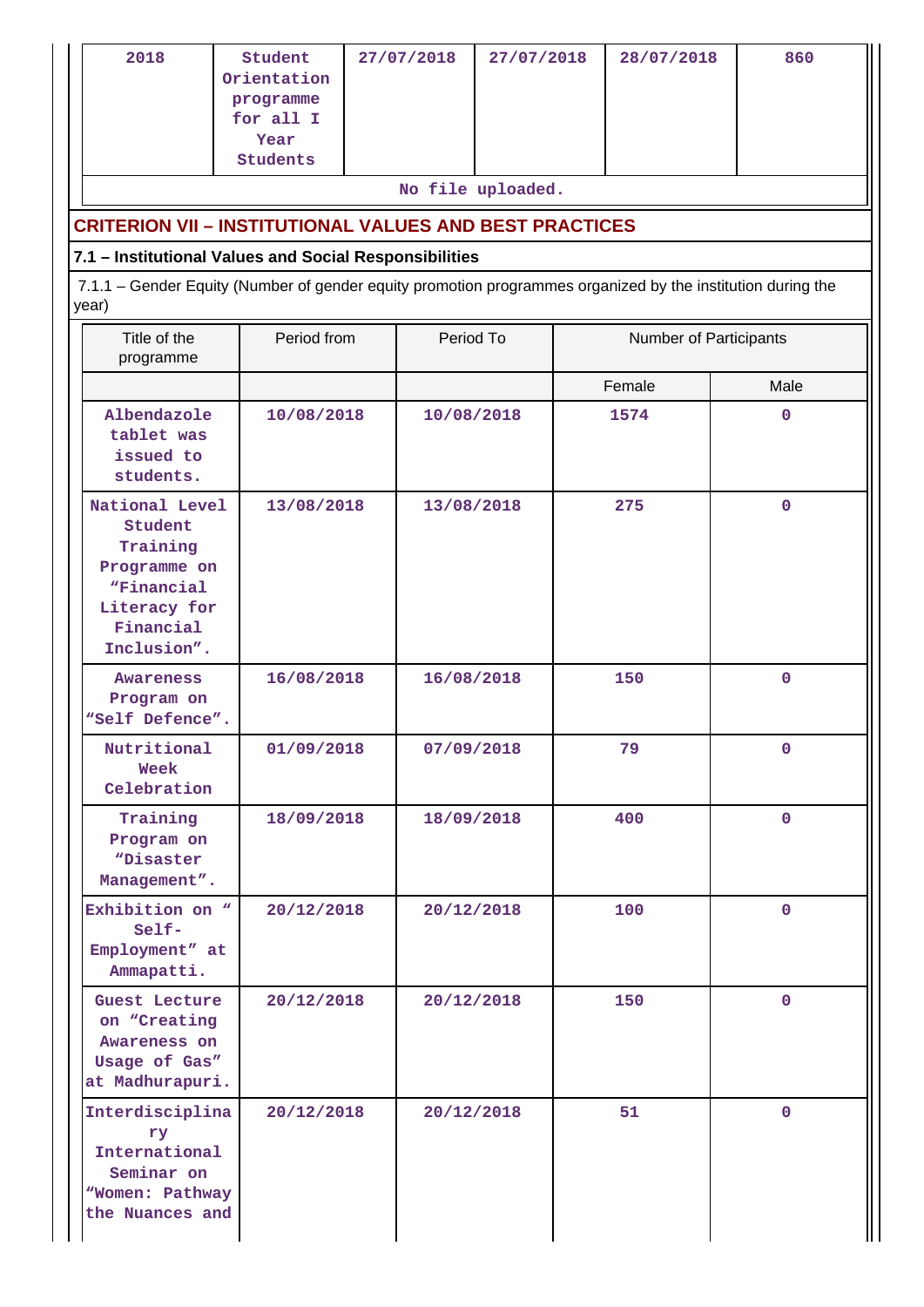| 2018                                                                                                                                                                           | Student<br>Orientation<br>programme<br>for all I<br>Year<br>Students | 27/07/2018 |            | 27/07/2018        |  | 28/07/2018 | 860         |  |  |
|--------------------------------------------------------------------------------------------------------------------------------------------------------------------------------|----------------------------------------------------------------------|------------|------------|-------------------|--|------------|-------------|--|--|
|                                                                                                                                                                                |                                                                      |            |            | No file uploaded. |  |            |             |  |  |
| <b>CRITERION VII - INSTITUTIONAL VALUES AND BEST PRACTICES</b>                                                                                                                 |                                                                      |            |            |                   |  |            |             |  |  |
| 7.1 - Institutional Values and Social Responsibilities<br>7.1.1 - Gender Equity (Number of gender equity promotion programmes organized by the institution during the<br>year) |                                                                      |            |            |                   |  |            |             |  |  |
| Title of the<br>programme                                                                                                                                                      | Period from<br>Period To<br>Number of Participants                   |            |            |                   |  |            |             |  |  |
|                                                                                                                                                                                |                                                                      |            |            |                   |  | Female     | Male        |  |  |
| Albendazole<br>tablet was<br>issued to<br>students.                                                                                                                            | 10/08/2018                                                           |            | 10/08/2018 |                   |  | 1574       | 0           |  |  |
| National Level<br>Student<br>Training<br>Programme on<br><i><b>"Financial</b></i><br>Literacy for<br>Financial<br>Inclusion".                                                  | 13/08/2018                                                           |            | 13/08/2018 |                   |  | 275        | $\mathbf 0$ |  |  |
| Awareness<br>Program on<br>"Self Defence".                                                                                                                                     | 16/08/2018                                                           |            | 16/08/2018 |                   |  | 150        | $\mathbf 0$ |  |  |
| Nutritional<br>Week<br>Celebration                                                                                                                                             | 01/09/2018                                                           |            |            | 07/09/2018        |  | 79         | $\mathbf 0$ |  |  |
| Training<br>Program on<br>"Disaster<br>Management".                                                                                                                            | 18/09/2018                                                           |            |            | 18/09/2018        |  | 400        | $\mathbf 0$ |  |  |
| Exhibition on "<br>$Self-$<br>Employment" at<br>Ammapatti.                                                                                                                     | 20/12/2018                                                           |            |            | 20/12/2018        |  | 100        | $\mathbf 0$ |  |  |
| Guest Lecture<br>on "Creating<br>Awareness on<br>Usage of Gas"<br>at Madhurapuri.                                                                                              | 20/12/2018                                                           |            |            | 20/12/2018        |  | 150        | $\mathbf 0$ |  |  |
| Interdisciplina<br>ry<br>International<br>Seminar on<br>"Women: Pathway<br>the Nuances and                                                                                     | 20/12/2018                                                           |            | 20/12/2018 |                   |  | 51         | $\mathbf 0$ |  |  |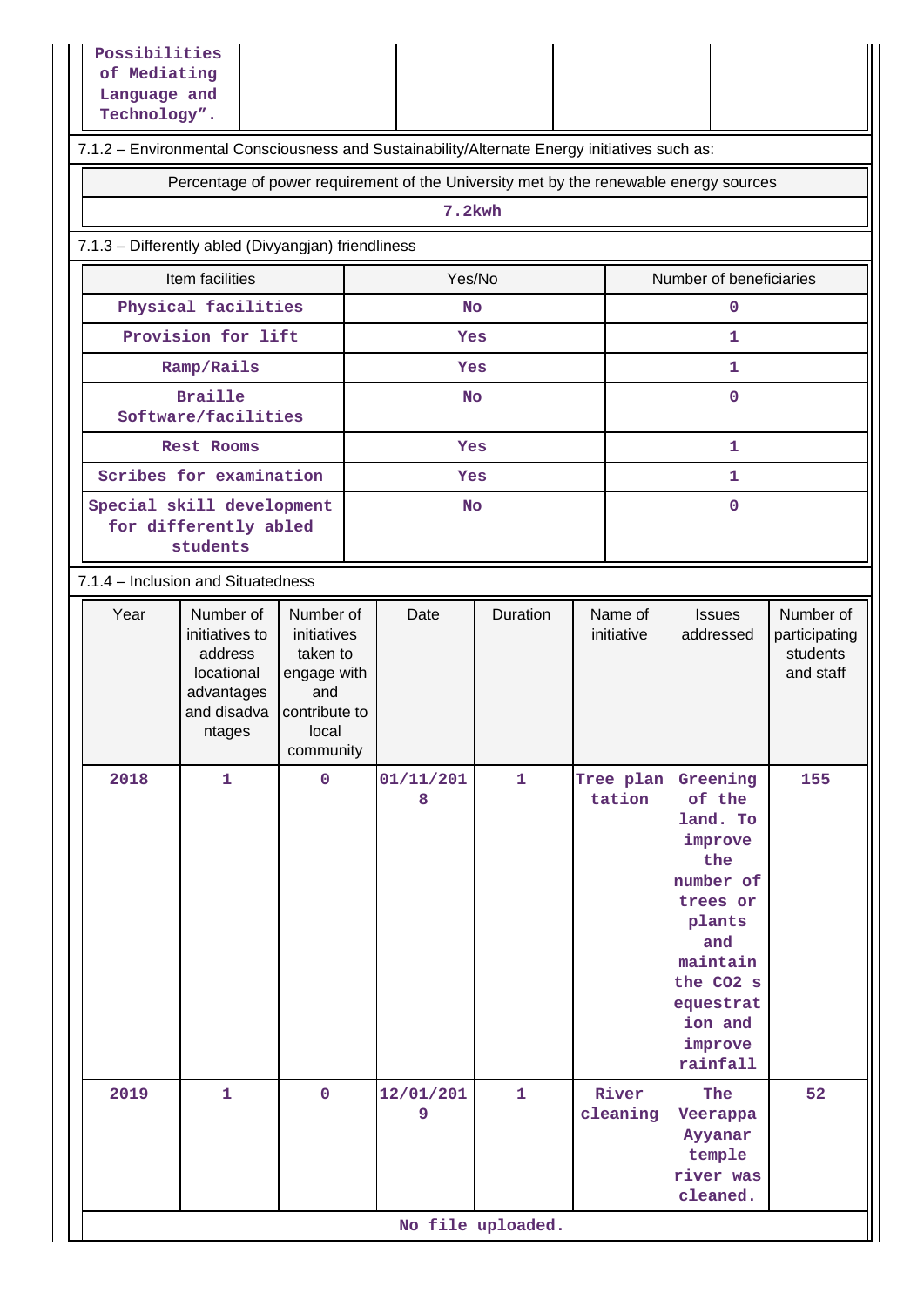| Possibilities<br>of Mediating<br>Language and<br>Technology".                                |                                                                                             |                                                                                                   |                |              |  |                       |                                                                                                                                                                    |                                                     |  |  |
|----------------------------------------------------------------------------------------------|---------------------------------------------------------------------------------------------|---------------------------------------------------------------------------------------------------|----------------|--------------|--|-----------------------|--------------------------------------------------------------------------------------------------------------------------------------------------------------------|-----------------------------------------------------|--|--|
| 7.1.2 - Environmental Consciousness and Sustainability/Alternate Energy initiatives such as: |                                                                                             |                                                                                                   |                |              |  |                       |                                                                                                                                                                    |                                                     |  |  |
| Percentage of power requirement of the University met by the renewable energy sources        |                                                                                             |                                                                                                   |                |              |  |                       |                                                                                                                                                                    |                                                     |  |  |
| 7.2kwh                                                                                       |                                                                                             |                                                                                                   |                |              |  |                       |                                                                                                                                                                    |                                                     |  |  |
| 7.1.3 - Differently abled (Divyangjan) friendliness                                          |                                                                                             |                                                                                                   |                |              |  |                       |                                                                                                                                                                    |                                                     |  |  |
| Item facilities<br>Yes/No<br>Number of beneficiaries                                         |                                                                                             |                                                                                                   |                |              |  |                       |                                                                                                                                                                    |                                                     |  |  |
|                                                                                              | Physical facilities                                                                         |                                                                                                   | <b>No</b>      |              |  |                       | 0                                                                                                                                                                  |                                                     |  |  |
|                                                                                              | Provision for lift                                                                          |                                                                                                   | Yes            |              |  |                       | $\mathbf{1}$                                                                                                                                                       |                                                     |  |  |
|                                                                                              | Ramp/Rails                                                                                  |                                                                                                   | Yes            |              |  |                       | 1                                                                                                                                                                  |                                                     |  |  |
|                                                                                              | <b>Braille</b><br>Software/facilities                                                       |                                                                                                   | <b>No</b>      |              |  |                       | 0                                                                                                                                                                  |                                                     |  |  |
|                                                                                              | <b>Rest Rooms</b>                                                                           |                                                                                                   | Yes            |              |  |                       | $\mathbf{1}$                                                                                                                                                       |                                                     |  |  |
|                                                                                              | Scribes for examination                                                                     |                                                                                                   | Yes            |              |  |                       | 1                                                                                                                                                                  |                                                     |  |  |
|                                                                                              | Special skill development<br>0<br><b>No</b><br>for differently abled<br>students            |                                                                                                   |                |              |  |                       |                                                                                                                                                                    |                                                     |  |  |
| 7.1.4 - Inclusion and Situatedness                                                           |                                                                                             |                                                                                                   |                |              |  |                       |                                                                                                                                                                    |                                                     |  |  |
| Year                                                                                         | Number of<br>initiatives to<br>address<br>locational<br>advantages<br>and disadva<br>ntages | Number of<br>initiatives<br>taken to<br>engage with<br>and<br>contribute to<br>local<br>community | Date           | Duration     |  | Name of<br>initiative | <b>Issues</b><br>addressed                                                                                                                                         | Number of<br>participating<br>students<br>and staff |  |  |
| 2018                                                                                         | $\mathbf{1}$                                                                                | $\mathbf 0$                                                                                       | 01/11/201<br>8 | $\mathbf{1}$ |  | Tree plan<br>tation   | Greening<br>of the<br>land. To<br>improve<br>the<br>number of<br>trees or<br>plants<br>and<br>maintain<br>the CO2 s<br>equestrat<br>ion and<br>improve<br>rainfall | 155                                                 |  |  |
| 2019                                                                                         | $\mathbf{1}$                                                                                | $\mathbf 0$                                                                                       | 12/01/201<br>9 | $\mathbf{1}$ |  | River<br>cleaning     | The<br>Veerappa<br>Ayyanar<br>temple<br>river was<br>cleaned.                                                                                                      | 52                                                  |  |  |
|                                                                                              | No file uploaded.                                                                           |                                                                                                   |                |              |  |                       |                                                                                                                                                                    |                                                     |  |  |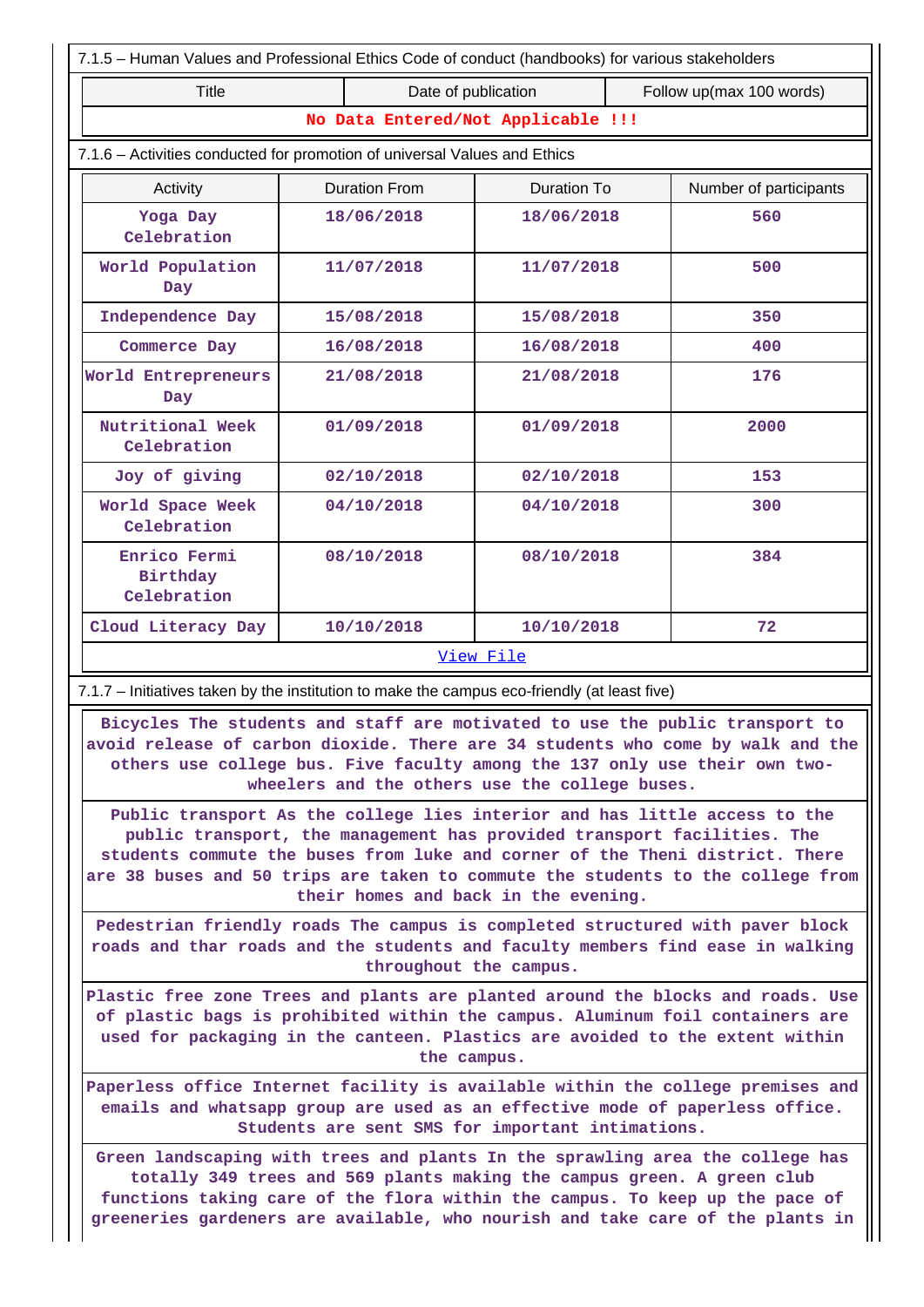| 7.1.5 - Human Values and Professional Ethics Code of conduct (handbooks) for various stakeholders                                                                                                                                                                                                                        |  |                      |                                                |                        |                                                                                             |  |  |  |
|--------------------------------------------------------------------------------------------------------------------------------------------------------------------------------------------------------------------------------------------------------------------------------------------------------------------------|--|----------------------|------------------------------------------------|------------------------|---------------------------------------------------------------------------------------------|--|--|--|
| Date of publication<br>Follow up(max 100 words)<br>Title                                                                                                                                                                                                                                                                 |  |                      |                                                |                        |                                                                                             |  |  |  |
| No Data Entered/Not Applicable !!!                                                                                                                                                                                                                                                                                       |  |                      |                                                |                        |                                                                                             |  |  |  |
| 7.1.6 - Activities conducted for promotion of universal Values and Ethics                                                                                                                                                                                                                                                |  |                      |                                                |                        |                                                                                             |  |  |  |
| Activity                                                                                                                                                                                                                                                                                                                 |  | <b>Duration From</b> | Duration To                                    | Number of participants |                                                                                             |  |  |  |
| Yoga Day<br>Celebration                                                                                                                                                                                                                                                                                                  |  | 18/06/2018           | 18/06/2018                                     |                        | 560                                                                                         |  |  |  |
| World Population<br>Day                                                                                                                                                                                                                                                                                                  |  | 11/07/2018           | 11/07/2018                                     |                        | 500                                                                                         |  |  |  |
| Independence Day                                                                                                                                                                                                                                                                                                         |  | 15/08/2018           | 15/08/2018                                     |                        | 350                                                                                         |  |  |  |
| Commerce Day                                                                                                                                                                                                                                                                                                             |  | 16/08/2018           | 16/08/2018                                     |                        | 400                                                                                         |  |  |  |
| World Entrepreneurs<br>Day                                                                                                                                                                                                                                                                                               |  | 21/08/2018           |                                                | 21/08/2018             |                                                                                             |  |  |  |
| Nutritional Week<br>Celebration                                                                                                                                                                                                                                                                                          |  | 01/09/2018           | 01/09/2018                                     |                        | 2000                                                                                        |  |  |  |
| Joy of giving                                                                                                                                                                                                                                                                                                            |  | 02/10/2018           | 02/10/2018                                     |                        | 153                                                                                         |  |  |  |
| World Space Week<br>Celebration                                                                                                                                                                                                                                                                                          |  | 04/10/2018           | 04/10/2018                                     |                        | 300                                                                                         |  |  |  |
| Enrico Fermi<br>Birthday<br>Celebration                                                                                                                                                                                                                                                                                  |  | 08/10/2018           | 08/10/2018                                     |                        | 384                                                                                         |  |  |  |
| Cloud Literacy Day                                                                                                                                                                                                                                                                                                       |  | 10/10/2018           | 10/10/2018<br>72                               |                        |                                                                                             |  |  |  |
|                                                                                                                                                                                                                                                                                                                          |  |                      | View File                                      |                        |                                                                                             |  |  |  |
| 7.1.7 - Initiatives taken by the institution to make the campus eco-friendly (at least five)                                                                                                                                                                                                                             |  |                      |                                                |                        |                                                                                             |  |  |  |
| Bicycles The students and staff are motivated to use the public transport to<br>others use college bus. Five faculty among the 137 only use their own two-                                                                                                                                                               |  |                      | wheelers and the others use the college buses. |                        | avoid release of carbon dioxide. There are 34 students who come by walk and the $\parallel$ |  |  |  |
| Public transport As the college lies interior and has little access to the<br>public transport, the management has provided transport facilities. The<br>students commute the buses from luke and corner of the Theni district. There<br>are 38 buses and 50 trips are taken to commute the students to the college from |  |                      | their homes and back in the evening.           |                        |                                                                                             |  |  |  |
| Pedestrian friendly roads The campus is completed structured with paver block<br>roads and thar roads and the students and faculty members find ease in walking                                                                                                                                                          |  |                      |                                                |                        |                                                                                             |  |  |  |

**throughout the campus.**

**Plastic free zone Trees and plants are planted around the blocks and roads. Use of plastic bags is prohibited within the campus. Aluminum foil containers are used for packaging in the canteen. Plastics are avoided to the extent within the campus.**

**Paperless office Internet facility is available within the college premises and emails and whatsapp group are used as an effective mode of paperless office. Students are sent SMS for important intimations.**

**Green landscaping with trees and plants In the sprawling area the college has totally 349 trees and 569 plants making the campus green. A green club functions taking care of the flora within the campus. To keep up the pace of greeneries gardeners are available, who nourish and take care of the plants in**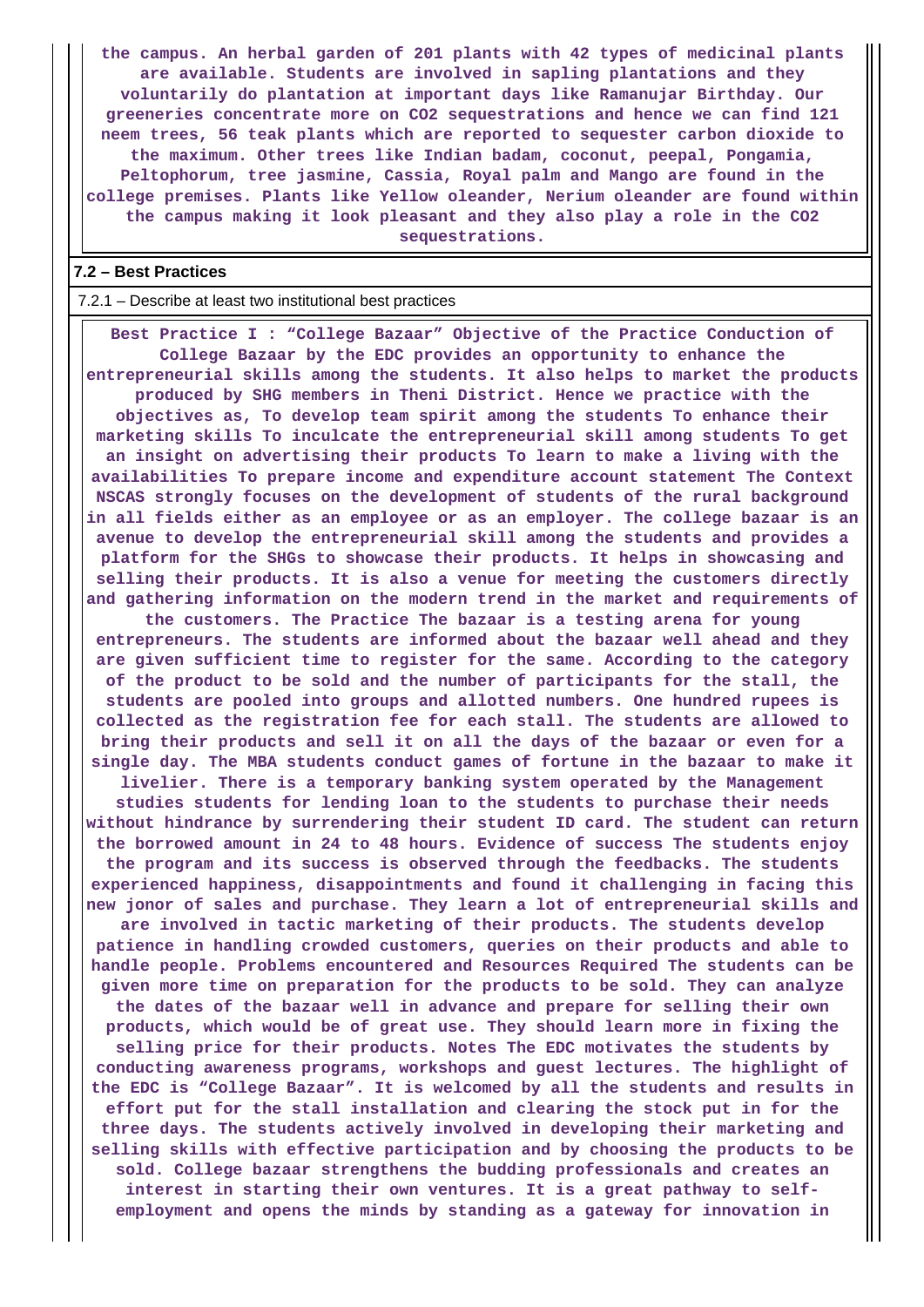**the campus. An herbal garden of 201 plants with 42 types of medicinal plants are available. Students are involved in sapling plantations and they voluntarily do plantation at important days like Ramanujar Birthday. Our greeneries concentrate more on CO2 sequestrations and hence we can find 121 neem trees, 56 teak plants which are reported to sequester carbon dioxide to the maximum. Other trees like Indian badam, coconut, peepal, Pongamia, Peltophorum, tree jasmine, Cassia, Royal palm and Mango are found in the college premises. Plants like Yellow oleander, Nerium oleander are found within the campus making it look pleasant and they also play a role in the CO2 sequestrations.**

#### **7.2 – Best Practices**

#### 7.2.1 – Describe at least two institutional best practices

 **Best Practice I : "College Bazaar" Objective of the Practice Conduction of College Bazaar by the EDC provides an opportunity to enhance the entrepreneurial skills among the students. It also helps to market the products produced by SHG members in Theni District. Hence we practice with the objectives as, To develop team spirit among the students To enhance their marketing skills To inculcate the entrepreneurial skill among students To get an insight on advertising their products To learn to make a living with the availabilities To prepare income and expenditure account statement The Context NSCAS strongly focuses on the development of students of the rural background in all fields either as an employee or as an employer. The college bazaar is an avenue to develop the entrepreneurial skill among the students and provides a platform for the SHGs to showcase their products. It helps in showcasing and selling their products. It is also a venue for meeting the customers directly and gathering information on the modern trend in the market and requirements of**

**the customers. The Practice The bazaar is a testing arena for young entrepreneurs. The students are informed about the bazaar well ahead and they are given sufficient time to register for the same. According to the category of the product to be sold and the number of participants for the stall, the students are pooled into groups and allotted numbers. One hundred rupees is collected as the registration fee for each stall. The students are allowed to bring their products and sell it on all the days of the bazaar or even for a single day. The MBA students conduct games of fortune in the bazaar to make it**

**livelier. There is a temporary banking system operated by the Management studies students for lending loan to the students to purchase their needs without hindrance by surrendering their student ID card. The student can return the borrowed amount in 24 to 48 hours. Evidence of success The students enjoy the program and its success is observed through the feedbacks. The students experienced happiness, disappointments and found it challenging in facing this new jonor of sales and purchase. They learn a lot of entrepreneurial skills and are involved in tactic marketing of their products. The students develop patience in handling crowded customers, queries on their products and able to handle people. Problems encountered and Resources Required The students can be given more time on preparation for the products to be sold. They can analyze the dates of the bazaar well in advance and prepare for selling their own**

**products, which would be of great use. They should learn more in fixing the selling price for their products. Notes The EDC motivates the students by conducting awareness programs, workshops and guest lectures. The highlight of the EDC is "College Bazaar". It is welcomed by all the students and results in effort put for the stall installation and clearing the stock put in for the three days. The students actively involved in developing their marketing and selling skills with effective participation and by choosing the products to be sold. College bazaar strengthens the budding professionals and creates an interest in starting their own ventures. It is a great pathway to selfemployment and opens the minds by standing as a gateway for innovation in**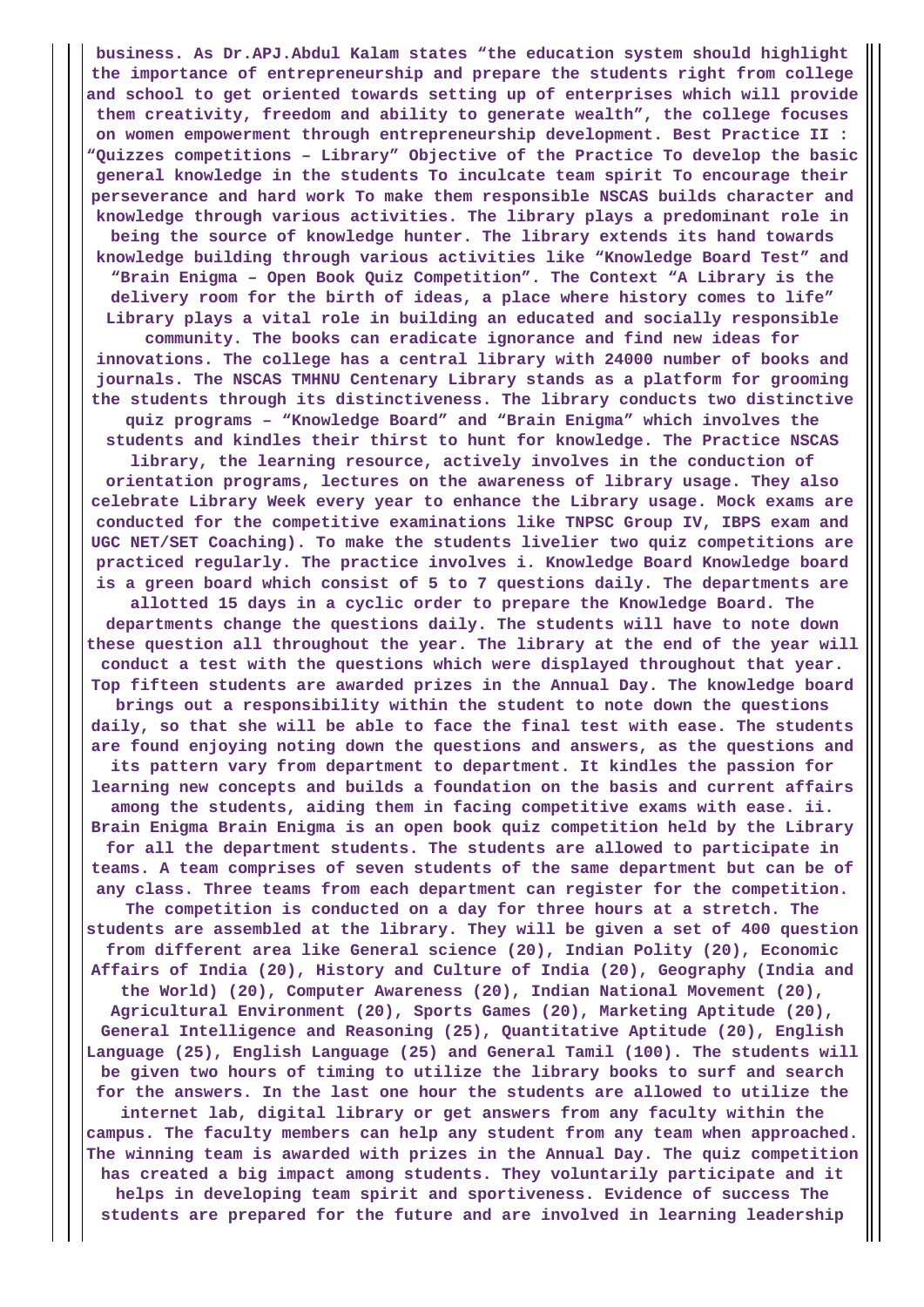**business. As Dr.APJ.Abdul Kalam states "the education system should highlight the importance of entrepreneurship and prepare the students right from college and school to get oriented towards setting up of enterprises which will provide them creativity, freedom and ability to generate wealth", the college focuses on women empowerment through entrepreneurship development. Best Practice II : "Quizzes competitions – Library" Objective of the Practice To develop the basic general knowledge in the students To inculcate team spirit To encourage their perseverance and hard work To make them responsible NSCAS builds character and knowledge through various activities. The library plays a predominant role in being the source of knowledge hunter. The library extends its hand towards knowledge building through various activities like "Knowledge Board Test" and "Brain Enigma – Open Book Quiz Competition". The Context "A Library is the delivery room for the birth of ideas, a place where history comes to life" Library plays a vital role in building an educated and socially responsible community. The books can eradicate ignorance and find new ideas for innovations. The college has a central library with 24000 number of books and journals. The NSCAS TMHNU Centenary Library stands as a platform for grooming the students through its distinctiveness. The library conducts two distinctive quiz programs – "Knowledge Board" and "Brain Enigma" which involves the students and kindles their thirst to hunt for knowledge. The Practice NSCAS library, the learning resource, actively involves in the conduction of orientation programs, lectures on the awareness of library usage. They also celebrate Library Week every year to enhance the Library usage. Mock exams are conducted for the competitive examinations like TNPSC Group IV, IBPS exam and UGC NET/SET Coaching). To make the students livelier two quiz competitions are practiced regularly. The practice involves i. Knowledge Board Knowledge board is a green board which consist of 5 to 7 questions daily. The departments are allotted 15 days in a cyclic order to prepare the Knowledge Board. The departments change the questions daily. The students will have to note down these question all throughout the year. The library at the end of the year will conduct a test with the questions which were displayed throughout that year. Top fifteen students are awarded prizes in the Annual Day. The knowledge board brings out a responsibility within the student to note down the questions daily, so that she will be able to face the final test with ease. The students are found enjoying noting down the questions and answers, as the questions and its pattern vary from department to department. It kindles the passion for learning new concepts and builds a foundation on the basis and current affairs among the students, aiding them in facing competitive exams with ease. ii. Brain Enigma Brain Enigma is an open book quiz competition held by the Library for all the department students. The students are allowed to participate in teams. A team comprises of seven students of the same department but can be of any class. Three teams from each department can register for the competition. The competition is conducted on a day for three hours at a stretch. The students are assembled at the library. They will be given a set of 400 question from different area like General science (20), Indian Polity (20), Economic Affairs of India (20), History and Culture of India (20), Geography (India and the World) (20), Computer Awareness (20), Indian National Movement (20), Agricultural Environment (20), Sports Games (20), Marketing Aptitude (20), General Intelligence and Reasoning (25), Quantitative Aptitude (20), English Language (25), English Language (25) and General Tamil (100). The students will be given two hours of timing to utilize the library books to surf and search for the answers. In the last one hour the students are allowed to utilize the internet lab, digital library or get answers from any faculty within the campus. The faculty members can help any student from any team when approached. The winning team is awarded with prizes in the Annual Day. The quiz competition has created a big impact among students. They voluntarily participate and it helps in developing team spirit and sportiveness. Evidence of success The students are prepared for the future and are involved in learning leadership**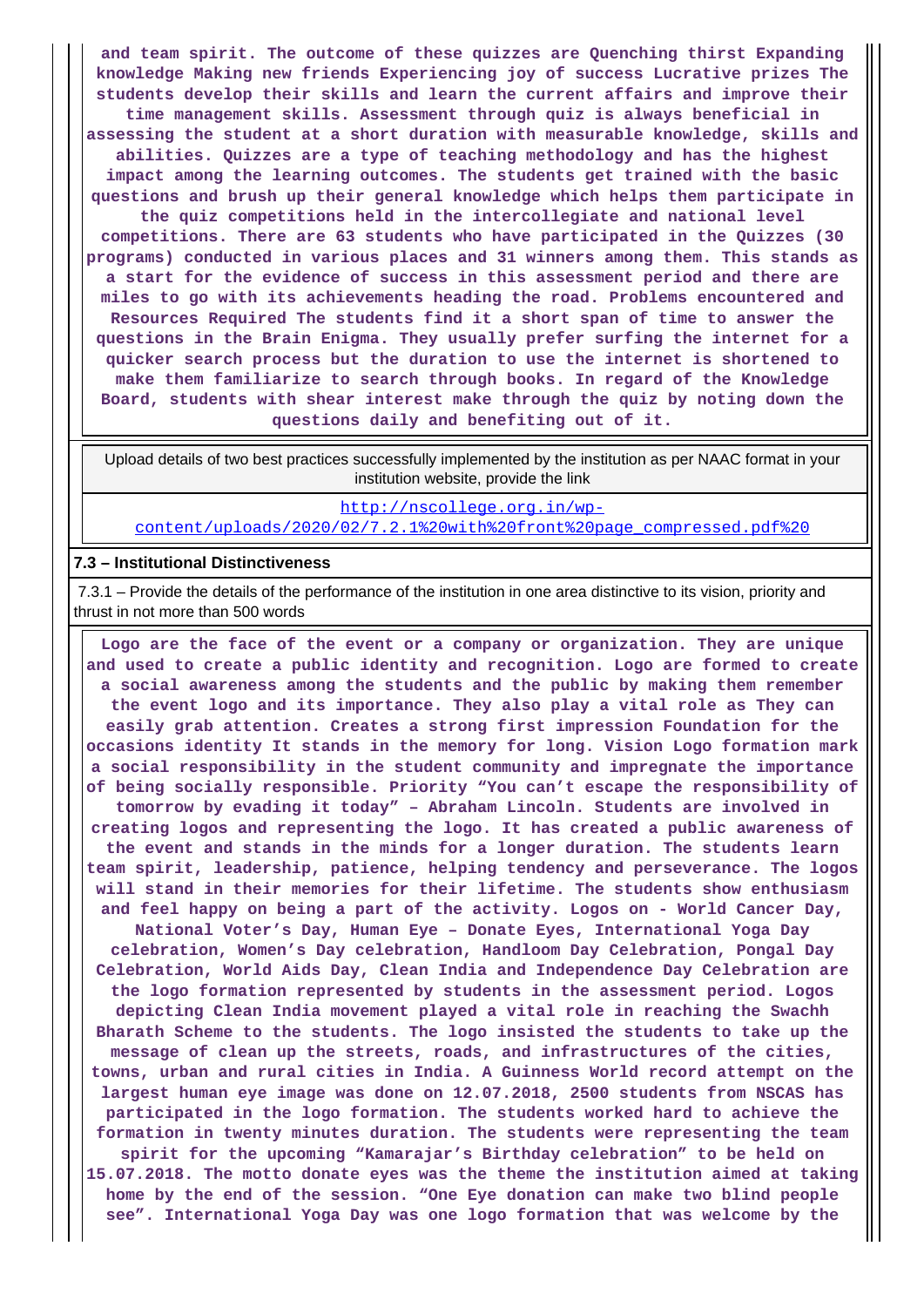**and team spirit. The outcome of these quizzes are Quenching thirst Expanding knowledge Making new friends Experiencing joy of success Lucrative prizes The students develop their skills and learn the current affairs and improve their time management skills. Assessment through quiz is always beneficial in assessing the student at a short duration with measurable knowledge, skills and abilities. Quizzes are a type of teaching methodology and has the highest impact among the learning outcomes. The students get trained with the basic questions and brush up their general knowledge which helps them participate in the quiz competitions held in the intercollegiate and national level competitions. There are 63 students who have participated in the Quizzes (30 programs) conducted in various places and 31 winners among them. This stands as a start for the evidence of success in this assessment period and there are miles to go with its achievements heading the road. Problems encountered and Resources Required The students find it a short span of time to answer the questions in the Brain Enigma. They usually prefer surfing the internet for a quicker search process but the duration to use the internet is shortened to make them familiarize to search through books. In regard of the Knowledge Board, students with shear interest make through the quiz by noting down the questions daily and benefiting out of it.**

 Upload details of two best practices successfully implemented by the institution as per NAAC format in your institution website, provide the link

[http://nscollege.org.in/wp](http://nscollege.org.in/wp-content/uploads/2020/02/7.2.1%20with%20front%20page_compressed.pdf%20)[content/uploads/2020/02/7.2.1%20with%20front%20page\\_compressed.pdf%20](http://nscollege.org.in/wp-content/uploads/2020/02/7.2.1%20with%20front%20page_compressed.pdf%20)

#### **7.3 – Institutional Distinctiveness**

 7.3.1 – Provide the details of the performance of the institution in one area distinctive to its vision, priority and thrust in not more than 500 words

 **Logo are the face of the event or a company or organization. They are unique and used to create a public identity and recognition. Logo are formed to create a social awareness among the students and the public by making them remember the event logo and its importance. They also play a vital role as They can easily grab attention. Creates a strong first impression Foundation for the occasions identity It stands in the memory for long. Vision Logo formation mark a social responsibility in the student community and impregnate the importance of being socially responsible. Priority "You can't escape the responsibility of tomorrow by evading it today" – Abraham Lincoln. Students are involved in creating logos and representing the logo. It has created a public awareness of the event and stands in the minds for a longer duration. The students learn team spirit, leadership, patience, helping tendency and perseverance. The logos will stand in their memories for their lifetime. The students show enthusiasm and feel happy on being a part of the activity. Logos on - World Cancer Day, National Voter's Day, Human Eye – Donate Eyes, International Yoga Day celebration, Women's Day celebration, Handloom Day Celebration, Pongal Day Celebration, World Aids Day, Clean India and Independence Day Celebration are the logo formation represented by students in the assessment period. Logos depicting Clean India movement played a vital role in reaching the Swachh Bharath Scheme to the students. The logo insisted the students to take up the message of clean up the streets, roads, and infrastructures of the cities, towns, urban and rural cities in India. A Guinness World record attempt on the largest human eye image was done on 12.07.2018, 2500 students from NSCAS has participated in the logo formation. The students worked hard to achieve the formation in twenty minutes duration. The students were representing the team spirit for the upcoming "Kamarajar's Birthday celebration" to be held on 15.07.2018. The motto donate eyes was the theme the institution aimed at taking home by the end of the session. "One Eye donation can make two blind people see". International Yoga Day was one logo formation that was welcome by the**